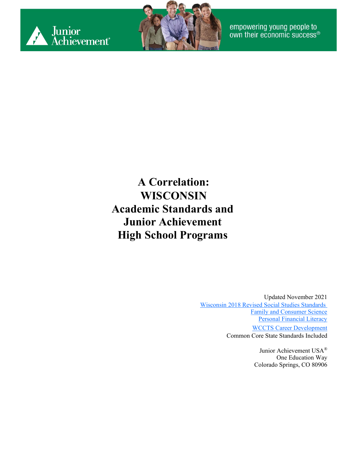



**A Correlation: WISCONSIN Academic Standards and Junior Achievement High School Programs**

> Updated November 2021 Wisconsin 2018 [Revised Social Studies](https://dpi.wi.gov/sites/default/files/imce/standards/New%20pdfs/2018_WI_Social_Studies_Standards.pdf) Standards [Family and Consumer Science](https://dpi.wi.gov/sites/default/files/imce/cte/pdf/facs_standards.pdf) [Personal Financial Literacy](https://dpi.wi.gov/sites/default/files/imce/standards/New%20pdfs/PersonalFinancialLiteracyStandards2020.pdf#:%7E:text=The%20Wisconsin%20Standards%20for%20Personal%20Financial%20Literacy%20were,of%20Wisconsin%E2%80%99s%20Academic%20Standards%20review%20and%20revision%20process.) [WCCTS Career Development](https://dpi.wi.gov/sites/default/files/imce/cte/pdf/WCCTS_Section_III_CD.pdf) Common Core State Standards Included

> > Junior Achievement USA® One Education Way Colorado Springs, CO 80906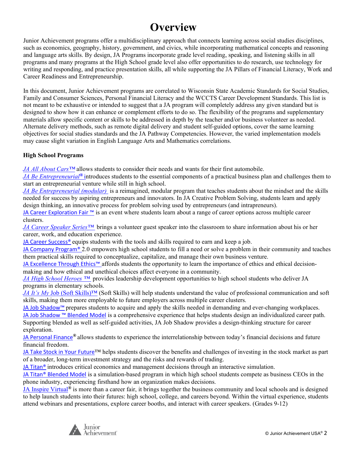#### **Overview**

Junior Achievement programs offer a multidisciplinary approach that connects learning across social studies disciplines, such as economics, geography, history, government, and civics, while incorporating mathematical concepts and reasoning and language arts skills. By design, JA Programs incorporate grade level reading, speaking, and listening skills in all programs and many programs at the High School grade level also offer opportunities to do research, use technology for writing and responding, and practice presentation skills, all while supporting the JA Pillars of Financial Literacy, Work and Career Readiness and Entrepreneurship.

In this document, Junior Achievement programs are correlated to Wisconsin State Academic Standards for Social Studies, Family and Consumer Sciences, Personal Financial Literacy and the WCCTS Career Development Standards. This list is not meant to be exhaustive or intended to suggest that a JA program will completely address any given standard but is designed to show how it can enhance or complement efforts to do so. The flexibility of the programs and supplementary materials allow specific content or skills to be addressed in depth by the teacher and/or business volunteer as needed. Alternate delivery methods, such as remote digital delivery and student self-guided options, cover the same learning objectives for social studies standards and the JA Pathway Competencies. However, the varied implementation models may cause slight variation in English Language Arts and Mathematics correlations.

#### **High School Programs**

*JA All About Cars™* allows students to consider their needs and wants for their first automobile.

*JA Be Entrepreneurial®* introduces students to the essential components of a practical business plan and challenges them to start an entrepreneurial venture while still in high school.

*JA Be Entrepreneurial (modular)* is a reimagined, modular program that teaches students about the mindset and the skills needed for success by aspiring entrepreneurs and innovators. In JA Creative Problem Solving, students learn and apply design thinking, an innovative process for problem solving used by entrepreneurs (and intrapreneurs).

[JA Career Exploration Fair ™](#page-12-0) is an event where students learn about a range of career options across multiple career clusters.

*JA Career Speaker Series™* brings a volunteer guest speaker into the classroom to share information about his or her career, work, and education experience.

JA Career Success<sup>®</sup> equips students with the tools and skills required to earn and keep a job.

[JA Company Program®](#page-21-0) 2.0 empowers high school students to fill a need or solve a problem in their community and teaches them practical skills required to conceptualize, capitalize, and manage their own business venture.

JA Excellence Through Ethics™ affords students the opportunity to learn the importance of ethics and ethical decisionmaking and how ethical and unethical choices affect everyone in a community.

*JA High School Heroes ™* provides leadership development opportunities to high school students who deliver JA programs in elementary schools.

*JA It's My* Job (Soft Skills)™ (Soft Skills) will help students understand the value of professional communication and soft skills, making them more employable to future employers across multiple career clusters.

JA Job Shadow™ prepares students to acquire and apply the skills needed in demanding and ever-changing workplaces. IA Job Shadow [™](#page-37-0) [Blended Model](#page-37-0) is a comprehensive experience that helps students design an individualized career path. Supporting blended as well as self-guided activities, JA Job Shadow provides a design-thinking structure for career exploration.

[JA Personal Finance](#page-40-0)*®* allows students to experience the interrelationship between today's financial decisions and future financial freedom.

[JA Take Stock in Your Future](#page-45-0)™ helps students discover the benefits and challenges of investing in the stock market as part of a broader, long-term investment strategy and the risks and rewards of trading.

JA Titan<sup>®</sup> introduces critical economics and management decisions through an interactive simulation.

[JA Titan® Blended Model](#page-53-0) is a simulation-based program in which high school students compete as business CEOs in the phone industry, experiencing firsthand how an organization makes decisions.

JA Inspire Virtual*®* is more than a career fair, it brings together the business community and local schools and is designed to help launch students into their futures: high school, college, and careers beyond. Within the virtual experience, students attend webinars and presentations, explore career booths, and interact with career speakers. (Grades 9-12)

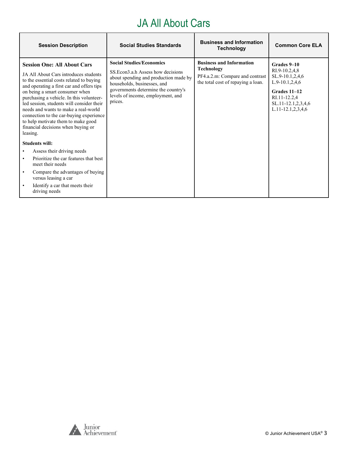#### JA All About Cars

| <b>Session Description</b>                                                                                                                                                                                                                                                                                                                                                                                                                                                 | <b>Social Studies Standards</b>                                                                                                                                                                                                      | <b>Business and Information</b><br><b>Technology</b>                                                                   | <b>Common Core ELA</b>                                                                                                                                    |
|----------------------------------------------------------------------------------------------------------------------------------------------------------------------------------------------------------------------------------------------------------------------------------------------------------------------------------------------------------------------------------------------------------------------------------------------------------------------------|--------------------------------------------------------------------------------------------------------------------------------------------------------------------------------------------------------------------------------------|------------------------------------------------------------------------------------------------------------------------|-----------------------------------------------------------------------------------------------------------------------------------------------------------|
| <b>Session One: All About Cars</b><br>JA All About Cars introduces students<br>to the essential costs related to buying<br>and operating a first car and offers tips<br>on being a smart consumer when<br>purchasing a vehicle. In this volunteer-<br>led session, students will consider their<br>needs and wants to make a real-world<br>connection to the car-buying experience<br>to help motivate them to make good<br>financial decisions when buying or<br>leasing. | <b>Social Studies/Economics</b><br>SS. Econ3.a.h Assess how decisions<br>about spending and production made by<br>households, businesses, and<br>governments determine the country's<br>levels of income, employment, and<br>prices. | <b>Business and Information</b><br>Technology<br>PF4.a.2.m: Compare and contrast<br>the total cost of repaying a loan. | Grades 9-10<br>RI.9-10.2,4,8<br>SL.9-10.1,2,4,6<br>$L.9-10.1, 2, 4, 6$<br>Grades 11-12<br>RI.11-12.2,4<br>SL.11-12.1,2,3,4,6<br>$L.11 - 12.1, 2, 3, 4, 6$ |
| <b>Students will:</b>                                                                                                                                                                                                                                                                                                                                                                                                                                                      |                                                                                                                                                                                                                                      |                                                                                                                        |                                                                                                                                                           |
| Assess their driving needs                                                                                                                                                                                                                                                                                                                                                                                                                                                 |                                                                                                                                                                                                                                      |                                                                                                                        |                                                                                                                                                           |
| Prioritize the car features that best<br>$\bullet$<br>meet their needs                                                                                                                                                                                                                                                                                                                                                                                                     |                                                                                                                                                                                                                                      |                                                                                                                        |                                                                                                                                                           |
| Compare the advantages of buying<br>$\bullet$<br>versus leasing a car                                                                                                                                                                                                                                                                                                                                                                                                      |                                                                                                                                                                                                                                      |                                                                                                                        |                                                                                                                                                           |
| Identify a car that meets their<br>driving needs                                                                                                                                                                                                                                                                                                                                                                                                                           |                                                                                                                                                                                                                                      |                                                                                                                        |                                                                                                                                                           |

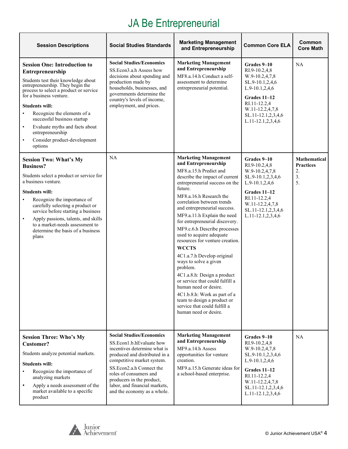# JA Be Entrepreneurial

| <b>Session Descriptions</b>                                                                                                                                                                                                                                                                                                                                                                                                            | <b>Social Studies Standards</b>                                                                                                                                                                                                                                                                               | <b>Marketing Management</b><br>and Entrepreneurship                                                                                                                                                                                                                                                                                                                                                                                                                                                                                                                                                                                                                                                                         | <b>Common Core ELA</b>                                                                                                                                                                          | Common<br><b>Core Math</b>                                |
|----------------------------------------------------------------------------------------------------------------------------------------------------------------------------------------------------------------------------------------------------------------------------------------------------------------------------------------------------------------------------------------------------------------------------------------|---------------------------------------------------------------------------------------------------------------------------------------------------------------------------------------------------------------------------------------------------------------------------------------------------------------|-----------------------------------------------------------------------------------------------------------------------------------------------------------------------------------------------------------------------------------------------------------------------------------------------------------------------------------------------------------------------------------------------------------------------------------------------------------------------------------------------------------------------------------------------------------------------------------------------------------------------------------------------------------------------------------------------------------------------------|-------------------------------------------------------------------------------------------------------------------------------------------------------------------------------------------------|-----------------------------------------------------------|
| <b>Session One: Introduction to</b><br>Entrepreneurship<br>Students test their knowledge about<br>entrepreneurship. They begin the<br>process to select a product or service<br>for a business venture.<br><b>Students will:</b><br>Recognize the elements of a<br>$\bullet$<br>successful business startup<br>Evaluate myths and facts about<br>$\bullet$<br>entrepreneurship<br>Consider product-development<br>$\bullet$<br>options | <b>Social Studies/Economics</b><br>SS.Econ3.a.h Assess how<br>decisions about spending and<br>production made by<br>households, businesses, and<br>governments determine the<br>country's levels of income,<br>employment, and prices.                                                                        | <b>Marketing Management</b><br>and Entrepreneurship<br>MF8.a.14.h Conduct a self-<br>assessment to determine<br>entrepreneurial potential.                                                                                                                                                                                                                                                                                                                                                                                                                                                                                                                                                                                  | Grades 9–10<br>RI.9-10.2,4,8<br>W.9-10.2,4,7,8<br>SL.9-10.1,2,4,6<br>$L.9-10.1, 2, 4, 6$<br>Grades 11-12<br>RI.11-12.2,4<br>W.11-12.2,4,7,8<br>SL.11-12.1,2,3,4,6<br>L.11-12.1,2,3,4,6          | <b>NA</b>                                                 |
| <b>Session Two: What's My</b><br><b>Business?</b><br>Students select a product or service for<br>a business venture.<br><b>Students will:</b><br>Recognize the importance of<br>carefully selecting a product or<br>service before starting a business<br>Apply passions, talents, and skills<br>$\bullet$<br>to a market-needs assessment to<br>determine the basis of a business<br>plans                                            | NA                                                                                                                                                                                                                                                                                                            | <b>Marketing Management</b><br>and Entrepreneurship<br>MF8.a.15.h Predict and<br>describe the impact of current<br>entrepreneurial success on the<br>future.<br>MF8.a.16.h Research the<br>correlation between trends<br>and entrepreneurial success.<br>MF9.a.11.h Explain the need<br>for entrepreneurial discovery.<br>MF9.c.6.h Describe processes<br>used to acquire adequate<br>resources for venture creation.<br><b>WCCTS</b><br>4C1.a.7.h Develop original<br>ways to solve a given<br>problem.<br>4C1.a.8.h: Design a product<br>or service that could fulfill a<br>human need or desire.<br>4C1.b.8.h: Work as part of a<br>team to design a product or<br>service that could fulfill a<br>human need or desire. | Grades 9-10<br>RI.9-10.2,4,8<br>W.9-10.2,4,7,8<br>SL.9-10.1,2,3,4,6<br>$L.9-10.1, 2, 4, 6$<br><b>Grades 11-12</b><br>RI.11-12.2,4<br>W.11-12.2,4,7,8<br>SL.11-12.1,2,3,4,6<br>L.11-12.1,2,3,4,6 | <b>Mathematical</b><br><b>Practices</b><br>2.<br>3.<br>5. |
| <b>Session Three: Who's My</b><br><b>Customer?</b><br>Students analyze potential markets.<br><b>Students will:</b><br>Recognize the importance of<br>$\bullet$<br>analyzing markets<br>Apply a needs assessment of the<br>$\bullet$<br>market available to a specific<br>product                                                                                                                                                       | <b>Social Studies/Economics</b><br>SS.Econ1.b.hEvaluate how<br>incentives determine what is<br>produced and distributed in a<br>competitive market system.<br>SS.Econ2.a.h Connect the<br>roles of consumers and<br>producers in the product,<br>labor, and financial markets,<br>and the economy as a whole. | <b>Marketing Management</b><br>and Entrepreneurship<br>MF9.a.14.h Assess<br>opportunities for venture<br>creation.<br>MF9.a.15.h Generate ideas for<br>a school-based enterprise.                                                                                                                                                                                                                                                                                                                                                                                                                                                                                                                                           | Grades 9-10<br>RI.9-10.2,4,8<br>W.9-10.2,4,7,8<br>SL.9-10.1,2,3,4,6<br>L.9-10.1,2,4,6<br>Grades 11-12<br>RI.11-12.2,4<br>W.11-12.2,4,7,8<br>SL.11-12.1,2,3,4,6<br>L.11-12.1,2,3,4,6             | <b>NA</b>                                                 |

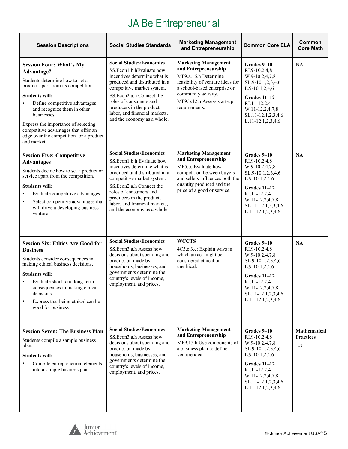# JA Be Entrepreneurial

| <b>Session Descriptions</b>                                                                                                                                                                                                                                                                                                                                           | <b>Social Studies Standards</b>                                                                                                                                                                                                                                                                                | <b>Marketing Management</b><br>and Entrepreneurship                                                                                                                                                                   | <b>Common Core ELA</b>                                                                                                                                                              | Common<br><b>Core Math</b>                         |
|-----------------------------------------------------------------------------------------------------------------------------------------------------------------------------------------------------------------------------------------------------------------------------------------------------------------------------------------------------------------------|----------------------------------------------------------------------------------------------------------------------------------------------------------------------------------------------------------------------------------------------------------------------------------------------------------------|-----------------------------------------------------------------------------------------------------------------------------------------------------------------------------------------------------------------------|-------------------------------------------------------------------------------------------------------------------------------------------------------------------------------------|----------------------------------------------------|
| <b>Session Four: What's My</b><br>Advantage?<br>Students determine how to set a<br>product apart from its competition<br><b>Students will:</b><br>Define competitive advantages<br>and recognize them in other<br>businesses<br>Express the importance of selecting<br>competitive advantages that offer an<br>edge over the competition for a product<br>and market. | <b>Social Studies/Economics</b><br>SS.Econ1.b.hEvaluate how<br>incentives determine what is<br>produced and distributed in a<br>competitive market system.<br>SS.Econ2.a.h Connect the<br>roles of consumers and<br>producers in the product,<br>labor, and financial markets,<br>and the economy as a whole.  | <b>Marketing Management</b><br>and Entrepreneurship<br>MF9.a.16.h Determine<br>feasibility of venture ideas for<br>a school-based enterprise or<br>community activity.<br>MF9.b.12.h Assess start-up<br>requirements. | Grades 9–10<br>RI.9-10.2,4,8<br>W.9-10.2,4,7,8<br>SL.9-10.1,2,3,4,6<br>L.9-10.1,2,4,6<br>Grades 11-12<br>RI.11-12.2,4<br>W.11-12.2,4,7,8<br>SL.11-12.1,2,3,4,6<br>L.11-12.1,2,3,4,6 | NA                                                 |
| <b>Session Five: Competitive</b><br><b>Advantages</b><br>Students decide how to set a product or<br>service apart from the competition.<br><b>Students will:</b><br>Evaluate competitive advantages<br>Select competitive advantages that<br>$\bullet$<br>will drive a developing business<br>venture                                                                 | <b>Social Studies/Economics</b><br>SS. Econ1.b.h Evaluate how<br>incentives determine what is<br>produced and distributed in a<br>competitive market system.<br>SS.Econ2.a.h Connect the<br>roles of consumers and<br>producers in the product,<br>labor, and financial markets,<br>and the economy as a whole | <b>Marketing Management</b><br>and Entrepreneurship<br>MF5.b: Evaluate how<br>competition between buyers<br>and sellers influences both the<br>quantity produced and the<br>price of a good or service.               | Grades 9-10<br>RI.9-10.2,4,8<br>W.9-10.2,4,7,8<br>SL.9-10.1,2,3,4,6<br>L.9-10.1,2,4,6<br>Grades 11-12<br>RI.11-12.2,4<br>W.11-12.2,4,7,8<br>SL.11-12.1,2,3,4,6<br>L.11-12.1,2,3,4,6 | <b>NA</b>                                          |
| <b>Session Six: Ethics Are Good for</b><br><b>Business</b><br>Students consider consequences in<br>making ethical business decisions.<br><b>Students will:</b><br>Evaluate short- and long-term<br>consequences in making ethical<br>decisions<br>Express that being ethical can be<br>good for business                                                              | <b>Social Studies/Economics</b><br>SS.Econ3.a.h Assess how<br>decisions about spending and<br>production made by<br>households, businesses, and<br>governments determine the<br>country's levels of income,<br>employment, and prices.                                                                         | <b>WCCTS</b><br>4C3.c.3.e: Explain ways in<br>which an act might be<br>considered ethical or<br>unethical.                                                                                                            | Grades 9-10<br>RI.9-10.2,4,8<br>W.9-10.2,4,7,8<br>SL.9-10.1,2,3,4,6<br>L.9-10.1,2,4,6<br>Grades 11-12<br>RI.11-12.2,4<br>W.11-12.2,4,7,8<br>SL.11-12.1,2,3,4,6<br>L.11-12.1,2,3,4,6 | <b>NA</b>                                          |
| <b>Session Seven: The Business Plan</b><br>Students compile a sample business<br>plan.<br><b>Students will:</b><br>Compile entrepreneurial elements<br>into a sample business plan                                                                                                                                                                                    | <b>Social Studies/Economics</b><br>SS.Econ3.a.h Assess how<br>decisions about spending and<br>production made by<br>households, businesses, and<br>governments determine the<br>country's levels of income,<br>employment, and prices.                                                                         | <b>Marketing Management</b><br>and Entrepreneurship<br>MF9.15.h Use components of<br>a business plan to define<br>venture idea.                                                                                       | Grades 9-10<br>RI.9-10.2,4,8<br>W.9-10.2,4,7,8<br>SL.9-10.1,2,3,4,6<br>L.9-10.1,2,4,6<br>Grades 11-12<br>RI.11-12.2,4<br>W.11-12.2,4,7,8<br>SL.11-12.1,2,3,4,6<br>L.11-12.1,2,3,4,6 | <b>Mathematical</b><br><b>Practices</b><br>$1 - 7$ |

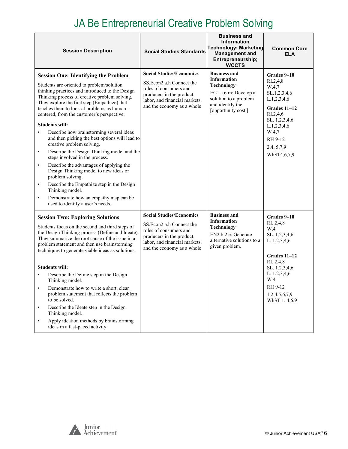#### JA Be Entrepreneurial Creative Problem Solving

| <b>Session Description</b>                                                                                                                                                                                                                                                                                                                                                                                                                                                                                                                                                                                                                                                                                                                                                                                                                                                                         | <b>Social Studies Standards</b>                                                                                                                                                   | <b>Business and</b><br>Information<br><b>Technology; Marketing</b><br><b>Management and</b><br>Entrepreneurship;<br><b>WCCTS</b>                           | <b>Common Core</b><br><b>ELA</b>                                                                                                                                                          |
|----------------------------------------------------------------------------------------------------------------------------------------------------------------------------------------------------------------------------------------------------------------------------------------------------------------------------------------------------------------------------------------------------------------------------------------------------------------------------------------------------------------------------------------------------------------------------------------------------------------------------------------------------------------------------------------------------------------------------------------------------------------------------------------------------------------------------------------------------------------------------------------------------|-----------------------------------------------------------------------------------------------------------------------------------------------------------------------------------|------------------------------------------------------------------------------------------------------------------------------------------------------------|-------------------------------------------------------------------------------------------------------------------------------------------------------------------------------------------|
| <b>Session One: Identifying the Problem</b><br>Students are oriented to problem/solution<br>thinking practices and introduced to the Design<br>Thinking process of creative problem solving.<br>They explore the first step (Empathize) that<br>teaches them to look at problems as human-<br>centered, from the customer's perspective.<br><b>Students will:</b><br>Describe how brainstorming several ideas<br>$\bullet$<br>and then picking the best options will lead to<br>creative problem solving.<br>Describe the Design Thinking model and the<br>$\bullet$<br>steps involved in the process.<br>Describe the advantages of applying the<br>$\bullet$<br>Design Thinking model to new ideas or<br>problem solving.<br>Describe the Empathize step in the Design<br>$\bullet$<br>Thinking model.<br>Demonstrate how an empathy map can be<br>$\bullet$<br>used to identify a user's needs. | <b>Social Studies/Economics</b><br>SS.Econ2.a.h Connect the<br>roles of consumers and<br>producers in the product,<br>labor, and financial markets,<br>and the economy as a whole | <b>Business and</b><br><b>Information</b><br><b>Technology</b><br>EC1.a.6.m: Develop a<br>solution to a problem<br>and identify the<br>[opportunity cost.] | Grades 9-10<br>RI.2,4,8<br>W.4,7<br>SL.1,2,3,4,6<br>L.1,2,3,4,6<br>Grades 11–12<br>RI.2,4,6<br>SL. 1,2,3,4,6<br>L.1,2,3,4,6<br>W 4,7<br>RH 9-12<br>2,4, 5, 7, 9<br>WhST4,6,7,9            |
| <b>Session Two: Exploring Solutions</b><br>Students focus on the second and third steps of<br>the Design Thinking process (Define and Ideate).<br>They summarize the root cause of the issue in a<br>problem statement and then use brainstorming<br>techniques to generate viable ideas as solutions.<br><b>Students will:</b><br>Describe the Define step in the Design<br>Thinking model.<br>Demonstrate how to write a short, clear<br>$\bullet$<br>problem statement that reflects the problem<br>to be solved.<br>Describe the Ideate step in the Design<br>$\bullet$<br>Thinking model.<br>Apply ideation methods by brainstorming<br>ideas in a fast-paced activity.                                                                                                                                                                                                                       | <b>Social Studies/Economics</b><br>SS.Econ2.a.h Connect the<br>roles of consumers and<br>producers in the product,<br>labor, and financial markets,<br>and the economy as a whole | <b>Business and</b><br><b>Information</b><br><b>Technology</b><br>EN2.b.2.e: Generate<br>alternative solutions to a<br>given problem.                      | Grades 9-10<br>RI. 2,4,8<br>W.4<br>SL. 1,2,3,4,6<br>L. 1,2,3,4,6<br><b>Grades 11-12</b><br>RI. 2,4,8<br>SL. 1,2,3,4,6<br>L. 1,2,3,4,6<br>W 4<br>RH 9-12<br>1,2,4,5,6,7,9<br>WhST 1, 4,6,9 |

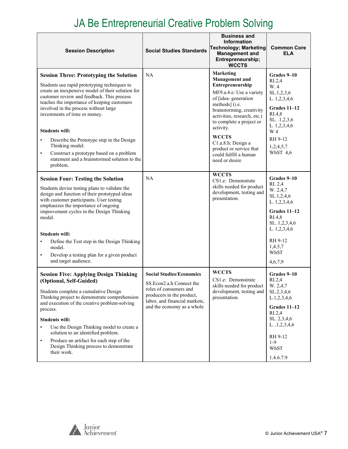### JA Be Entrepreneurial Creative Problem Solving

| <b>Session Description</b>                                                                                                                                                                                                                                                                                                                                                                                                                                                                                                                            | <b>Social Studies Standards</b>                                                                                                                                                   | <b>Business and</b><br><b>Information</b><br><b>Technology; Marketing</b><br><b>Management and</b><br>Entrepreneurship;<br><b>WCCTS</b>                                                                                                                                                                                                             | <b>Common Core</b><br>ELA                                                                                                                                                        |
|-------------------------------------------------------------------------------------------------------------------------------------------------------------------------------------------------------------------------------------------------------------------------------------------------------------------------------------------------------------------------------------------------------------------------------------------------------------------------------------------------------------------------------------------------------|-----------------------------------------------------------------------------------------------------------------------------------------------------------------------------------|-----------------------------------------------------------------------------------------------------------------------------------------------------------------------------------------------------------------------------------------------------------------------------------------------------------------------------------------------------|----------------------------------------------------------------------------------------------------------------------------------------------------------------------------------|
| <b>Session Three: Prototyping the Solution</b><br>Students use rapid prototyping techniques to<br>create an inexpensive model of their solution for<br>customer review and feedback. This process<br>teaches the importance of keeping customers<br>involved in the process without large<br>investments of time or money.<br><b>Students will:</b><br>Describe the Prototype step in the Design<br>$\bullet$<br>Thinking model.<br>Construct a prototype based on a problem<br>$\bullet$<br>statement and a brainstormed solution to the<br>problem. | NA                                                                                                                                                                                | <b>Marketing</b><br><b>Management</b> and<br>Entrepreneurship<br>MF9.a.4.e: Use a variety<br>of [idea-generation<br>methods] (i.e.<br>brainstorming, creativity<br>activities, research, etc.)<br>to complete a project or<br>activity.<br><b>WCCTS</b><br>C1.a.8.h: Design a<br>product or service that<br>could fulfill a human<br>need or desire | Grades 9–10<br>R <sub>L</sub> 2,4<br>W.4<br>SL.1,2,3,6<br>L. 1,2,3,4,6<br>Grades 11-12<br>RI.4,8<br>SL. .1,2,3,6<br>L. 1,2,3,4,6<br>W 4<br>RH 9-12<br>1,2,4,5,7<br>WhST $4,6$    |
| <b>Session Four: Testing the Solution</b><br>Students devise testing plans to validate the<br>design and function of their prototyped ideas<br>with customer participants. User testing<br>emphasizes the importance of ongoing<br>improvement cycles in the Design Thinking<br>model.<br><b>Students will:</b><br>Define the Test step in the Design Thinking<br>model.<br>Develop a testing plan for a given product<br>$\bullet$<br>and target audience.                                                                                           | <b>NA</b>                                                                                                                                                                         | <b>WCCTS</b><br>CS1.e: Demonstrate<br>skills needed for product<br>development, testing and<br>presentation.                                                                                                                                                                                                                                        | Grades 9–10<br>RI. 2,4<br>W. 2,4,7<br>SL.1,2,4,6<br>L. 1,2,3,4,6<br>Grades 11-12<br>R <sub>I.4,8</sub><br>SL. 1,2,3,4,6<br>L. 1,2,3,4,6<br>RH 9-12<br>1,4,5,7<br>WhST<br>4,6,7,9 |
| <b>Session Five: Applying Design Thinking</b><br>(Optional, Self-Guided)<br>Students complete a cumulative Design<br>Thinking project to demonstrate comprehension<br>and execution of the creative problem-solving<br>process.<br><b>Students will:</b><br>Use the Design Thinking model to create a<br>$\bullet$<br>solution to an identified problem.<br>Produce an artifact for each step of the<br>$\bullet$<br>Design Thinking process to demonstrate<br>their work.                                                                            | <b>Social Studies/Economics</b><br>SS.Econ2.a.h Connect the<br>roles of consumers and<br>producers in the product,<br>labor, and financial markets,<br>and the economy as a whole | <b>WCCTS</b><br>CS1.e: Demonstrate<br>skills needed for product<br>development, testing and<br>presentation.                                                                                                                                                                                                                                        | Grades 9-10<br>R <sub>L</sub> 2,4<br>W. 2,4,7<br>SL.2,3,4,6<br>L.1,2,3,4,6<br>Grades 11-12<br>RI.2,4<br>SL. 2,3,4,6<br>L. .1,2,3,4,6<br>RH 9-12<br>$1-9$<br>WhST<br>1.4.6.7.9    |

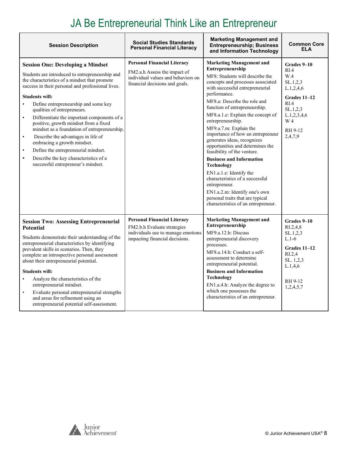# JA Be Entrepreneurial Think Like an Entrepreneur

| <b>Session Description</b>                                                                                                                                                                                                                                                                                                                                                                                                                                                                                                                                                                                                                                                                            | <b>Social Studies Standards</b><br><b>Personal Financial Literacy</b>                                                                      | <b>Marketing Management and</b><br><b>Entrepreneurship; Business</b><br>and Information Technology                                                                                                                                                                                                                                                                                                                                                                                                                                                                                                                                                                                                                            | <b>Common Core</b><br>ELA                                                                                                                                              |
|-------------------------------------------------------------------------------------------------------------------------------------------------------------------------------------------------------------------------------------------------------------------------------------------------------------------------------------------------------------------------------------------------------------------------------------------------------------------------------------------------------------------------------------------------------------------------------------------------------------------------------------------------------------------------------------------------------|--------------------------------------------------------------------------------------------------------------------------------------------|-------------------------------------------------------------------------------------------------------------------------------------------------------------------------------------------------------------------------------------------------------------------------------------------------------------------------------------------------------------------------------------------------------------------------------------------------------------------------------------------------------------------------------------------------------------------------------------------------------------------------------------------------------------------------------------------------------------------------------|------------------------------------------------------------------------------------------------------------------------------------------------------------------------|
| <b>Session One: Developing a Mindset</b><br>Students are introduced to entrepreneurship and<br>the characteristics of a mindset that promote<br>success in their personal and professional lives.<br><b>Students will:</b><br>Define entrepreneurship and some key<br>$\bullet$<br>qualities of entrepreneurs.<br>Differentiate the important components of a<br>$\bullet$<br>positive, growth mindset from a fixed<br>mindset as a foundation of entrepreneurship.<br>Describe the advantages in life of<br>$\bullet$<br>embracing a growth mindset.<br>Define the entrepreneurial mindset.<br>$\bullet$<br>Describe the key characteristics of a<br>$\bullet$<br>successful entrepreneur's mindset. | <b>Personal Financial Literacy</b><br>FM2.a.h Assess the impact of<br>individual values and behaviors on<br>financial decisions and goals. | <b>Marketing Management and</b><br>Entrepreneurship<br>MF8: Students will describe the<br>concepts and processes associated<br>with successful entrepreneurial<br>performance.<br>MF8.a: Describe the role and<br>function of entrepreneurship.<br>MF8.a.1.e: Explain the concept of<br>entrepreneurship.<br>MF9.a.7.m: Explain the<br>importance of how an entrepreneur<br>generates ideas, recognizes<br>opportunities and determines the<br>feasibility of the venture.<br><b>Business and Information</b><br><b>Technology</b><br>EN1.a.1.e: Identify the<br>characteristics of a successful<br>entrepreneur.<br>EN1.a.2.m: Identify one's own<br>personal traits that are typical<br>characteristics of an entrepreneur. | Grades 9-10<br>R <sub>L</sub> 4<br>W.4<br>SL.1, 2, 3<br>L.1, 2, 4, 6<br>Grades 11-12<br>R <sub>L</sub> 4<br>SL.1, 2, 3<br>L.1, 2, 3, 4, 6<br>W 4<br>RH 9-12<br>2,4,7,9 |
| <b>Session Two: Assessing Entrepreneurial</b><br><b>Potential</b><br>Students demonstrate their understanding of the<br>entrepreneurial characteristics by identifying<br>prevalent skills in scenarios. Then, they<br>complete an introspective personal assessment<br>about their entrepreneurial potential.<br><b>Students will:</b><br>Analyze the characteristics of the<br>$\bullet$<br>entrepreneurial mindset.<br>Evaluate personal entrepreneurial strengths<br>$\bullet$<br>and areas for refinement using an<br>entrepreneurial potential self-assessment.                                                                                                                                 | <b>Personal Financial Literacy</b><br>FM2.b.h Evaluate strategies<br>individuals use to manage emotions<br>impacting financial decisions.  | <b>Marketing Management and</b><br>Entrepreneurship<br>MF9.a.12.h: Discuss<br>entrepreneurial discovery<br>processes.<br>MF8.a.14.h: Conduct a self-<br>assessment to determine<br>entrepreneurial potential.<br><b>Business and Information</b><br><b>Technology</b><br>EN1.a.4.h: Analyze the degree to<br>which one possesses the<br>characteristics of an entrepreneur.                                                                                                                                                                                                                                                                                                                                                   | Grades 9-10<br>RI.2,4,8<br>SL.1, 2, 3<br>$L.1-6$<br>Grades 11-12<br>R <sub>L.2,4</sub><br>SL. 1,2,3<br>L.1,4,6<br>RH 9-12<br>1,2,4,5,7                                 |

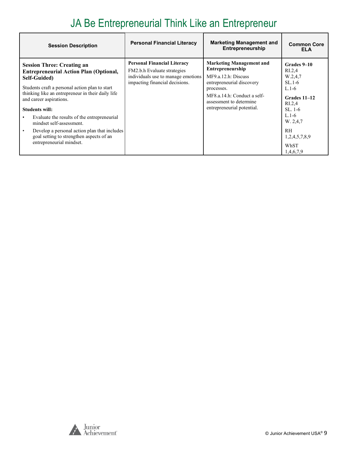#### JA Be Entrepreneurial Think Like an Entrepreneur

| <b>Session Description</b>                                                                                                                                                                                                                                                                                                                                                                                                                                                    | <b>Personal Financial Literacy</b>                                                                                                        | <b>Marketing Management and</b><br>Entrepreneurship                                                                                                                                                           | <b>Common Core</b><br>ELA                                                                                                                                                                      |
|-------------------------------------------------------------------------------------------------------------------------------------------------------------------------------------------------------------------------------------------------------------------------------------------------------------------------------------------------------------------------------------------------------------------------------------------------------------------------------|-------------------------------------------------------------------------------------------------------------------------------------------|---------------------------------------------------------------------------------------------------------------------------------------------------------------------------------------------------------------|------------------------------------------------------------------------------------------------------------------------------------------------------------------------------------------------|
| <b>Session Three: Creating an</b><br><b>Entrepreneurial Action Plan (Optional,</b><br>Self-Guided)<br>Students craft a personal action plan to start<br>thinking like an entrepreneur in their daily life<br>and career aspirations.<br><b>Students will:</b><br>Evaluate the results of the entrepreneurial<br>mindset self-assessment.<br>Develop a personal action plan that includes<br>$\bullet$<br>goal setting to strengthen aspects of an<br>entrepreneurial mindset. | <b>Personal Financial Literacy</b><br>FM2.b.h Evaluate strategies<br>individuals use to manage emotions<br>impacting financial decisions. | <b>Marketing Management and</b><br>Entrepreneurship<br>MF9.a.12.h: Discuss<br>entrepreneurial discovery<br>processes.<br>MF8.a.14.h: Conduct a self-<br>assessment to determine<br>entrepreneurial potential. | Grades 9-10<br>R <sub>L.2,4</sub><br>W.2,4,7<br>$SL.1-6$<br>$L.1-6$<br>Grades 11–12<br>R <sub>L.2,4</sub><br>SL, 1-6<br>$L.1-6$<br>W. 2,4,7<br><b>RH</b><br>1,2,4,5,7,8,9<br>WhST<br>1,4,6,7,9 |

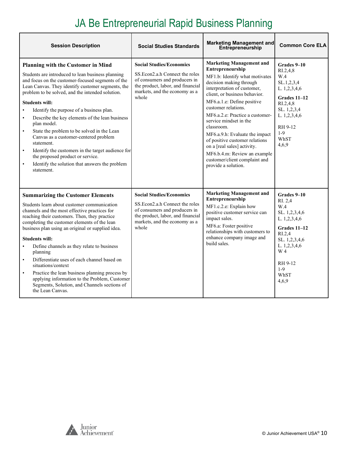### JA Be Entrepreneurial Rapid Business Planning

| <b>Session Description</b>                                                                                                                                                                                                                                                                                                                                                                                                                                                                                                                                                                                                                                                                                                        | <b>Social Studies Standards</b>                                                                                                                                                    | <b>Marketing Management and</b><br>Entrepreneurship                                                                                                                                                                                                                                                                                                                                                                                                                                                         | <b>Common Core ELA</b>                                                                                                                                                            |
|-----------------------------------------------------------------------------------------------------------------------------------------------------------------------------------------------------------------------------------------------------------------------------------------------------------------------------------------------------------------------------------------------------------------------------------------------------------------------------------------------------------------------------------------------------------------------------------------------------------------------------------------------------------------------------------------------------------------------------------|------------------------------------------------------------------------------------------------------------------------------------------------------------------------------------|-------------------------------------------------------------------------------------------------------------------------------------------------------------------------------------------------------------------------------------------------------------------------------------------------------------------------------------------------------------------------------------------------------------------------------------------------------------------------------------------------------------|-----------------------------------------------------------------------------------------------------------------------------------------------------------------------------------|
| <b>Planning with the Customer in Mind</b><br>Students are introduced to lean business planning<br>and focus on the customer-focused segments of the<br>Lean Canvas. They identify customer segments, the<br>problem to be solved, and the intended solution.<br><b>Students will:</b><br>Identify the purpose of a business plan.<br>$\bullet$<br>Describe the key elements of the lean business<br>$\bullet$<br>plan model.<br>State the problem to be solved in the Lean<br>$\bullet$<br>Canvas as a customer-centered problem<br>statement.<br>Identify the customers in the target audience for<br>$\bullet$<br>the proposed product or service.<br>Identify the solution that answers the problem<br>$\bullet$<br>statement. | <b>Social Studies/Economics</b><br>SS. Econ2.a.h Connect the roles<br>of consumers and producers in<br>the product, labor, and financial<br>markets, and the economy as a<br>whole | <b>Marketing Management and</b><br>Entrepreneurship<br>MF1.b: Identify what motivates<br>decision making through<br>interpretation of customer,<br>client, or business behavior.<br>MF6.a.1.e: Define positive<br>customer relations.<br>MF6.a.2.e: Practice a customer-<br>service mindset in the<br>classroom.<br>MF6.a.9.h: Evaluate the impact<br>of positive customer relations<br>on a [real sales] activity.<br>MF6.b.4.m: Review an example<br>customer/client complaint and<br>provide a solution. | Grades 9-10<br>RI.2,4,8<br>W.4<br>SL.1,2,3,4<br>L. 1,2,3,4,6<br>Grades 11-12<br>RI.2,4,8<br>SL. 1,2,3,4<br>L. 1,2,3,4,6<br>RH 9-12<br>$1-9$<br>WhST<br>4,6,9                      |
| <b>Summarizing the Customer Elements</b><br>Students learn about customer communication<br>channels and the most effective practices for<br>reaching their customers. Then, they practice<br>completing the customer elements of the lean<br>business plan using an original or supplied idea.<br><b>Students will:</b><br>Define channels as they relate to business<br>planning<br>Differentiate uses of each channel based on<br>$\bullet$<br>situations/context<br>Practice the lean business planning process by<br>$\bullet$<br>applying information to the Problem, Customer<br>Segments, Solution, and Channels sections of<br>the Lean Canvas.                                                                           | <b>Social Studies/Economics</b><br>SS. Econ2.a.h Connect the roles<br>of consumers and producers in<br>the product, labor, and financial<br>markets, and the economy as a<br>whole | <b>Marketing Management and</b><br>Entrepreneurship<br>MF1.c.2.e: Explain how<br>positive customer service can<br>impact sales.<br>MF6.a: Foster positive<br>relationships with customers to<br>enhance company image and<br>build sales.                                                                                                                                                                                                                                                                   | Grades 9-10<br>RI. 2.4<br>W.4<br>SL. 1,2,3,4,6<br>L. 1,2,3,4,6<br>Grades 11-12<br>R <sub>I.2.4</sub><br>SL. 1,2,3,4,6<br>L. 1,2,3,4,6<br>W 4<br>RH 9-12<br>$1-9$<br>WhST<br>4,6,9 |

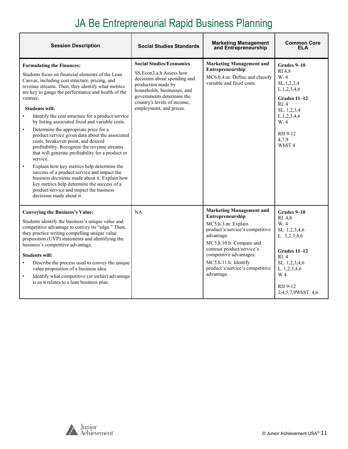### JA Be Entrepreneurial Rapid Business Planning

| <b>Session Description</b>                                                                                                                                                                                                                                                                                                                                                                                                                                                                                                                                                                                                                                                                                                                                                                                                                                                                                                                                   | <b>Social Studies Standards</b>                                                                                                                                                                                                        | <b>Marketing Management</b><br>and Entrepreneurship                                                                                                                                                                                                                                     | <b>Common Core</b><br>ELA                                                                                                                                      |
|--------------------------------------------------------------------------------------------------------------------------------------------------------------------------------------------------------------------------------------------------------------------------------------------------------------------------------------------------------------------------------------------------------------------------------------------------------------------------------------------------------------------------------------------------------------------------------------------------------------------------------------------------------------------------------------------------------------------------------------------------------------------------------------------------------------------------------------------------------------------------------------------------------------------------------------------------------------|----------------------------------------------------------------------------------------------------------------------------------------------------------------------------------------------------------------------------------------|-----------------------------------------------------------------------------------------------------------------------------------------------------------------------------------------------------------------------------------------------------------------------------------------|----------------------------------------------------------------------------------------------------------------------------------------------------------------|
| <b>Formulating the Finances:</b><br>Students focus on financial elements of the Lean<br>Canvas, including cost structure, pricing, and<br>revenue streams. Then, they identify what metrics<br>are key to gauge the performance and health of the<br>venture.<br><b>Students will:</b><br>Identify the cost structure for a product/service<br>$\bullet$<br>by listing associated fixed and variable costs.<br>Determine the appropriate price for a<br>$\bullet$<br>product/service given data about the associated<br>costs, breakeven point, and desired<br>profitability. Recognize the revenue streams<br>that will generate profitability for a product or<br>service.<br>Explain how key metrics help determine the<br>$\bullet$<br>success of a product/service and impact the<br>business decisions made about it. Explain how<br>key metrics help determine the success of a<br>product/service and impact the business<br>decisions made about it | <b>Social Studies/Economics</b><br>SS.Econ3.a.h Assess how<br>decisions about spending and<br>production made by<br>households, businesses, and<br>governments determine the<br>country's levels of income,<br>employment, and prices. | <b>Marketing Management and</b><br>Entrepreneurship<br>MC6.b.4.m: Define and classify<br>variable and fixed costs.                                                                                                                                                                      | Grades 9-10<br>RI.4,8<br>W.4<br>SL.1,2,3,4<br>L.1, 2, 3, 4, 6<br>Grades 11-12<br>RI.4<br>SL. 1,2,3,4<br>L.1, 2, 3, 4, 6<br>W.4<br>RH 9-12<br>4,7,9<br>WhST4    |
| <b>Conveying the Business's Value:</b><br>Students identify the business's unique value and<br>competitive advantage to convey its "edge." Then,<br>they practice writing compelling unique value<br>proposition (UVP) statements and identifying the<br>business's competitive advantage.<br><b>Students will:</b><br>Describe the process used to convey the unique<br>value proposition of a business idea.<br>Identify what competitive (or unfair) advantage<br>$\bullet$<br>is as it relates to a lean business plan.                                                                                                                                                                                                                                                                                                                                                                                                                                  | NA                                                                                                                                                                                                                                     | <b>Marketing Management and</b><br>Entrepreneurship<br>MC5.h.3.m: Explain<br>product's/service's competitive<br>advantage.<br>MC5.h.10.h: Compare and<br>contrast product/service's<br>competitive advantages.<br>MC5.h.11.h: Identify<br>product's/service's competitive<br>advantage. | Grades 9-10<br>RI. 4,8<br>W.4<br>SL. 1,2,3,4,6<br>L. 1,2,3,4,6<br>Grades 11-12<br>RI.4<br>SL. 1,2,3,4,6<br>L. 1,2,3,4,6<br>W 4<br>RH 9-12<br>2,4,5,7,9WhST 4,6 |

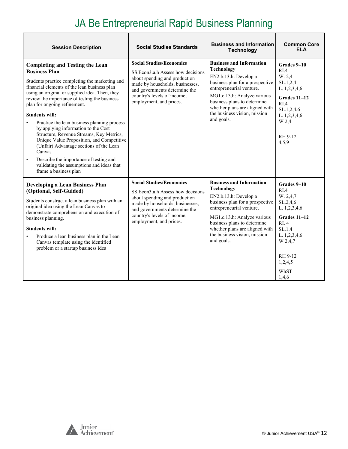### JA Be Entrepreneurial Rapid Business Planning

| <b>Session Description</b>                                                                                                                                                                                                                                                                                                                                                                                                                                                                                                                                                                                                                                                                    | <b>Social Studies Standards</b>                                                                                                                                                                                                      | <b>Business and Information</b><br><b>Technology</b>                                                                                                                                                                                                                                       | <b>Common Core</b><br><b>ELA</b>                                                                                                                                       |
|-----------------------------------------------------------------------------------------------------------------------------------------------------------------------------------------------------------------------------------------------------------------------------------------------------------------------------------------------------------------------------------------------------------------------------------------------------------------------------------------------------------------------------------------------------------------------------------------------------------------------------------------------------------------------------------------------|--------------------------------------------------------------------------------------------------------------------------------------------------------------------------------------------------------------------------------------|--------------------------------------------------------------------------------------------------------------------------------------------------------------------------------------------------------------------------------------------------------------------------------------------|------------------------------------------------------------------------------------------------------------------------------------------------------------------------|
| <b>Completing and Testing the Lean</b><br><b>Business Plan</b><br>Students practice completing the marketing and<br>financial elements of the lean business plan<br>using an original or supplied idea. Then, they<br>review the importance of testing the business<br>plan for ongoing refinement.<br><b>Students will:</b><br>Practice the lean business planning process<br>by applying information to the Cost<br>Structure, Revenue Streams, Key Metrics,<br>Unique Value Proposition, and Competitive<br>(Unfair) Advantage sections of the Lean<br>Canvas<br>Describe the importance of testing and<br>$\bullet$<br>validating the assumptions and ideas that<br>frame a business plan | <b>Social Studies/Economics</b><br>SS. Econ3.a.h Assess how decisions<br>about spending and production<br>made by households, businesses,<br>and governments determine the<br>country's levels of income,<br>employment, and prices. | <b>Business and Information</b><br><b>Technology</b><br>EN2.b.13.h: Develop a<br>business plan for a prospective<br>entrepreneurial venture.<br>MG1.c.13.h: Analyze various<br>business plans to determine<br>whether plans are aligned with<br>the business vision, mission<br>and goals. | Grades 9-10<br>R <sub>I.4</sub><br>W. 2,4<br>SL.1, 2, 4<br>L. 1,2,3,4,6<br>Grades 11-12<br>R <sub>I.4</sub><br>SL.1,2,4,6<br>L. 1,2,3,4,6<br>W 2.4<br>RH 9-12<br>4.5.9 |
| <b>Developing a Lean Business Plan</b><br>(Optional, Self-Guided)<br>Students construct a lean business plan with an<br>original idea using the Lean Canvas to<br>demonstrate comprehension and execution of<br>business planning.<br><b>Students will:</b><br>Produce a lean business plan in the Lean<br>Canvas template using the identified<br>problem or a startup business idea                                                                                                                                                                                                                                                                                                         | <b>Social Studies/Economics</b><br>SS. Econ3.a.h Assess how decisions<br>about spending and production<br>made by households, businesses,<br>and governments determine the<br>country's levels of income,<br>employment, and prices. | <b>Business and Information</b><br><b>Technology</b><br>EN2.b.13.h: Develop a<br>business plan for a prospective<br>entrepreneurial venture.<br>MG1.c.13.h: Analyze various<br>business plans to determine<br>whether plans are aligned with<br>the business vision, mission<br>and goals. | Grades 9-10<br>RIA<br>W. 2,4,7<br>SL.2,4,6<br>L. 1,2,3,4,6<br>Grades 11-12<br>RI. 4<br>SL.1.4<br>L. 1,2,3,4,6<br>W 2,4,7<br>RH 9-12<br>1,2,4,5<br>WhST<br>1.4.6        |

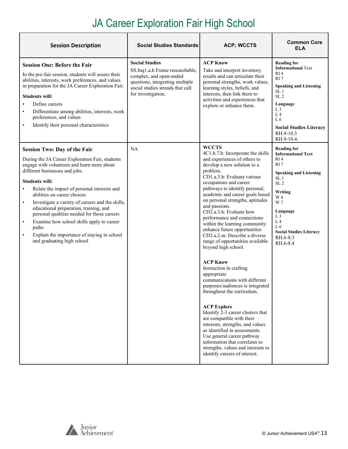# JA Career Exploration Fair High School

<span id="page-12-0"></span>

| <b>Session Description</b>                                                                                                                                                                                                                                                                                                                                                                                                                                                                                                                                                                            | <b>Social Studies Standards</b>                                                                                                                                                  | <b>ACP; WCCTS</b>                                                                                                                                                                                                                                                                                                                                                                                                                                                                                                                                                                                                                                                                                                                                                                                                                                                                                                                                                                                          | <b>Common Core</b><br><b>ELA</b>                                                                                                                                                                                                                                                                                  |
|-------------------------------------------------------------------------------------------------------------------------------------------------------------------------------------------------------------------------------------------------------------------------------------------------------------------------------------------------------------------------------------------------------------------------------------------------------------------------------------------------------------------------------------------------------------------------------------------------------|----------------------------------------------------------------------------------------------------------------------------------------------------------------------------------|------------------------------------------------------------------------------------------------------------------------------------------------------------------------------------------------------------------------------------------------------------------------------------------------------------------------------------------------------------------------------------------------------------------------------------------------------------------------------------------------------------------------------------------------------------------------------------------------------------------------------------------------------------------------------------------------------------------------------------------------------------------------------------------------------------------------------------------------------------------------------------------------------------------------------------------------------------------------------------------------------------|-------------------------------------------------------------------------------------------------------------------------------------------------------------------------------------------------------------------------------------------------------------------------------------------------------------------|
| <b>Session One: Before the Fair</b><br>In the pre-fair session, students will assess their<br>abilities, interests, work preferences, and values<br>in preparation for the JA Career Exploration Fair.<br><b>Students will:</b><br>Define careers<br>Differentiate among abilities, interests, work<br>$\bullet$<br>preferences, and values<br>Identify their personal characteristics<br>$\bullet$                                                                                                                                                                                                   | <b>Social Studies</b><br>SS.Inq1.a.h Frame researchable,<br>complex, and open-ended<br>questions, integrating multiple<br>social studies strands that call<br>for investigation. | <b>ACP Know</b><br>Take and interpret inventory<br>results and can articulate their<br>personal strengths, work values,<br>learning styles, beliefs, and<br>interests, then link them to<br>activities and experiences that<br>explore or enhance them.                                                                                                                                                                                                                                                                                                                                                                                                                                                                                                                                                                                                                                                                                                                                                    | <b>Reading for</b><br><b>Informational Text</b><br>RI <sub>4</sub><br>RI <sub>7</sub><br><b>Speaking and Listening</b><br>SL <sub>1</sub><br>SL <sub>2</sub><br>Language<br>L <sub>3</sub><br>L <sub>4</sub><br>L6<br><b>Social Studies Literacy</b><br>RH.9-10.3<br>RH.9-10.4.                                   |
| <b>Session Two: Day of the Fair</b><br>During the JA Career Exploration Fair, students<br>engage with volunteers and learn more about<br>different businesses and jobs.<br><b>Students will:</b><br>Relate the impact of personal interests and<br>abilities on career choices<br>Investigate a variety of careers and the skills,<br>$\bullet$<br>educational preparation, training, and<br>personal qualities needed for those careers<br>Examine how school skills apply to career<br>$\bullet$<br>paths<br>Explain the importance of staying in school<br>$\bullet$<br>and graduating high school | <b>NA</b>                                                                                                                                                                        | <b>WCCTS</b><br>4C1.b.7.h: Incorporate the skills<br>and experiences of others to<br>develop a new solution to a<br>problem.<br>CD1.a.3.h: Evaluate various<br>occupations and career<br>pathways to identify personal,<br>academic and career goals based<br>on personal strengths, aptitudes<br>and passions.<br>CD2.a.3.h: Evaluate how<br>performance and connections<br>within the learning community<br>enhance future opportunities<br>CD2.a.2.m: Describe a diverse<br>range of opportunities available<br>beyond high school.<br><b>ACP Know</b><br>Instruction in crafting<br>appropriate<br>communications with different<br>purposes/audiences is integrated<br>throughout the curriculum.<br><b>ACP Explore</b><br>Identify 2-3 career clusters that<br>are compatible with their<br>interests, strengths, and values<br>as identified in assessments.<br>Use general career pathway<br>information that correlates to<br>strengths, values and interests to<br>identify careers of interest. | <b>Reading for</b><br><b>Informational Text</b><br>RI <sub>4</sub><br>RI <sub>7</sub><br><b>Speaking and Listening</b><br>SL <sub>1</sub><br>SL <sub>2</sub><br>Writing<br>W 4<br>W 7<br>Language<br>L <sub>3</sub><br>L <sub>4</sub><br>L <sub>6</sub><br><b>Social Studies Literacy</b><br>RH.6-8.3<br>RH.6-8.4 |



 $\mathbf{r}$ 

Ĕ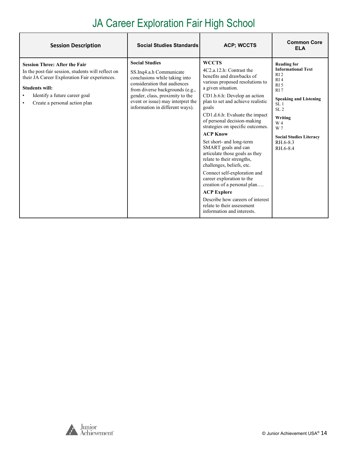# JA Career Exploration Fair High School

| <b>Session Description</b>                                                                                                                                                                                                                                       | <b>Social Studies Standards</b>                                                                                                                                                                                                                                 | <b>ACP; WCCTS</b>                                                                                                                                                                                                                                                                                                                                                                                                                                                                                                                                                                                                                                                                                      | <b>Common Core</b><br><b>ELA</b>                                                                                                                                                                                                                              |
|------------------------------------------------------------------------------------------------------------------------------------------------------------------------------------------------------------------------------------------------------------------|-----------------------------------------------------------------------------------------------------------------------------------------------------------------------------------------------------------------------------------------------------------------|--------------------------------------------------------------------------------------------------------------------------------------------------------------------------------------------------------------------------------------------------------------------------------------------------------------------------------------------------------------------------------------------------------------------------------------------------------------------------------------------------------------------------------------------------------------------------------------------------------------------------------------------------------------------------------------------------------|---------------------------------------------------------------------------------------------------------------------------------------------------------------------------------------------------------------------------------------------------------------|
| <b>Session Three: After the Fair</b><br>In the post-fair session, students will reflect on<br>their JA Career Exploration Fair experiences.<br><b>Students will:</b><br>Identify a future career goal<br>$\bullet$<br>Create a personal action plan<br>$\bullet$ | <b>Social Studies</b><br>SS.Inq4.a.h Communicate<br>conclusions while taking into<br>consideration that audiences<br>from diverse backgrounds (e.g.,<br>gender, class, proximity to the<br>event or issue) may interpret the<br>information in different ways). | <b>WCCTS</b><br>4C2.a.12.h: Contrast the<br>benefits and drawbacks of<br>various proposed resolutions to<br>a given situation.<br>CD1.b.6.h: Develop an action<br>plan to set and achieve realistic<br>goals<br>CD1.d.6.h: Evaluate the impact<br>of personal decision-making<br>strategies on specific outcomes.<br><b>ACP Know</b><br>Set short- and long-term<br>SMART goals and can<br>articulate those goals as they<br>relate to their strengths,<br>challenges, beliefs, etc.<br>Connect self-exploration and<br>career exploration to the<br>creation of a personal plan<br><b>ACP Explore</b><br>Describe how careers of interest<br>relate to their assessment<br>information and interests. | <b>Reading for</b><br><b>Informational Text</b><br>R12<br>RI4<br>RI <sub>5</sub><br>RI <sub>7</sub><br><b>Speaking and Listening</b><br>SL <sub>1</sub><br>SL <sub>2</sub><br>Writing<br>W 4<br>W 7<br><b>Social Studies Literacy</b><br>RH.6-8.3<br>RH.6-8.4 |

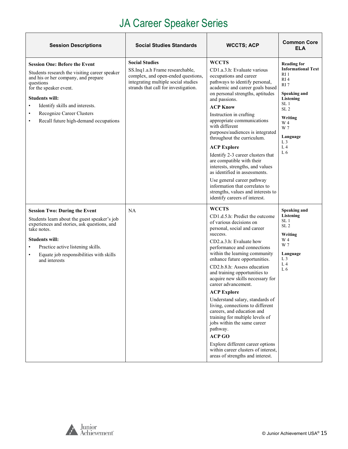# JA Career Speaker Series

| <b>Session Descriptions</b>                                                                                                                                                                                                                                                                                                                 | <b>Social Studies Standards</b>                                                                                                                                               | <b>WCCTS; ACP</b>                                                                                                                                                                                                                                                                                                                                                                                                                                                                                                 | <b>Common Core</b><br><b>ELA</b>                                                                                                                                                                                                                           |
|---------------------------------------------------------------------------------------------------------------------------------------------------------------------------------------------------------------------------------------------------------------------------------------------------------------------------------------------|-------------------------------------------------------------------------------------------------------------------------------------------------------------------------------|-------------------------------------------------------------------------------------------------------------------------------------------------------------------------------------------------------------------------------------------------------------------------------------------------------------------------------------------------------------------------------------------------------------------------------------------------------------------------------------------------------------------|------------------------------------------------------------------------------------------------------------------------------------------------------------------------------------------------------------------------------------------------------------|
| <b>Session One: Before the Event</b><br>Students research the visiting career speaker<br>and his or her company, and prepare<br>questions<br>for the speaker event.<br><b>Students will:</b><br>Identify skills and interests.<br>$\bullet$<br>Recognize Career Clusters<br>$\bullet$<br>Recall future high-demand occupations<br>$\bullet$ | <b>Social Studies</b><br>SS.Inq1.a.h Frame researchable,<br>complex, and open-ended questions,<br>integrating multiple social studies<br>strands that call for investigation. | <b>WCCTS</b><br>CD1.a.3.h: Evaluate various<br>occupations and career<br>pathways to identify personal,<br>academic and career goals based<br>on personal strengths, aptitudes<br>and passions.<br><b>ACP Know</b><br>Instruction in crafting<br>appropriate communications<br>with different<br>purposes/audiences is integrated<br>throughout the curriculum.<br><b>ACP Explore</b><br>Identify 2-3 career clusters that<br>are compatible with their                                                           | <b>Reading for</b><br><b>Informational Text</b><br>RI <sub>1</sub><br>RI <sub>4</sub><br>RI <sub>7</sub><br>Speaking and<br>Listening<br>SL <sub>1</sub><br>SL <sub>2</sub><br>Writing<br>W 4<br>W 7<br>Language<br>L <sub>3</sub><br>L <sub>4</sub><br>L6 |
|                                                                                                                                                                                                                                                                                                                                             |                                                                                                                                                                               | interests, strengths, and values<br>as identified in assessments.<br>Use general career pathway<br>information that correlates to<br>strengths, values and interests to<br>identify careers of interest.<br><b>WCCTS</b>                                                                                                                                                                                                                                                                                          |                                                                                                                                                                                                                                                            |
| <b>Session Two: During the Event</b><br>Students learn about the guest speaker's job<br>experiences and stories, ask questions, and<br>take notes.                                                                                                                                                                                          | <b>NA</b>                                                                                                                                                                     | CD1.d.5.h: Predict the outcome<br>of various decisions on<br>personal, social and career<br>success.                                                                                                                                                                                                                                                                                                                                                                                                              | Speaking and<br>Listening<br>SL <sub>1</sub><br>SL <sub>2</sub><br>Writing                                                                                                                                                                                 |
| <b>Students will:</b><br>Practice active listening skills.<br>$\bullet$<br>Equate job responsibilities with skills<br>$\bullet$<br>and interests                                                                                                                                                                                            |                                                                                                                                                                               | CD2.a.3.h: Evaluate how<br>performance and connections<br>within the learning community<br>enhance future opportunities.<br>CD2.b.8.h: Assess education<br>and training opportunities to<br>acquire new skills necessary for<br>career advancement.<br><b>ACP Explore</b><br>Understand salary, standards of<br>living, connections to different<br>careers, and education and<br>training for multiple levels of<br>jobs within the same career<br>pathway.<br><b>ACP GO</b><br>Explore different career options | W 4<br>W 7<br>Language<br>L <sub>3</sub><br>L <sub>4</sub><br>L6                                                                                                                                                                                           |
|                                                                                                                                                                                                                                                                                                                                             |                                                                                                                                                                               | within career clusters of interest,<br>areas of strengths and interest.                                                                                                                                                                                                                                                                                                                                                                                                                                           |                                                                                                                                                                                                                                                            |

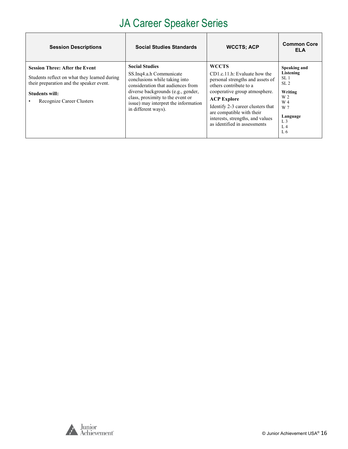# JA Career Speaker Series

| <b>Session Descriptions</b>                                                                                                                                                                  | <b>Social Studies Standards</b>                                                                                                                                                                                                                                 | <b>WCCTS; ACP</b>                                                                                                                                                                                                                                                                                          | <b>Common Core</b><br><b>ELA</b>                                                                                                           |
|----------------------------------------------------------------------------------------------------------------------------------------------------------------------------------------------|-----------------------------------------------------------------------------------------------------------------------------------------------------------------------------------------------------------------------------------------------------------------|------------------------------------------------------------------------------------------------------------------------------------------------------------------------------------------------------------------------------------------------------------------------------------------------------------|--------------------------------------------------------------------------------------------------------------------------------------------|
| <b>Session Three: After the Event</b><br>Students reflect on what they learned during<br>their preparation and the speaker event.<br><b>Students will:</b><br>Recognize Career Clusters<br>٠ | <b>Social Studies</b><br>SS.Inq4.a.h Communicate<br>conclusions while taking into<br>consideration that audiences from<br>diverse backgrounds (e.g., gender,<br>class, proximity to the event or<br>issue) may interpret the information<br>in different ways). | <b>WCCTS</b><br>$CD1.c.11.h$ : Evaluate how the<br>personal strengths and assets of<br>others contribute to a<br>cooperative group atmosphere.<br><b>ACP Explore</b><br>Identify 2-3 career clusters that<br>are compatible with their<br>interests, strengths, and values<br>as identified in assessments | Speaking and<br>Listening<br>SL <sub>1</sub><br>SL <sub>2</sub><br>Writing<br>W 2<br>W 4<br>W 7<br>Language<br>L <sub>3</sub><br>L4<br>L 6 |

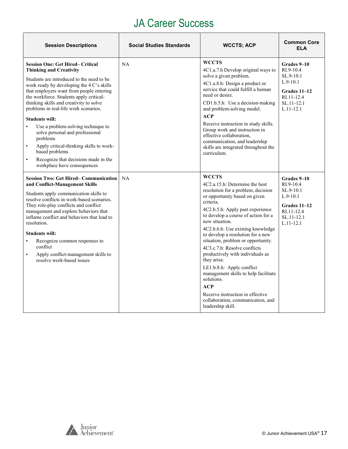<span id="page-16-0"></span>

| <b>Session Descriptions</b>                                                                                                                                                                                                                                                                                                                                                                                                                                                                                                                                                                                                                         | <b>Social Studies Standards</b> | <b>WCCTS; ACP</b>                                                                                                                                                                                                                                                                                                                                                                                                                                                                                                                                                                                                          | <b>Common Core</b><br><b>ELA</b>                                                                                   |
|-----------------------------------------------------------------------------------------------------------------------------------------------------------------------------------------------------------------------------------------------------------------------------------------------------------------------------------------------------------------------------------------------------------------------------------------------------------------------------------------------------------------------------------------------------------------------------------------------------------------------------------------------------|---------------------------------|----------------------------------------------------------------------------------------------------------------------------------------------------------------------------------------------------------------------------------------------------------------------------------------------------------------------------------------------------------------------------------------------------------------------------------------------------------------------------------------------------------------------------------------------------------------------------------------------------------------------------|--------------------------------------------------------------------------------------------------------------------|
| <b>Session One: Get Hired– Critical</b><br><b>Thinking and Creativity</b><br>Students are introduced to the need to be<br>work ready by developing the $4 \, \text{C's skills}$<br>that employers want from people entering<br>the workforce. Students apply critical-<br>thinking skills and creativity to solve<br>problems in real-life work scenarios.<br><b>Students will:</b><br>Use a problem-solving technique to<br>$\bullet$<br>solve personal and professional<br>problems<br>Apply critical-thinking skills to work-<br>$\bullet$<br>based problems<br>Recognize that decisions made in the<br>$\bullet$<br>workplace have consequences | NA                              | <b>WCCTS</b><br>4C1.a.7.h Develop original ways to<br>solve a given problem.<br>4C1.a.8.h: Design a product or<br>service that could fulfill a human<br>need or desire.<br>CD1.b.5.h: Use a decision-making<br>and problem-solving model.<br>ACP<br>Receive instruction in study skills.<br>Group work and instruction in<br>effective collaboration,<br>communication, and leadership<br>skills are integrated throughout the<br>curriculum.                                                                                                                                                                              | Grades 9-10<br>RI.9-10.4<br>SL.9-10.1<br>$L.9-10.1$<br>Grades 11-12<br>RI.11-12.4<br>SL.11-12.1<br>$L.11 - 12.1$   |
| <b>Session Two: Get Hired– Communication</b><br>and Conflict-Management Skills<br>Students apply communication skills to<br>resolve conflicts in work-based scenarios.<br>They role-play conflicts and conflict<br>management and explore behaviors that<br>inflame conflict and behaviors that lead to<br>resolution.<br><b>Students will:</b><br>Recognize common responses to<br>$\bullet$<br>conflict<br>Apply conflict-management skills to<br>$\bullet$<br>resolve work-based issues                                                                                                                                                          | NA                              | <b>WCCTS</b><br>4C2.a.15.h: Determine the best<br>resolution for a problem, decision<br>or opportunity based on given<br>criteria.<br>4C2.b.5.h: Apply past experience<br>to develop a course of action for a<br>new situation.<br>4C2.b.6.h: Use existing knowledge<br>to develop a resolution for a new<br>situation, problem or opportunity.<br>4C3.c.7.h: Resolve conflicts<br>productively with individuals as<br>they arise.<br>LE1.b.8.h: Apply conflict<br>management skills to help facilitate<br>solutions.<br>ACP<br>Receive instruction in effective<br>collaboration, communication, and<br>leadership skill. | Grades 9-10<br>RI.9-10.4<br>SL.9-10.1<br>$L.9-10.1$<br>Grades $11-12$<br>RI.11-12.4<br>SL.11-12.1<br>$L.11 - 12.1$ |



Ŧ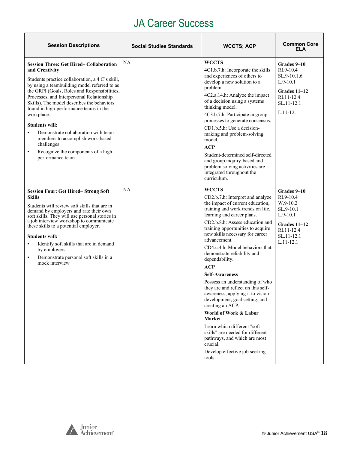| <b>Session Descriptions</b>                                                                                                                                                                                                                                                                                                                                                                                                                                                                                                                                                  | <b>Social Studies Standards</b> | <b>WCCTS; ACP</b>                                                                                                                                                                                                                                                                                                                                                                                                                                                                                                                                                                                                                                                                                                                                                             | <b>Common Core</b><br><b>ELA</b>                                                                                             |
|------------------------------------------------------------------------------------------------------------------------------------------------------------------------------------------------------------------------------------------------------------------------------------------------------------------------------------------------------------------------------------------------------------------------------------------------------------------------------------------------------------------------------------------------------------------------------|---------------------------------|-------------------------------------------------------------------------------------------------------------------------------------------------------------------------------------------------------------------------------------------------------------------------------------------------------------------------------------------------------------------------------------------------------------------------------------------------------------------------------------------------------------------------------------------------------------------------------------------------------------------------------------------------------------------------------------------------------------------------------------------------------------------------------|------------------------------------------------------------------------------------------------------------------------------|
| <b>Session Three: Get Hired-Collaboration</b><br>and Creativity<br>Students practice collaboration, a 4 C's skill,<br>by using a teambuilding model referred to as<br>the GRPI (Goals, Roles and Responsibilities,<br>Processes, and Interpersonal Relationship<br>Skills). The model describes the behaviors<br>found in high-performance teams in the<br>workplace.<br><b>Students will:</b><br>Demonstrate collaboration with team<br>$\bullet$<br>members to accomplish work-based<br>challenges<br>Recognize the components of a high-<br>$\bullet$<br>performance team | NA                              | <b>WCCTS</b><br>4C1.b.7.h: Incorporate the skills<br>and experiences of others to<br>develop a new solution to a<br>problem.<br>4C2.a.14.h: Analyze the impact<br>of a decision using a systems<br>thinking model.<br>4C3.b.7.h: Participate in group<br>processes to generate consensus.<br>CD1.b.5.h: Use a decision-<br>making and problem-solving<br>model.<br>ACP<br>Student-determined self-directed<br>and group inquiry-based and<br>problem solving activities are<br>integrated throughout the<br>curriculum.                                                                                                                                                                                                                                                       | Grades 9–10<br>RI.9-10.4<br>SL.9-10.1,6<br>$L.9-10.1$<br>Grades $11-12$<br>RI.11-12.4<br>SL.11-12.1<br>$L.11 - 12.1$         |
| <b>Session Four: Get Hired-Strong Soft</b><br><b>Skills</b><br>Students will review soft skills that are in<br>demand by employers and rate their own<br>soft skills. They will use personal stories in<br>a job interview workshop to communicate<br>these skills to a potential employer.<br><b>Students will:</b><br>Identify soft skills that are in demand<br>$\bullet$<br>by employers<br>Demonstrate personal soft skills in a<br>$\bullet$<br>mock interview                                                                                                         | NA                              | <b>WCCTS</b><br>CD2.b.7.h: Interpret and analyze<br>the impact of current education,<br>training and work trends on life,<br>learning and career plans.<br>CD2.b.8.h: Assess education and<br>training opportunities to acquire<br>new skills necessary for career<br>advancement.<br>CD4.c.4.h: Model behaviors that<br>demonstrate reliability and<br>dependability.<br><b>ACP</b><br><b>Self-Awareness</b><br>Possess an understanding of who<br>they are and reflect on this self-<br>awareness, applying it to vision<br>development, goal setting, and<br>creating an ACP.<br>World of Work & Labor<br>Market<br>Learn which different "soft<br>skills" are needed for different<br>pathways, and which are most<br>crucial.<br>Develop effective job seeking<br>tools. | Grades 9–10<br>RI.9-10.4<br>W.9-10.2<br>SL.9-10.1<br>$L.9-10.1$<br>Grades 11-12<br>RI.11-12.4<br>SL.11-12.1<br>$L.11 - 12.1$ |

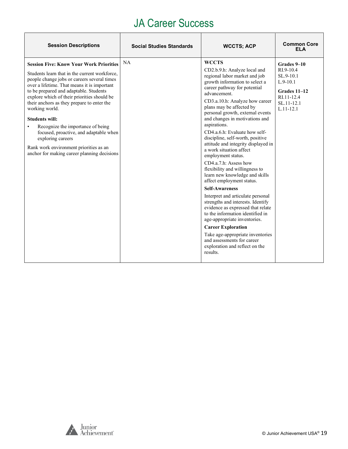| <b>Session Descriptions</b>                                                                                                                                                                                                                                                                                                                                                                                                                                                                                                                                                  | <b>Social Studies Standards</b> | <b>WCCTS; ACP</b>                                                                                                                                                                                                                                                                                                                                                                                                                                                                                                                                                                                                                                                                                                                                                                                                                                                                                                                                                   | <b>Common Core</b><br><b>ELA</b>                                                                                   |
|------------------------------------------------------------------------------------------------------------------------------------------------------------------------------------------------------------------------------------------------------------------------------------------------------------------------------------------------------------------------------------------------------------------------------------------------------------------------------------------------------------------------------------------------------------------------------|---------------------------------|---------------------------------------------------------------------------------------------------------------------------------------------------------------------------------------------------------------------------------------------------------------------------------------------------------------------------------------------------------------------------------------------------------------------------------------------------------------------------------------------------------------------------------------------------------------------------------------------------------------------------------------------------------------------------------------------------------------------------------------------------------------------------------------------------------------------------------------------------------------------------------------------------------------------------------------------------------------------|--------------------------------------------------------------------------------------------------------------------|
| <b>Session Five: Know Your Work Priorities</b><br>Students learn that in the current workforce,<br>people change jobs or careers several times<br>over a lifetime. That means it is important<br>to be prepared and adaptable. Students<br>explore which of their priorities should be<br>their anchors as they prepare to enter the<br>working world.<br><b>Students will:</b><br>Recognize the importance of being<br>focused, proactive, and adaptable when<br>exploring careers<br>Rank work environment priorities as an<br>anchor for making career planning decisions | <b>NA</b>                       | <b>WCCTS</b><br>CD2.b.9.h: Analyze local and<br>regional labor market and job<br>growth information to select a<br>career pathway for potential<br>advancement.<br>CD3.a.10.h: Analyze how career<br>plans may be affected by<br>personal growth, external events<br>and changes in motivations and<br>aspirations.<br>CD4.a.6.h: Evaluate how self-<br>discipline, self-worth, positive<br>attitude and integrity displayed in<br>a work situation affect<br>employment status.<br>CD4.a.7.h: Assess how<br>flexibility and willingness to<br>learn new knowledge and skills<br>affect employment status.<br><b>Self-Awareness</b><br>Interpret and articulate personal<br>strengths and interests. Identify<br>evidence as expressed that relate<br>to the information identified in<br>age-appropriate inventories.<br><b>Career Exploration</b><br>Take age-appropriate inventories<br>and assessments for career<br>exploration and reflect on the<br>results. | Grades 9-10<br>RI.9-10.4<br>$SL.9-10.1$<br>$L.9-10.1$<br>Grades 11-12<br>RI.11-12.4<br>SL.11-12.1<br>$L.11 - 12.1$ |

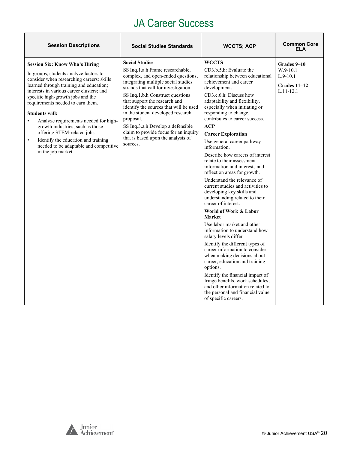| <b>Session Descriptions</b>                                                                                                                                                                                                                                                                                                                                                                                                                                                                                                                                         | <b>Social Studies Standards</b>                                                                                                                                                                                                                                                                                                                                                                                                                                                 | <b>WCCTS; ACP</b>                                                                                                                                                                                                                                                                                                                                                                                                                                                                                                                                                                                                                                                                                                                                                                                                                                                                                                                                                                                                                                                                                                             | <b>Common Core</b><br>ELA                                              |
|---------------------------------------------------------------------------------------------------------------------------------------------------------------------------------------------------------------------------------------------------------------------------------------------------------------------------------------------------------------------------------------------------------------------------------------------------------------------------------------------------------------------------------------------------------------------|---------------------------------------------------------------------------------------------------------------------------------------------------------------------------------------------------------------------------------------------------------------------------------------------------------------------------------------------------------------------------------------------------------------------------------------------------------------------------------|-------------------------------------------------------------------------------------------------------------------------------------------------------------------------------------------------------------------------------------------------------------------------------------------------------------------------------------------------------------------------------------------------------------------------------------------------------------------------------------------------------------------------------------------------------------------------------------------------------------------------------------------------------------------------------------------------------------------------------------------------------------------------------------------------------------------------------------------------------------------------------------------------------------------------------------------------------------------------------------------------------------------------------------------------------------------------------------------------------------------------------|------------------------------------------------------------------------|
| <b>Session Six: Know Who's Hiring</b><br>In groups, students analyze factors to<br>consider when researching careers: skills<br>learned through training and education;<br>interests in various career clusters; and<br>specific high-growth jobs and the<br>requirements needed to earn them.<br><b>Students will:</b><br>Analyze requirements needed for high-<br>$\bullet$<br>growth industries, such as those<br>offering STEM-related jobs<br>Identify the education and training<br>$\bullet$<br>needed to be adaptable and competitive<br>in the job market. | <b>Social Studies</b><br>SS Inq.1.a.h Frame researchable,<br>complex, and open-ended questions,<br>integrating multiple social studies<br>strands that call for investigation.<br>SS Inq.1.b.h Construct questions<br>that support the research and<br>identify the sources that will be used<br>in the student developed research<br>proposal.<br>SS Inq.3.a.h Develop a defensible<br>claim to provide focus for an inquiry<br>that is based upon the analysis of<br>sources. | <b>WCCTS</b><br>CD3.b.5.h: Evaluate the<br>relationship between educational<br>achievement and career<br>development.<br>CD3.c.6.h: Discuss how<br>adaptability and flexibility,<br>especially when initiating or<br>responding to change,<br>contributes to career success.<br><b>ACP</b><br><b>Career Exploration</b><br>Use general career pathway<br>information.<br>Describe how careers of interest<br>relate to their assessment<br>information and interests and<br>reflect on areas for growth.<br>Understand the relevance of<br>current studies and activities to<br>developing key skills and<br>understanding related to their<br>career of interest.<br>World of Work & Labor<br><b>Market</b><br>Use labor market and other<br>information to understand how<br>salary levels differ<br>Identify the different types of<br>career information to consider<br>when making decisions about<br>career, education and training<br>options.<br>Identify the financial impact of<br>fringe benefits, work schedules,<br>and other information related to<br>the personal and financial value<br>of specific careers. | Grades 9-10<br>W.9-10.1<br>$L.9-10.1$<br>Grades 11-12<br>$L.11 - 12.1$ |

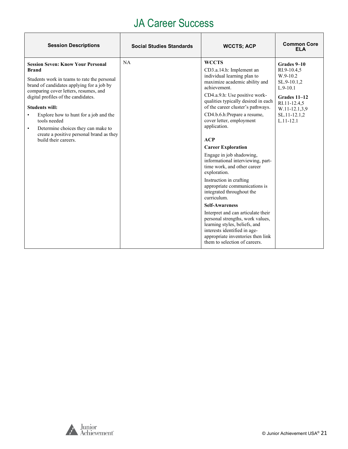| <b>Session Descriptions</b>                                                                                                                                                                                                                                                                                                                                                                                                                                | <b>Social Studies Standards</b> | <b>WCCTS; ACP</b>                                                                                                                                                                                                                                                                                                                                                                                                                                                                                                                                                                                                                                                                                                                                                                                                      | <b>Common Core</b><br><b>ELA</b>                                                                                                                      |
|------------------------------------------------------------------------------------------------------------------------------------------------------------------------------------------------------------------------------------------------------------------------------------------------------------------------------------------------------------------------------------------------------------------------------------------------------------|---------------------------------|------------------------------------------------------------------------------------------------------------------------------------------------------------------------------------------------------------------------------------------------------------------------------------------------------------------------------------------------------------------------------------------------------------------------------------------------------------------------------------------------------------------------------------------------------------------------------------------------------------------------------------------------------------------------------------------------------------------------------------------------------------------------------------------------------------------------|-------------------------------------------------------------------------------------------------------------------------------------------------------|
| <b>Session Seven: Know Your Personal</b><br><b>Brand</b><br>Students work in teams to rate the personal<br>brand of candidates applying for a job by<br>comparing cover letters, resumes, and<br>digital profiles of the candidates.<br><b>Students will:</b><br>Explore how to hunt for a job and the<br>$\bullet$<br>tools needed<br>Determine choices they can make to<br>$\bullet$<br>create a positive personal brand as they<br>build their careers. | NA                              | <b>WCCTS</b><br>CD3.a.14.h: Implement an<br>individual learning plan to<br>maximize academic ability and<br>achievement.<br>CD4.a.9.h: Use positive work-<br>qualities typically desired in each<br>of the career cluster's pathways.<br>CD4.b.6.h:Prepare a resume,<br>cover letter, employment<br>application.<br>ACP<br><b>Career Exploration</b><br>Engage in job shadowing,<br>informational interviewing, part-<br>time work, and other career<br>exploration.<br>Instruction in crafting<br>appropriate communications is<br>integrated throughout the<br>curriculum.<br><b>Self-Awareness</b><br>Interpret and can articulate their<br>personal strengths, work values,<br>learning styles, beliefs, and<br>interests identified in age-<br>appropriate inventories then link<br>them to selection of careers. | Grades 9-10<br>RI.9-10.4.5<br>W.9-10.2<br>SL.9-10.1,2<br>$L.9-10.1$<br>Grades 11-12<br>RI.11-12.4,5<br>W.11-12.1,3,9<br>SL.11-12.1,2<br>$L.11 - 12.1$ |

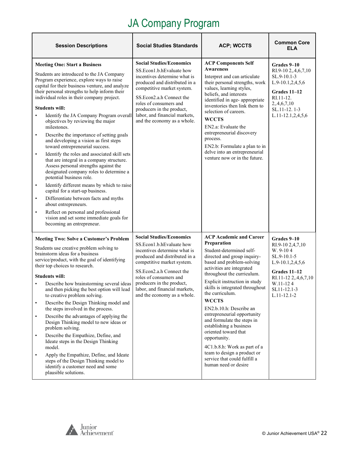<span id="page-21-0"></span>

| <b>Session Descriptions</b>                                                                                                                                                                                                                                                                                                                                                                                                                                                                                                                                                                                                                                                                                                                                                                                                                                                                                                                                                                                                                                                                     | <b>Social Studies Standards</b>                                                                                                                                                                                                                                                                                | <b>ACP; WCCTS</b>                                                                                                                                                                                                                                                                                                                                                                                                                                                                                                                                                                         | <b>Common Core</b><br><b>ELA</b>                                                                                                                                       |
|-------------------------------------------------------------------------------------------------------------------------------------------------------------------------------------------------------------------------------------------------------------------------------------------------------------------------------------------------------------------------------------------------------------------------------------------------------------------------------------------------------------------------------------------------------------------------------------------------------------------------------------------------------------------------------------------------------------------------------------------------------------------------------------------------------------------------------------------------------------------------------------------------------------------------------------------------------------------------------------------------------------------------------------------------------------------------------------------------|----------------------------------------------------------------------------------------------------------------------------------------------------------------------------------------------------------------------------------------------------------------------------------------------------------------|-------------------------------------------------------------------------------------------------------------------------------------------------------------------------------------------------------------------------------------------------------------------------------------------------------------------------------------------------------------------------------------------------------------------------------------------------------------------------------------------------------------------------------------------------------------------------------------------|------------------------------------------------------------------------------------------------------------------------------------------------------------------------|
| <b>Meeting One: Start a Business</b><br>Students are introduced to the JA Company<br>Program experience, explore ways to raise<br>capital for their business venture, and analyze<br>their personal strengths to help inform their<br>individual roles in their company project.<br><b>Students will:</b><br>Identify the JA Company Program overall<br>$\bullet$<br>objectives by reviewing the major<br>milestones.<br>Describe the importance of setting goals<br>$\bullet$<br>and developing a vision as first steps<br>toward entrepreneurial success.<br>Identify the roles and associated skill sets<br>$\bullet$<br>that are integral in a company structure.<br>Assess personal strengths against the<br>designated company roles to determine a<br>potential business role.<br>Identify different means by which to raise<br>$\bullet$<br>capital for a start-up business.<br>Differentiate between facts and myths<br>$\bullet$<br>about entrepreneurs.<br>Reflect on personal and professional<br>$\bullet$<br>vision and set some immediate goals for<br>becoming an entrepreneur. | <b>Social Studies/Economics</b><br>SS.Econ1.b.hEvaluate how<br>incentives determine what is<br>produced and distributed in a<br>competitive market system.<br>SS.Econ2.a.h Connect the<br>roles of consumers and<br>producers in the product,<br>labor, and financial markets,<br>and the economy as a whole.  | <b>ACP Components Self</b><br><b>Awareness</b><br>Interpret and can articulate<br>their personal strengths, work<br>values, learning styles,<br>beliefs, and interests<br>identified in age-appropriate<br>inventories then link them to<br>selection of careers.<br><b>WCCTS</b><br>EN2.a: Evaluate the<br>entrepreneurial discovery<br>process.<br>EN2.b: Formulate a plan to in<br>delve into an entrepreneurial<br>venture now or in the future.                                                                                                                                      | Grades 9–10<br>RI.9-10 2,.4,6,7,10<br>SL.9-10.1-3<br>L.9-10.1,2,4,5,6<br>Grades 11-12<br>$RI.11-12.$<br>2, 4, 6, 7, 10<br>SL.11-12.1-3<br>L.11-12.1,2,4,5,6            |
| <b>Meeting Two: Solve a Customer's Problem</b><br>Students use creative problem solving to<br>brainstorm ideas for a business<br>service/product, with the goal of identifying<br>their top choices to research.<br><b>Students will:</b><br>Describe how brainstorming several ideas<br>and then picking the best option will lead<br>to creative problem solving.<br>Describe the Design Thinking model and<br>$\bullet$<br>the steps involved in the process.<br>Describe the advantages of applying the<br>$\bullet$<br>Design Thinking model to new ideas or<br>problem solving.<br>Describe the Empathize, Define, and<br>$\bullet$<br>Ideate steps in the Design Thinking<br>model.<br>Apply the Empathize, Define, and Ideate<br>$\bullet$<br>steps of the Design Thinking model to<br>identify a customer need and some<br>plausible solutions.                                                                                                                                                                                                                                        | <b>Social Studies/Economics</b><br>SS.Econ1.b.hEvaluate how<br>incentives determine what is<br>produced and distributed in a<br>competitive market system.<br>SS. Econ2.a.h Connect the<br>roles of consumers and<br>producers in the product,<br>labor, and financial markets,<br>and the economy as a whole. | <b>ACP Academic and Career</b><br>Preparation<br>Student-determined self-<br>directed and group inquiry-<br>based and problem-solving<br>activities are integrated<br>throughout the curriculum.<br>Explicit instruction in study<br>skills is integrated throughout<br>the curriculum.<br><b>WCCTS</b><br>EN2.b.10.h: Describe an<br>entrepreneurial opportunity<br>and formulate the steps in<br>establishing a business<br>oriented toward that<br>opportunity.<br>4C1.b.8.h: Work as part of a<br>team to design a product or<br>service that could fulfill a<br>human need or desire | Grades 9-10<br>RI.9-10 2,4,7,10<br>W. 9-104<br>SL.9-10.1-5<br>L.9-10.1,2,4,5,6<br>Grades 11-12<br>RI.11-12 2,.4,6,7,10<br>W.11-124<br>SL11-12.1-3<br>$L.11 - 12.1 - 2$ |

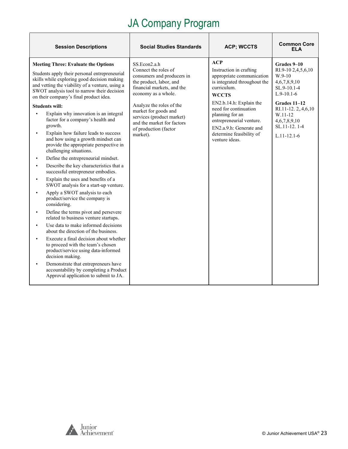| <b>Session Descriptions</b>                                                                                                                                                                                                                                                                                                                                                                                                                                                                                                                                                                                                                                                                                                                                                                                                                                                                                                                                                                                                                                                                                                                                                                                                                                                                                                                                    | <b>Social Studies Standards</b>                                                                                                                                                                                                                                                                        | <b>ACP; WCCTS</b>                                                                                                                                                                                                                                                                                      | <b>Common Core</b><br>ELA                                                                                                                                                                               |
|----------------------------------------------------------------------------------------------------------------------------------------------------------------------------------------------------------------------------------------------------------------------------------------------------------------------------------------------------------------------------------------------------------------------------------------------------------------------------------------------------------------------------------------------------------------------------------------------------------------------------------------------------------------------------------------------------------------------------------------------------------------------------------------------------------------------------------------------------------------------------------------------------------------------------------------------------------------------------------------------------------------------------------------------------------------------------------------------------------------------------------------------------------------------------------------------------------------------------------------------------------------------------------------------------------------------------------------------------------------|--------------------------------------------------------------------------------------------------------------------------------------------------------------------------------------------------------------------------------------------------------------------------------------------------------|--------------------------------------------------------------------------------------------------------------------------------------------------------------------------------------------------------------------------------------------------------------------------------------------------------|---------------------------------------------------------------------------------------------------------------------------------------------------------------------------------------------------------|
| <b>Meeting Three: Evaluate the Options</b><br>Students apply their personal entrepreneurial<br>skills while exploring good decision making<br>and vetting the viability of a venture, using a<br>SWOT analysis tool to narrow their decision<br>on their company's final product idea.<br><b>Students will:</b><br>Explain why innovation is an integral<br>$\bullet$<br>factor for a company's health and<br>growth.<br>Explain how failure leads to success<br>$\bullet$<br>and how using a growth mindset can<br>provide the appropriate perspective in<br>challenging situations.<br>Define the entrepreneurial mindset.<br>٠<br>Describe the key characteristics that a<br>successful entrepreneur embodies.<br>Explain the uses and benefits of a<br>SWOT analysis for a start-up venture.<br>Apply a SWOT analysis to each<br>product/service the company is<br>considering.<br>Define the terms pivot and persevere<br>$\bullet$<br>related to business venture startups.<br>Use data to make informed decisions<br>$\bullet$<br>about the direction of the business.<br>Execute a final decision about whether<br>$\bullet$<br>to proceed with the team's chosen<br>product/service using data-informed<br>decision making.<br>Demonstrate that entrepreneurs have<br>accountability by completing a Product<br>Approval application to submit to JA. | SS.Econ2.a.h<br>Connect the roles of<br>consumers and producers in<br>the product, labor, and<br>financial markets, and the<br>economy as a whole.<br>Analyze the roles of the<br>market for goods and<br>services (product market)<br>and the market for factors<br>of production (factor<br>market). | ACP<br>Instruction in crafting<br>appropriate communication<br>is integrated throughout the<br>curriculum.<br><b>WCCTS</b><br>EN2.b.14.h: Explain the<br>need for continuation<br>planning for an<br>entrepreneurial venture.<br>EN2.a.9.h: Generate and<br>determine feasibility of<br>venture ideas. | Grades 9–10<br>RI.9-10 2,4,5,6,10<br>$W.9-10$<br>4, 6, 7, 8, 9, 10<br>SL.9-10.1-4<br>$L.9-10.1-6$<br>Grades 11-12<br>RI.11-12.2,.4,6,10<br>W.11-12<br>4,6,7,8,9,10<br>SL.11-12.1-4<br>$L.11 - 12.1 - 6$ |

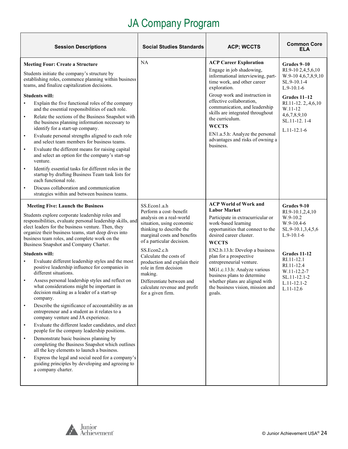| <b>Session Descriptions</b>                                                                                                                                                                                                                                                                                                                                                                                                                                                                                                                                                                                                                                                                                                                                                                                                                                                                                                                                                                                                                                                                                                                                                                                                                                                         | <b>Social Studies Standards</b>                                                                                                                                                                                                                                                                                                                                                         | <b>ACP; WCCTS</b>                                                                                                                                                                                                                                                                                                                                                                                                                     | <b>Common Core</b><br>ELA                                                                                                                                                                                       |
|-------------------------------------------------------------------------------------------------------------------------------------------------------------------------------------------------------------------------------------------------------------------------------------------------------------------------------------------------------------------------------------------------------------------------------------------------------------------------------------------------------------------------------------------------------------------------------------------------------------------------------------------------------------------------------------------------------------------------------------------------------------------------------------------------------------------------------------------------------------------------------------------------------------------------------------------------------------------------------------------------------------------------------------------------------------------------------------------------------------------------------------------------------------------------------------------------------------------------------------------------------------------------------------|-----------------------------------------------------------------------------------------------------------------------------------------------------------------------------------------------------------------------------------------------------------------------------------------------------------------------------------------------------------------------------------------|---------------------------------------------------------------------------------------------------------------------------------------------------------------------------------------------------------------------------------------------------------------------------------------------------------------------------------------------------------------------------------------------------------------------------------------|-----------------------------------------------------------------------------------------------------------------------------------------------------------------------------------------------------------------|
| <b>Meeting Four: Create a Structure</b><br>Students initiate the company's structure by<br>establishing roles, commence planning within business<br>teams, and finalize capitalization decisions.<br><b>Students will:</b><br>Explain the five functional roles of the company<br>and the essential responsibilities of each role.<br>Relate the sections of the Business Snapshot with<br>$\bullet$<br>the business planning information necessary to<br>identify for a start-up company.<br>Evaluate personal strengths aligned to each role<br>$\bullet$<br>and select team members for business teams.<br>Evaluate the different means for raising capital<br>$\bullet$<br>and select an option for the company's start-up<br>venture.<br>Identify essential tasks for different roles in the<br>$\bullet$<br>startup by drafting Business Team task lists for<br>each functional role.<br>Discuss collaboration and communication<br>$\bullet$<br>strategies within and between business teams.                                                                                                                                                                                                                                                                                | NA                                                                                                                                                                                                                                                                                                                                                                                      | <b>ACP Career Exploration</b><br>Engage in job shadowing,<br>informational interviewing, part-<br>time work, and other career<br>exploration.<br>Group work and instruction in<br>effective collaboration,<br>communication, and leadership<br>skills are integrated throughout<br>the curriculum.<br><b>WCCTS</b><br>EN1.a.5.h: Analyze the personal<br>advantages and risks of owning a<br>business.                                | Grades 9-10<br>RI.9-10 2,4,5,6,10<br>W.9-10 4, 6, 7, 8, 9, 10<br>SL.9-10.1-4<br>$L.9-10.1-6$<br>Grades 11-12<br>RI.11-12.2,.4,6,10<br>W.11-12<br>4,6,7,8,9,10<br>SL.11-12.1-4<br>$L.11 - 12.1 - 6$              |
| <b>Meeting Five: Launch the Business</b><br>Students explore corporate leadership roles and<br>responsibilities, evaluate personal leadership skills, and<br>elect leaders for the business venture. Then, they<br>organize their business teams, start deep dives into<br>business team roles, and complete work on the<br>Business Snapshot and Company Charter.<br><b>Students will:</b><br>Evaluate different leadership styles and the most<br>$\bullet$<br>positive leadership influence for companies in<br>different situations.<br>Assess personal leadership styles and reflect on<br>what considerations might be important in<br>decision making as a leader of a start-up<br>company.<br>Describe the significance of accountability as an<br>$\bullet$<br>entrepreneur and a student as it relates to a<br>company venture and JA experience.<br>Evaluate the different leader candidates, and elect<br>$\bullet$<br>people for the company leadership positions.<br>Demonstrate basic business planning by<br>$\bullet$<br>completing the Business Snapshot which outlines<br>all the key elements to launch a business.<br>Express the legal and social need for a company's<br>$\bullet$<br>guiding principles by developing and agreeing to<br>a company charter. | SS.Econ1.a.h<br>Perform a cost-benefit<br>analysis on a real-world<br>situation, using economic<br>thinking to describe the<br>marginal costs and benefits<br>of a particular decision.<br>SS.Econ2.c.h<br>Calculate the costs of<br>production and explain their<br>role in firm decision<br>making.<br>Differentiate between and<br>calculate revenue and profit<br>for a given firm. | <b>ACP World of Work and</b><br><b>Labor Market</b><br>Participate in extracurricular or<br>work-based learning<br>opportunities that connect to the<br>desired career cluster.<br><b>WCCTS</b><br>EN2.b.13.h: Develop a business<br>plan for a prospective<br>entrepreneurial venture.<br>MG1.c.13.h: Analyze various<br>business plans to determine<br>whether plans are aligned with<br>the business vision, mission and<br>goals. | Grades 9-10<br>RI.9-10.1,2,4,10<br>W.9-10.2<br>$W.9-10.4-6$<br>SL.9-10.1,3,4,5,6<br>$L.9-10.1-6$<br>Grades 11-12<br>RI.11-12.1<br>RI.11-12.4<br>W.11-12.2-7<br>SL.11-12.1-2<br>$L.11 - 12.1 - 2$<br>$L.11-12.6$ |

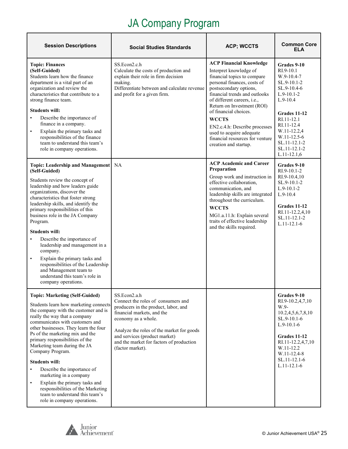| <b>Session Descriptions</b>                                                                                                                                                                                                                                                                                                                                                                                                                                                                                                                                                                                            | <b>Social Studies Standards</b>                                                                                                                                                                                                                                                               | <b>ACP; WCCTS</b>                                                                                                                                                                                                                                                                                                                                                                                                        | <b>Common Core</b><br><b>ELA</b>                                                                                                                                                                                                                   |
|------------------------------------------------------------------------------------------------------------------------------------------------------------------------------------------------------------------------------------------------------------------------------------------------------------------------------------------------------------------------------------------------------------------------------------------------------------------------------------------------------------------------------------------------------------------------------------------------------------------------|-----------------------------------------------------------------------------------------------------------------------------------------------------------------------------------------------------------------------------------------------------------------------------------------------|--------------------------------------------------------------------------------------------------------------------------------------------------------------------------------------------------------------------------------------------------------------------------------------------------------------------------------------------------------------------------------------------------------------------------|----------------------------------------------------------------------------------------------------------------------------------------------------------------------------------------------------------------------------------------------------|
| <b>Topic: Finances</b><br>(Self-Guided)<br>Students learn how the finance<br>department is a vital part of an<br>organization and review the<br>characteristics that contribute to a<br>strong finance team.<br><b>Students will:</b><br>Describe the importance of<br>$\bullet$<br>finance in a company.<br>Explain the primary tasks and<br>$\bullet$<br>responsibilities of the finance<br>team to understand this team's<br>role in company operations.                                                                                                                                                            | SS.Econ2.c.h<br>Calculate the costs of production and<br>explain their role in firm decision<br>making.<br>Differentiate between and calculate revenue<br>and profit for a given firm.                                                                                                        | <b>ACP Financial Knowledge</b><br>Interpret knowledge of<br>financial topics to compare<br>personal finances, costs of<br>postsecondary options,<br>financial trends and outlooks<br>of different careers, <i>i.e.</i> ,<br>Return on Investment (ROI)<br>of financial choices.<br><b>WCCTS</b><br>EN2.c.4.h: Describe processes<br>used to acquire adequate<br>financial resources for venture<br>creation and startup. | Grades 9-10<br>$RI.9-10.1$<br>$W.9-10.4-7$<br>$SL.9-10.1-2$<br>SL.9-10.4-6<br>$L.9-10.1-2$<br>$L.9-10.4$<br><b>Grades 11-12</b><br>RI.11-12.1<br>RI.11-12.4<br>W.11-12.2,4<br>W.11-12.5-6<br>SL.11-12.1-2<br>$SL.11 - 12.1 - 2$<br>$L.11 - 12.1,6$ |
| <b>Topic: Leadership and Management</b><br>(Self-Guided)<br>Students review the concept of<br>leadership and how leaders guide<br>organizations, discover the<br>characteristics that foster strong<br>leadership skills, and identify the<br>primary responsibilities of this<br>business role in the JA Company<br>Program.<br><b>Students will:</b><br>Describe the importance of<br>$\bullet$<br>leadership and management in a<br>company.<br>Explain the primary tasks and<br>$\bullet$<br>responsibilities of the Leadership<br>and Management team to<br>understand this team's role in<br>company operations. | NA                                                                                                                                                                                                                                                                                            | <b>ACP Academic and Career</b><br>Preparation<br>Group work and instruction in<br>effective collaboration,<br>communication, and<br>leadership skills are integrated<br>throughout the curriculum.<br><b>WCCTS</b><br>MG1.a.11.h: Explain several<br>traits of effective leadership<br>and the skills required.                                                                                                          | Grades 9-10<br>$RI.9-10.1-2$<br>RI.9-10.4,10<br>$SL.9-10.1-2$<br>$L.9-10.1-2$<br>$L.9-10.4$<br>Grades 11-12<br>RI.11-12.2,4,10<br>SL.11-12.1-2<br>$L.11 - 12.1 - 6$                                                                                |
| <b>Topic: Marketing (Self-Guided)</b><br>Students learn how marketing connects<br>the company with the customer and is<br>really the way that a company<br>communicates with customers and<br>other businesses. They learn the four<br>Ps of the marketing mix and the<br>primary responsibilities of the<br>Marketing team during the JA<br>Company Program.<br><b>Students will:</b><br>Describe the importance of<br>marketing in a company<br>Explain the primary tasks and<br>$\bullet$<br>responsibilities of the Marketing<br>team to understand this team's<br>role in company operations.                     | SS.Econ2.a.h<br>Connect the roles of consumers and<br>producers in the product, labor, and<br>financial markets, and the<br>economy as a whole.<br>Analyze the roles of the market for goods<br>and services (product market)<br>and the market for factors of production<br>(factor market). |                                                                                                                                                                                                                                                                                                                                                                                                                          | Grades 9-10<br>RI.9-10.2,4,7,10<br>W.9-<br>10.2,4,5,6,7,8,10<br>SL.9-10.1-6<br>$L.9-10.1-6$<br>Grades 11-12<br>RI.11-12.2,4,7,10<br>W.11-12.2<br>W.11-12.4-8<br>SL.11-12.1-6<br>$L.11 - 12.1 - 6$                                                  |

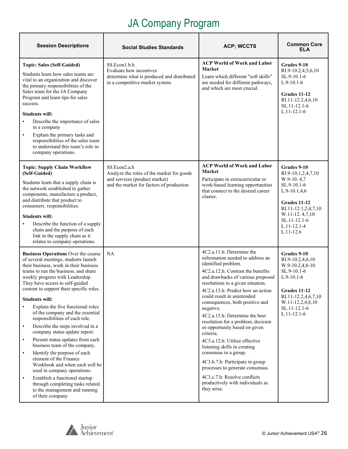| <b>Session Descriptions</b>                                                                                                                                                                                                                                                                                                                                                                                                                                                                                                                                                                                                                                                                                                                                                                                                                                                     | Social Studies Standards                                                                                                               | <b>ACP; WCCTS</b>                                                                                                                                                                                                                                                                                                                                                                                                                                                                                                                                                                                                                                                                                | <b>Common Core</b><br>ELA                                                                                                                                                                     |
|---------------------------------------------------------------------------------------------------------------------------------------------------------------------------------------------------------------------------------------------------------------------------------------------------------------------------------------------------------------------------------------------------------------------------------------------------------------------------------------------------------------------------------------------------------------------------------------------------------------------------------------------------------------------------------------------------------------------------------------------------------------------------------------------------------------------------------------------------------------------------------|----------------------------------------------------------------------------------------------------------------------------------------|--------------------------------------------------------------------------------------------------------------------------------------------------------------------------------------------------------------------------------------------------------------------------------------------------------------------------------------------------------------------------------------------------------------------------------------------------------------------------------------------------------------------------------------------------------------------------------------------------------------------------------------------------------------------------------------------------|-----------------------------------------------------------------------------------------------------------------------------------------------------------------------------------------------|
| <b>Topic: Sales (Self-Guided)</b><br>Students learn how sales teams are<br>vital to an organization and discover<br>the primary responsibilities of the<br>Sales team for the JA Company<br>Program and learn tips for sales<br>success.<br><b>Students will:</b><br>Describe the importance of sales<br>in a company<br>Explain the primary tasks and<br>$\bullet$<br>responsibilities of the sales team<br>to understand this team's role in<br>company operations.                                                                                                                                                                                                                                                                                                                                                                                                           | SS.Econ1.b.h<br>Evaluate how incentives<br>determine what is produced and distributed<br>in a competitive market system.               | <b>ACP World of Work and Labor</b><br><b>Market</b><br>Learn which different "soft skills"<br>are needed for different pathways,<br>and which are most crucial.                                                                                                                                                                                                                                                                                                                                                                                                                                                                                                                                  | Grades 9-10<br>RI.9-10.2,4,5,6,10<br>SL.9-10.1-6<br>$L.9-10.1-6$<br>Grades 11-12<br>RI.11-12.2,4,6,10<br>SL.11-12.1-6<br>$L.11 - 12.1 - 6$                                                    |
| <b>Topic: Supply Chain Workflow</b><br>(Self-Guided)<br>Students learn that a supply chain is<br>the network established to gather<br>components, manufacture a product,<br>and distribute that product to<br>consumers. responsibilities.<br><b>Students will:</b><br>Describe the function of a supply<br>chain and the purpose of each<br>link in the supply chain as it<br>relates to company operations.                                                                                                                                                                                                                                                                                                                                                                                                                                                                   | SS.Econ2.a.h<br>Analyze the roles of the market for goods<br>and services (product market)<br>and the market for factors of production | <b>ACP World of Work and Labor</b><br><b>Market</b><br>Participate in extracurricular or<br>work-based learning opportunities<br>that connect to the desired career<br>cluster.                                                                                                                                                                                                                                                                                                                                                                                                                                                                                                                  | Grades 9-10<br>RI.9-10.1,2,4,7,10<br>W.9-10.4,7<br>SL.9-10.1-6<br>$L.9-10.1,4,6$<br>Grades 11-12<br>RI.11-12.1,2,4,7,10<br>W.11-12.4,7,10<br>SL.11-12.1-6<br>$L.11 - 12.1 - 4$<br>$L.11-12.6$ |
| <b>Business Operations Over the course</b><br>of several meetings, students launch<br>their business, work in their business<br>teams to run the business, and share<br>weekly progress with Leadership.<br>They have access to self-guided<br>content to support their specific roles.<br><b>Students will:</b><br>Explain the five functional roles<br>of the company and the essential<br>responsibilities of each role.<br>Describe the steps involved in a<br>$\bullet$<br>company status update report.<br>Present status updates from each<br>$\bullet$<br>business team of the company.<br>Identify the purpose of each<br>$\bullet$<br>element of the Finance<br>Workbook and when each will be<br>used in company operations.<br>Establish a functional startup<br>$\bullet$<br>through completing tasks related<br>to the management and running<br>of their company | NA                                                                                                                                     | 4C2.a.11.h: Determine the<br>information needed to address an<br>identified problem.<br>4C2.a.12.h: Contrast the benefits<br>and drawbacks of various proposed<br>resolutions to a given situation.<br>4C2.a.13.h: Predict how an action<br>could result in unintended<br>consequences, both positive and<br>negative.<br>4C2.a.15.h: Determine the best<br>resolution for a problem, decision<br>or opportunity based on given<br>criteria.<br>4C3.a.12.h: Utilize effective<br>listening skills in creating<br>consensus in a group.<br>4C3.b.7.h: Participate in group<br>processes to generate consensus.<br>4C3.c.7.h: Resolve conflicts<br>productively with individuals as<br>they arise. | Grades 9-10<br>RI.9-10.2,4,6,10<br>W.9-10.2,4,8-10<br>SL.9-10.1-6<br>$L.9-10.1-6$<br><b>Grades 11-12</b><br>RI.11-12.2,4,6,7,10<br>W.11-12.2,4,8,10<br>SL.11-12.1-6<br>$L.11 - 12.1 - 6$      |

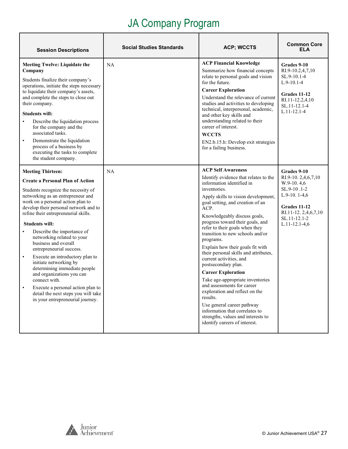| <b>Session Descriptions</b>                                                                                                                                                                                                                                                                                                                                                                                                                                                                                                                                                                                                                                                                         | Social Studies Standards | <b>ACP; WCCTS</b>                                                                                                                                                                                                                                                                                                                                                                                                                                                                                                                                                                                                                                                                                                                                                            | <b>Common Core</b><br>ELA                                                                                                                                         |
|-----------------------------------------------------------------------------------------------------------------------------------------------------------------------------------------------------------------------------------------------------------------------------------------------------------------------------------------------------------------------------------------------------------------------------------------------------------------------------------------------------------------------------------------------------------------------------------------------------------------------------------------------------------------------------------------------------|--------------------------|------------------------------------------------------------------------------------------------------------------------------------------------------------------------------------------------------------------------------------------------------------------------------------------------------------------------------------------------------------------------------------------------------------------------------------------------------------------------------------------------------------------------------------------------------------------------------------------------------------------------------------------------------------------------------------------------------------------------------------------------------------------------------|-------------------------------------------------------------------------------------------------------------------------------------------------------------------|
| <b>Meeting Twelve: Liquidate the</b><br>Company<br>Students finalize their company's<br>operations, initiate the steps necessary<br>to liquidate their company's assets,<br>and complete the steps to close out<br>their company.<br><b>Students will:</b><br>Describe the liquidation process<br>$\bullet$<br>for the company and the<br>associated tasks.<br>Demonstrate the liquidation<br>$\bullet$<br>process of a business by<br>executing the tasks to complete<br>the student company.                                                                                                                                                                                                      | <b>NA</b>                | <b>ACP Financial Knowledge</b><br>Summarize how financial concepts<br>relate to personal goals and vision<br>for the future.<br><b>Career Exploration</b><br>Understand the relevance of current<br>studies and activities to developing<br>technical, interpersonal, academic,<br>and other key skills and<br>understanding related to their<br>career of interest.<br><b>WCCTS</b><br>EN2.b.15.h: Develop exit strategies<br>for a failing business.                                                                                                                                                                                                                                                                                                                       | Grades 9-10<br>RI.9-10.2,4,7,10<br>SL.9-10.1-4<br>$L.9-10.1-4$<br>Grades 11-12<br>RI.11-12.2,4,10<br>SL.11-12.1-4<br>$L.11 - 12.1 - 4$                            |
| <b>Meeting Thirteen:</b><br><b>Create a Personal Plan of Action</b><br>Students recognize the necessity of<br>networking as an entrepreneur and<br>work on a personal action plan to<br>develop their personal network and to<br>refine their entrepreneurial skills.<br><b>Students will:</b><br>Describe the importance of<br>$\bullet$<br>networking related to your<br>business and overall<br>entrepreneurial success.<br>Execute an introductory plan to<br>$\bullet$<br>initiate networking by<br>determining immediate people<br>and organizations you can<br>connect with.<br>Execute a personal action plan to<br>detail the next steps you will take<br>in your entrepreneurial journey. | <b>NA</b>                | <b>ACP Self Awareness</b><br>Identify evidence that relates to the<br>information identified in<br>inventories.<br>Apply skills to vision development,<br>goal setting, and creation of an<br>ACP.<br>Knowledgeably discuss goals,<br>progress toward their goals, and<br>refer to their goals when they<br>transition to new schools and/or<br>programs.<br>Explain how their goals fit with<br>their personal skills and attributes,<br>current activities, and<br>postsecondary plan.<br><b>Career Exploration</b><br>Take age-appropriate inventories<br>and assessments for career<br>exploration and reflect on the<br>results.<br>Use general career pathway<br>information that correlates to<br>strengths, values and interests to<br>identify careers of interest. | Grades 9-10<br>RI.9-10. 2,4,6,7,10<br>$W.9-10.4,6$<br>SL.9-10.1-2<br>$L.9-10.1-4,6$<br>Grades 11-12<br>RI.11-12.2,4,6,7,10<br>SL.11-12.1-2<br>$L.11 - 12.1 - 4.6$ |

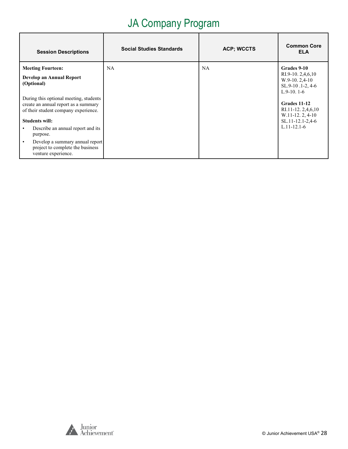| <b>Session Descriptions</b>                                                                                                                     | <b>Social Studies Standards</b> | <b>ACP; WCCTS</b> | <b>Common Core</b><br><b>ELA</b>                                                          |
|-------------------------------------------------------------------------------------------------------------------------------------------------|---------------------------------|-------------------|-------------------------------------------------------------------------------------------|
| <b>Meeting Fourteen:</b><br>Develop an Annual Report<br>(Optional)                                                                              | <b>NA</b>                       | <b>NA</b>         | Grades 9-10<br>RI.9-10. $2,4,6,10$<br>$W.9-10.2,4-10$<br>SL.9-10.1-2, 4-6<br>$L.9-10.1-6$ |
| During this optional meeting, students<br>create an annual report as a summary<br>of their student company experience.<br><b>Students will:</b> |                                 |                   | Grades 11-12<br>RI.11-12. $2,4,6,10$<br>$W.11-12.2, 4-10$<br>SL.11-12.1-2,4-6             |
| Describe an annual report and its<br>purpose.                                                                                                   |                                 |                   | $L.11 - 12.1 - 6$                                                                         |
| Develop a summary annual report<br>$\bullet$<br>project to complete the business<br>venture experience.                                         |                                 |                   |                                                                                           |

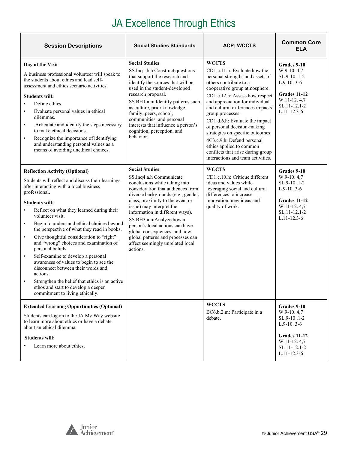# JA Excellence Through Ethics

| <b>Session Descriptions</b>                                                                                                                                                                                                                                                                                                                                                                                                                                                                                                                                                                                                                                                                                                                                                              | <b>Social Studies Standards</b>                                                                                                                                                                                                                                                                                                                                                                                                                    | <b>ACP; WCCTS</b>                                                                                                                                                                                                                                                                                                                                                                                                                                                                                                 | <b>Common Core</b><br><b>ELA</b>                                                                                                    |
|------------------------------------------------------------------------------------------------------------------------------------------------------------------------------------------------------------------------------------------------------------------------------------------------------------------------------------------------------------------------------------------------------------------------------------------------------------------------------------------------------------------------------------------------------------------------------------------------------------------------------------------------------------------------------------------------------------------------------------------------------------------------------------------|----------------------------------------------------------------------------------------------------------------------------------------------------------------------------------------------------------------------------------------------------------------------------------------------------------------------------------------------------------------------------------------------------------------------------------------------------|-------------------------------------------------------------------------------------------------------------------------------------------------------------------------------------------------------------------------------------------------------------------------------------------------------------------------------------------------------------------------------------------------------------------------------------------------------------------------------------------------------------------|-------------------------------------------------------------------------------------------------------------------------------------|
| Day of the Visit<br>A business professional volunteer will speak to<br>the students about ethics and lead self-<br>assessment and ethics scenario activities.<br><b>Students will:</b><br>Define ethics.<br>$\bullet$<br>Evaluate personal values in ethical<br>$\bullet$<br>dilemmas.<br>Articulate and identify the steps necessary<br>$\bullet$<br>to make ethical decisions.<br>Recognize the importance of identifying<br>$\bullet$<br>and understanding personal values as a<br>means of avoiding unethical choices.                                                                                                                                                                                                                                                               | <b>Social Studies</b><br>SS.Inq1.b.h Construct questions<br>that support the research and<br>identify the sources that will be<br>used in the student-developed<br>research proposal.<br>SS.BH1.a.m Identify patterns such<br>as culture, prior knowledge,<br>family, peers, school,<br>communities, and personal<br>interests that influence a person's<br>cognition, perception, and<br>behavior.                                                | <b>WCCTS</b><br>CD1.c.11.h: Evaluate how the<br>personal strengths and assets of<br>others contribute to a<br>cooperative group atmosphere.<br>CD1.c.12.h: Assess how respect<br>and appreciation for individual<br>and cultural differences impacts<br>group processes.<br>CD1.d.6.h: Evaluate the impact<br>of personal decision-making<br>strategies on specific outcomes.<br>4C3.c.9.h: Defend personal<br>ethics applied to common<br>conflicts that arise during group<br>interactions and team activities. | Grades 9-10<br>W.9-10.4,7<br>SL.9-10.1-2<br>$L.9-10.3-6$<br><b>Grades 11-12</b><br>W.11-12.4,7<br>SL.11-12.1-2<br>$L.11 - 12.3 - 6$ |
| <b>Reflection Activity (Optional)</b><br>Students will reflect and discuss their learnings<br>after interacting with a local business<br>professional.<br><b>Students will:</b><br>Reflect on what they learned during their<br>$\bullet$<br>volunteer visit.<br>Begin to understand ethical choices beyond<br>$\bullet$<br>the perspective of what they read in books.<br>Give thoughtful consideration to "right"<br>$\bullet$<br>and "wrong" choices and examination of<br>personal beliefs.<br>Self-examine to develop a personal<br>$\bullet$<br>awareness of values to begin to see the<br>disconnect between their words and<br>actions.<br>Strengthen the belief that ethics is an active<br>$\bullet$<br>ethos and start to develop a deeper<br>commitment to living ethically. | <b>Social Studies</b><br>SS.Inq4.a.h Communicate<br>conclusions while taking into<br>consideration that audiences from<br>diverse backgrounds (e.g., gender,<br>class, proximity to the event or<br>issue) may interpret the<br>information in different ways).<br>SS.BH3.a.mAnalyze how a<br>person's local actions can have<br>global consequences, and how<br>global patterns and processes can<br>affect seemingly unrelated local<br>actions. | <b>WCCTS</b><br>CD1.c.10.h: Critique different<br>ideas and values while<br>leveraging social and cultural<br>differences to increase<br>innovation, new ideas and<br>quality of work.                                                                                                                                                                                                                                                                                                                            | Grades 9-10<br>$W.9-10.4,7$<br>SL.9-10.1-2<br>$L.9-10.3-6$<br>Grades 11-12<br>W.11-12.4,7<br>SL.11-12.1-2<br>$L.11 - 12.3 - 6$      |
| <b>Extended Learning Opportunities (Optional)</b><br>Students can log on to the JA My Way website<br>to learn more about ethics or have a debate<br>about an ethical dilemma.<br><b>Students will:</b><br>Learn more about ethics.                                                                                                                                                                                                                                                                                                                                                                                                                                                                                                                                                       |                                                                                                                                                                                                                                                                                                                                                                                                                                                    | <b>WCCTS</b><br>BC6.b.2.m: Participate in a<br>debate.                                                                                                                                                                                                                                                                                                                                                                                                                                                            | Grades 9-10<br>$W.9-10.4,7$<br>SL.9-10.1-2<br>$L.9-10.3-6$<br>Grades 11-12<br>W.11-12.4,7<br>SL.11-12.1-2<br>$L.11 - 12.3 - 6$      |

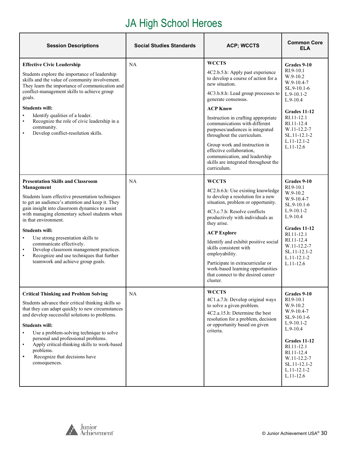# JA High School Heroes

| <b>Session Descriptions</b>                                                                                                                                                                                                                                                                                                                                                                                                                                                                                                                             | <b>Social Studies Standards</b> | <b>ACP; WCCTS</b>                                                                                                                                                                                                                                                                                                                                                                                                                                                                        | <b>Common Core</b><br><b>ELA</b>                                                                                                                                                                                             |
|---------------------------------------------------------------------------------------------------------------------------------------------------------------------------------------------------------------------------------------------------------------------------------------------------------------------------------------------------------------------------------------------------------------------------------------------------------------------------------------------------------------------------------------------------------|---------------------------------|------------------------------------------------------------------------------------------------------------------------------------------------------------------------------------------------------------------------------------------------------------------------------------------------------------------------------------------------------------------------------------------------------------------------------------------------------------------------------------------|------------------------------------------------------------------------------------------------------------------------------------------------------------------------------------------------------------------------------|
| <b>Effective Civic Leadership</b><br>Students explore the importance of leadership<br>skills and the value of community involvement.<br>They learn the importance of communication and<br>conflict-management skills to achieve group<br>goals.<br><b>Students will:</b><br>Identify qualities of a leader.<br>$\bullet$<br>Recognize the role of civic leadership in a<br>$\bullet$<br>community.<br>Develop conflict-resolution skills.<br>$\bullet$                                                                                                  | NA                              | <b>WCCTS</b><br>4C2.b.5.h: Apply past experience<br>to develop a course of action for a<br>new situation.<br>4C3.b.8.h: Lead group processes to<br>generate consensus.<br><b>ACP Know</b><br>Instruction in crafting appropriate<br>communications with different<br>purposes/audiences is integrated<br>throughout the curriculum.<br>Group work and instruction in<br>effective collaboration,<br>communication, and leadership<br>skills are integrated throughout the<br>curriculum. | Grades 9-10<br>$RI.9-10.1$<br>$W.9-10.2$<br>$W.9-10.4-7$<br>$SL.9-10.1-6$<br>$L.9-10.1-2$<br>$L.9-10.4$<br>Grades 11-12<br>RI.11-12.1<br>RI.11-12.4<br>$W.11 - 12.2 - 7$<br>SL.11-12.1-2<br>$L.11 - 12.1 - 2$<br>$L.11-12.6$ |
| <b>Presentation Skills and Classroom</b><br>Management<br>Students learn effective presentation techniques<br>to get an audience's attention and keep it. They<br>gain insight into classroom dynamics to assist<br>with managing elementary school students when<br>in that environment.<br><b>Students will:</b><br>Use strong presentation skills to<br>$\bullet$<br>communicate effectively.<br>Develop classroom management practices.<br>$\bullet$<br>Recognize and use techniques that further<br>$\bullet$<br>teamwork and achieve group goals. | NA                              | <b>WCCTS</b><br>4C2.b.6.h: Use existing knowledge<br>to develop a resolution for a new<br>situation, problem or opportunity.<br>4C3.c.7.h: Resolve conflicts<br>productively with individuals as<br>they arise.<br><b>ACP Explore</b><br>Identify and exhibit positive social<br>skills consistent with<br>employability.<br>Participate in extracurricular or<br>work-based learning opportunities<br>that connect to the desired career<br>cluster.                                    | Grades 9-10<br>$RI.9-10.1$<br>$W.9-10.2$<br>$W.9-10.4-7$<br>$SL.9-10.1-6$<br>$L.9-10.1-2$<br>$L.9-10.4$<br>Grades 11-12<br>RI.11-12.1<br>RI.11-12.4<br>W.11-12.2-7<br>SL.11-12.1-2<br>$L.11 - 12.1 - 2$<br>$L.11 - 12.6$     |
| <b>Critical Thinking and Problem Solving</b><br>Students advance their critical thinking skills so<br>that they can adapt quickly to new circumstances<br>and develop successful solutions to problems.<br><b>Students will:</b><br>Use a problem-solving technique to solve<br>$\bullet$<br>personal and professional problems.<br>Apply critical-thinking skills to work-based<br>$\bullet$<br>problems.<br>Recognize that decisions have<br>$\bullet$<br>consequences.                                                                               | NA                              | <b>WCCTS</b><br>4C1.a.7.h: Develop original ways<br>to solve a given problem.<br>4C2.a.15.h: Determine the best<br>resolution for a problem, decision<br>or opportunity based on given<br>criteria.                                                                                                                                                                                                                                                                                      | Grades 9-10<br>RI.9-10.1<br>$W.9-10.2$<br>W.9-10.4-7<br>SL.9-10.1-6<br>$L.9-10.1-2$<br>$L.9-10.4$<br><b>Grades 11-12</b><br>RI.11-12.1<br>RI.11-12.4<br>W.11-12.2-7<br>SL.11-12.1-2<br>$L.11 - 12.1 - 2$<br>$L.11-12.6$      |

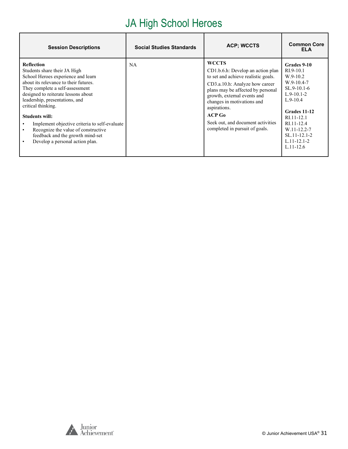# JA High School Heroes

| <b>Session Descriptions</b>                                                                                                                                                                                                                                                                                                                                                                                                                                             | <b>Social Studies Standards</b> | <b>ACP; WCCTS</b>                                                                                                                                                                                                                                                                                                               | <b>Common Core</b><br><b>ELA</b>                                                                                                                                                                                         |
|-------------------------------------------------------------------------------------------------------------------------------------------------------------------------------------------------------------------------------------------------------------------------------------------------------------------------------------------------------------------------------------------------------------------------------------------------------------------------|---------------------------------|---------------------------------------------------------------------------------------------------------------------------------------------------------------------------------------------------------------------------------------------------------------------------------------------------------------------------------|--------------------------------------------------------------------------------------------------------------------------------------------------------------------------------------------------------------------------|
| <b>Reflection</b><br>Students share their JA High<br>School Heroes experience and learn<br>about its relevance to their futures.<br>They complete a self-assessment<br>designed to reiterate lessons about<br>leadership, presentations, and<br>critical thinking.<br><b>Students will:</b><br>Implement objective criteria to self-evaluate<br>Recognize the value of constructive<br>$\bullet$<br>feedback and the growth mind-set<br>Develop a personal action plan. | <b>NA</b>                       | <b>WCCTS</b><br>CD1.b.6.h: Develop an action plan<br>to set and achieve realistic goals.<br>CD3.a.10.h: Analyze how career<br>plans may be affected by personal<br>growth, external events and<br>changes in motivations and<br>aspirations.<br>$ACP$ Go<br>Seek out, and document activities<br>completed in pursuit of goals. | Grades 9-10<br>$RI.9-10.1$<br>$W.9-10.2$<br>$W.9-10.4-7$<br>$SL.9-10.1-6$<br>$L.9-10.1-2$<br>$L.9-10.4$<br>Grades 11-12<br>RI.11-12.1<br>RI.11-12.4<br>W.11-12.2-7<br>SL.11-12.1-2<br>$L.11 - 12.1 - 2$<br>$L.11 - 12.6$ |

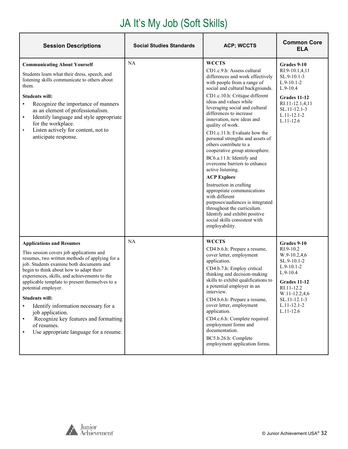| <b>Session Descriptions</b>                                                                                                                                                                                                                                                                                                                                                                                                                                                                                                                                    | <b>Social Studies Standards</b> | <b>ACP; WCCTS</b>                                                                                                                                                                                                                                                                                                                                                                                                                                                                                                                                                                                                                                                                                                                                                                                  | <b>Common Core</b><br>ELA                                                                                                                                                                |
|----------------------------------------------------------------------------------------------------------------------------------------------------------------------------------------------------------------------------------------------------------------------------------------------------------------------------------------------------------------------------------------------------------------------------------------------------------------------------------------------------------------------------------------------------------------|---------------------------------|----------------------------------------------------------------------------------------------------------------------------------------------------------------------------------------------------------------------------------------------------------------------------------------------------------------------------------------------------------------------------------------------------------------------------------------------------------------------------------------------------------------------------------------------------------------------------------------------------------------------------------------------------------------------------------------------------------------------------------------------------------------------------------------------------|------------------------------------------------------------------------------------------------------------------------------------------------------------------------------------------|
| <b>Communicating About Yourself</b><br>Students learn what their dress, speech, and<br>listening skills communicate to others about<br>them.<br><b>Students will:</b><br>Recognize the importance of manners<br>$\bullet$<br>as an element of professionalism.<br>Identify language and style appropriate<br>$\bullet$<br>for the workplace.<br>Listen actively for content, not to<br>$\bullet$<br>anticipate response.                                                                                                                                       | NA                              | <b>WCCTS</b><br>CD1.c.9.h: Assess cultural<br>differences and work effectively<br>with people from a range of<br>social and cultural backgrounds.<br>CD1.c.10.h: Critique different<br>ideas and values while<br>leveraging social and cultural<br>differences to increase<br>innovation, new ideas and<br>quality of work.<br>CD1.c.11.h: Evaluate how the<br>personal strengths and assets of<br>others contribute to a<br>cooperative group atmosphere.<br>BC6.a.11.h: Identify and<br>overcome barriers to enhance<br>active listening.<br><b>ACP Explore</b><br>Instruction in crafting<br>appropriate communications<br>with different<br>purposes/audiences is integrated<br>throughout the curriculum.<br>Identify and exhibit positive<br>social skills consistent with<br>employability. | Grades 9-10<br>RI.9-10.1,4,11<br>SL.9-10.1-3<br>$L.9-10.1-2$<br>$L.9-10.4$<br>Grades 11-12<br>RI.11-12.1,4,11<br>SL.11-12.1-3<br>$L.11 - 12.1 - 2$<br>$L.11 - 12.6$                      |
| <b>Applications and Resumes</b><br>This session covers job applications and<br>resumes, two written methods of applying for a<br>job. Students examine both documents and<br>begin to think about how to adapt their<br>experiences, skills, and achievements to the<br>applicable template to present themselves to a<br>potential employer.<br><b>Students will:</b><br>Identify information necessary for a<br>$\bullet$<br>job application.<br>Recognize key features and formatting<br>$\bullet$<br>of resumes.<br>Use appropriate language for a resume. | <b>NA</b>                       | <b>WCCTS</b><br>CD4.b.6.h: Prepare a resume,<br>cover letter, employment<br>application.<br>CD4.b.7.h: Employ critical<br>thinking and decision-making<br>skills to exhibit qualifications to<br>a potential employer in an<br>interview.<br>CD4.b.6.h: Prepare a resume,<br>cover letter, employment<br>application.<br>CD4.c.6.h: Complete required<br>employment forms and<br>documentation.<br>BC5.b.26.h: Complete<br>employment application forms.                                                                                                                                                                                                                                                                                                                                           | Grades 9-10<br>RI.9-10.2<br>W.9-10.2,4,6<br>SL.9-10.1-2<br>$L.9-10.1-2$<br>$L.9-10.4$<br>Grades 11-12<br>RI.11-12.2<br>W.11-12.2,4,6<br>SL.11-12.1-3<br>$L.11 - 12.1 - 2$<br>$L.11-12.6$ |

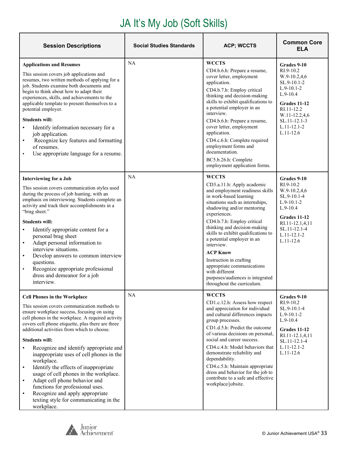| <b>Session Descriptions</b>                                                                                                                                                                                                                                                                                                                                                                                                                                                                                                                                                                                                                                                                                        | <b>Social Studies Standards</b> | <b>ACP; WCCTS</b>                                                                                                                                                                                                                                                                                                                                                                                                                                                                                         | <b>Common Core</b><br>ELA                                                                                                                                                                  |
|--------------------------------------------------------------------------------------------------------------------------------------------------------------------------------------------------------------------------------------------------------------------------------------------------------------------------------------------------------------------------------------------------------------------------------------------------------------------------------------------------------------------------------------------------------------------------------------------------------------------------------------------------------------------------------------------------------------------|---------------------------------|-----------------------------------------------------------------------------------------------------------------------------------------------------------------------------------------------------------------------------------------------------------------------------------------------------------------------------------------------------------------------------------------------------------------------------------------------------------------------------------------------------------|--------------------------------------------------------------------------------------------------------------------------------------------------------------------------------------------|
| <b>Applications and Resumes</b><br>This session covers job applications and<br>resumes, two written methods of applying for a<br>job. Students examine both documents and<br>begin to think about how to adapt their<br>experiences, skills, and achievements to the<br>applicable template to present themselves to a<br>potential employer.<br><b>Students will:</b><br>Identify information necessary for a<br>job application.<br>Recognize key features and formatting<br>$\bullet$<br>of resumes.<br>Use appropriate language for a resume.<br>$\bullet$                                                                                                                                                     | NA                              | <b>WCCTS</b><br>CD4.b.6.h: Prepare a resume,<br>cover letter, employment<br>application.<br>CD4.b.7.h: Employ critical<br>thinking and decision-making<br>skills to exhibit qualifications to<br>a potential employer in an<br>interview.<br>CD4.b.6.h: Prepare a resume,<br>cover letter, employment<br>application.<br>CD4.c.6.h: Complete required<br>employment forms and<br>documentation.<br>BC5.b.26.h: Complete<br>employment application forms.                                                  | Grades 9-10<br>$RI.9-10.2$<br>W.9-10.2,4,6<br>SL.9-10.1-2<br>$L.9-10.1-2$<br>$L.9-10.4$<br>Grades 11-12<br>RI.11-12.2<br>W.11-12.2,4,6<br>SL.11-12.1-3<br>$L.11 - 12.1 - 2$<br>$L.11-12.6$ |
| <b>Interviewing for a Job</b><br>This session covers communication styles used<br>during the process of job hunting, with an<br>emphasis on interviewing. Students complete an<br>activity and track their accomplishments in a<br>"brag sheet."<br><b>Students will:</b><br>Identify appropriate content for a<br>$\bullet$<br>personal brag sheet<br>Adapt personal information to<br>$\bullet$<br>interview situations.<br>Develop answers to common interview<br>$\bullet$<br>questions.<br>Recognize appropriate professional<br>$\bullet$<br>dress and demeanor for a job<br>interview.                                                                                                                      | NA                              | <b>WCCTS</b><br>CD3.a.11.h: Apply academic<br>and employment readiness skills<br>in work-based learning<br>situations such as internships,<br>shadowing and/or mentoring<br>experiences.<br>CD4.b.7.h: Employ critical<br>thinking and decision-making<br>skills to exhibit qualifications to<br>a potential employer in an<br>interview.<br><b>ACP Know</b><br>Instruction in crafting<br>appropriate communications<br>with different<br>purposes/audiences is integrated<br>throughout the curriculum. | Grades 9-10<br>RI.9-10.2<br>W.9-10.2,4,6<br>SL.9-10.1-4<br>$L.9-10.1-2$<br>$L.9-10.4$<br>Grades 11-12<br>RI.11-12.1,4,11<br>SL.11-12.1-4<br>$L.11 - 12.1 - 2$<br>$L.11-12.6$               |
| <b>Cell Phones in the Workplace</b><br>This session covers communication methods to<br>ensure workplace success, focusing on using<br>cell phones in the workplace. A required activity<br>covers cell phone etiquette, plus there are three<br>additional activities from which to choose.<br><b>Students will:</b><br>Recognize and identify appropriate and<br>inappropriate uses of cell phones in the<br>workplace.<br>Identify the effects of inappropriate<br>$\bullet$<br>usage of cell phones in the workplace.<br>Adapt cell phone behavior and<br>$\bullet$<br>functions for professional uses.<br>Recognize and apply appropriate<br>$\bullet$<br>texting style for communicating in the<br>workplace. | NA                              | <b>WCCTS</b><br>CD1.c.12.h: Assess how respect<br>and appreciation for individual<br>and cultural differences impacts<br>group processes.<br>CD1.d.5.h: Predict the outcome<br>of various decisions on personal,<br>social and career success.<br>CD4.c.4.h: Model behaviors that<br>demonstrate reliability and<br>dependability.<br>CD4.c.5.h: Maintain appropriate<br>dress and behavior for the job to<br>contribute to a safe and effective<br>workplace/jobsite.                                    | Grades 9-10<br>RI.9-10.2<br>SL.9-10.1-4<br>$L.9-10.1-2$<br>$L.9-10.4$<br><b>Grades 11-12</b><br>RI.11-12.1,4,11<br>SL.11-12.1-4<br>$L.11 - 12.1 - 2$<br>$L.11 - 12.6$                      |

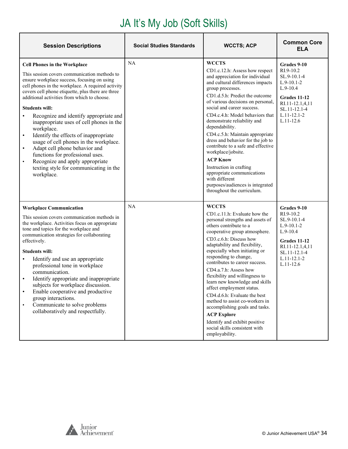| <b>Session Descriptions</b>                                                                                                                                                                                                                                                                                                                                                                                                                                                                                                                                                                                                                                                                                                     | <b>Social Studies Standards</b> | <b>WCCTS; ACP</b>                                                                                                                                                                                                                                                                                                                                                                                                                                                                                                                                                                                                                          | <b>Common Core</b><br>ELA                                                                                                                                           |
|---------------------------------------------------------------------------------------------------------------------------------------------------------------------------------------------------------------------------------------------------------------------------------------------------------------------------------------------------------------------------------------------------------------------------------------------------------------------------------------------------------------------------------------------------------------------------------------------------------------------------------------------------------------------------------------------------------------------------------|---------------------------------|--------------------------------------------------------------------------------------------------------------------------------------------------------------------------------------------------------------------------------------------------------------------------------------------------------------------------------------------------------------------------------------------------------------------------------------------------------------------------------------------------------------------------------------------------------------------------------------------------------------------------------------------|---------------------------------------------------------------------------------------------------------------------------------------------------------------------|
| <b>Cell Phones in the Workplace</b><br>This session covers communication methods to<br>ensure workplace success, focusing on using<br>cell phones in the workplace. A required activity<br>covers cell phone etiquette, plus there are three<br>additional activities from which to choose.<br><b>Students will:</b><br>Recognize and identify appropriate and<br>$\bullet$<br>inappropriate uses of cell phones in the<br>workplace.<br>Identify the effects of inappropriate<br>$\bullet$<br>usage of cell phones in the workplace.<br>Adapt cell phone behavior and<br>$\bullet$<br>functions for professional uses.<br>Recognize and apply appropriate<br>$\bullet$<br>texting style for communicating in the<br>workplace. | NA                              | <b>WCCTS</b><br>CD1.c.12.h: Assess how respect<br>and appreciation for individual<br>and cultural differences impacts<br>group processes.<br>CD1.d.5.h: Predict the outcome<br>of various decisions on personal,<br>social and career success.<br>CD4.c.4.h: Model behaviors that<br>demonstrate reliability and<br>dependability.<br>CD4.c.5.h: Maintain appropriate<br>dress and behavior for the job to<br>contribute to a safe and effective<br>workplace/jobsite.<br><b>ACP Know</b><br>Instruction in crafting<br>appropriate communications<br>with different<br>purposes/audiences is integrated<br>throughout the curriculum.     | Grades 9-10<br>RI.9-10.2<br>SL.9-10.1-4<br>$L.9-10.1-2$<br>$L.9-10.4$<br><b>Grades 11-12</b><br>RI.11-12.1,4,11<br>SL.11-12.1-4<br>$L.11 - 12.1 - 2$<br>$L.11-12.6$ |
| <b>Workplace Communication</b><br>This session covers communication methods in<br>the workplace. Activities focus on appropriate<br>tone and topics for the workplace and<br>communication strategies for collaborating<br>effectively.<br><b>Students will:</b><br>Identify and use an appropriate<br>$\bullet$<br>professional tone in workplace<br>communication.<br>Identify appropriate and inappropriate<br>subjects for workplace discussion.<br>Enable cooperative and productive<br>group interactions.<br>Communicate to solve problems<br>$\bullet$<br>collaboratively and respectfully.                                                                                                                             | NA                              | <b>WCCTS</b><br>CD1.c.11.h: Evaluate how the<br>personal strengths and assets of<br>others contribute to a<br>cooperative group atmosphere.<br>CD3.c.6.h: Discuss how<br>adaptability and flexibility,<br>especially when initiating or<br>responding to change,<br>contributes to career success.<br>CD4.a.7.h: Assess how<br>flexibility and willingness to<br>learn new knowledge and skills<br>affect employment status.<br>CD4.d.6.h: Evaluate the best<br>method to assist co-workers in<br>accomplishing goals and tasks.<br><b>ACP Explore</b><br>Identify and exhibit positive<br>social skills consistent with<br>employability. | Grades 9-10<br>RI.9-10.2<br>SL.9-10.1-4<br>$L.9-10.1-2$<br>$L.9-10.4$<br>Grades 11-12<br>RI.11-12.1,4,11<br>SL.11-12.1-4<br>$L.11 - 12.1 - 2$<br>$L.11-12.6$        |

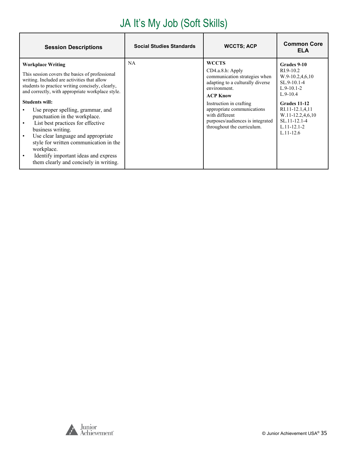| <b>Session Descriptions</b>                                                                                                                                                                                                                                                                                                                                                                                                                                                                                                                                                                                       | <b>Social Studies Standards</b> | <b>WCCTS; ACP</b>                                                                                                                                                                                                                                                                     | <b>Common Core</b><br><b>ELA</b>                                                                                                                                                                                |
|-------------------------------------------------------------------------------------------------------------------------------------------------------------------------------------------------------------------------------------------------------------------------------------------------------------------------------------------------------------------------------------------------------------------------------------------------------------------------------------------------------------------------------------------------------------------------------------------------------------------|---------------------------------|---------------------------------------------------------------------------------------------------------------------------------------------------------------------------------------------------------------------------------------------------------------------------------------|-----------------------------------------------------------------------------------------------------------------------------------------------------------------------------------------------------------------|
| <b>Workplace Writing</b><br>This session covers the basics of professional<br>writing. Included are activities that allow<br>students to practice writing concisely, clearly,<br>and correctly, with appropriate workplace style.<br><b>Students will:</b><br>Use proper spelling, grammar, and<br>punctuation in the workplace.<br>List best practices for effective<br>$\bullet$<br>business writing.<br>Use clear language and appropriate<br>$\bullet$<br>style for written communication in the<br>workplace.<br>Identify important ideas and express<br>$\bullet$<br>them clearly and concisely in writing. | NA                              | <b>WCCTS</b><br>CD4.a.8.h: Apply<br>communication strategies when<br>adapting to a culturally diverse<br>environment.<br><b>ACP Know</b><br>Instruction in crafting<br>appropriate communications<br>with different<br>purposes/audiences is integrated<br>throughout the curriculum. | Grades 9-10<br>$R1.9-10.2$<br>$W.9-10.2,4,6,10$<br>SL.9-10.1-4<br>$L.9-10.1-2$<br>$L.9-10.4$<br>Grades 11-12<br>RI.11-12.1,4,11<br>W.11-12.2,4,6,10<br>$SL.11 - 12.1 - 4$<br>$L.11 - 12.1 - 2$<br>$L.11 - 12.6$ |

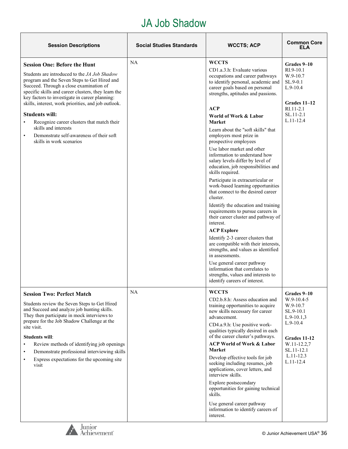#### JA Job Shadow

| <b>Session Descriptions</b>                                                                                                                                                                                                                                                                                                                                                                                                                                                                                                                            | <b>Social Studies Standards</b> | <b>WCCTS; ACP</b>                                                                                                                                                                                                                                                                                                                                                                                                                                                                                                                                                                                                                                                                                                                                                                                                                                                                                                                                                                                                                                                     | <b>Common Core</b><br>ELA                                                                                                                                         |
|--------------------------------------------------------------------------------------------------------------------------------------------------------------------------------------------------------------------------------------------------------------------------------------------------------------------------------------------------------------------------------------------------------------------------------------------------------------------------------------------------------------------------------------------------------|---------------------------------|-----------------------------------------------------------------------------------------------------------------------------------------------------------------------------------------------------------------------------------------------------------------------------------------------------------------------------------------------------------------------------------------------------------------------------------------------------------------------------------------------------------------------------------------------------------------------------------------------------------------------------------------------------------------------------------------------------------------------------------------------------------------------------------------------------------------------------------------------------------------------------------------------------------------------------------------------------------------------------------------------------------------------------------------------------------------------|-------------------------------------------------------------------------------------------------------------------------------------------------------------------|
| <b>Session One: Before the Hunt</b><br>Students are introduced to the <i>JA Job Shadow</i><br>program and the Seven Steps to Get Hired and<br>Succeed. Through a close examination of<br>specific skills and career clusters, they learn the<br>key factors to investigate in career planning:<br>skills, interest, work priorities, and job outlook.<br><b>Students will:</b><br>Recognize career clusters that match their<br>$\bullet$<br>skills and interests<br>Demonstrate self-awareness of their soft<br>$\bullet$<br>skills in work scenarios | <b>NA</b>                       | <b>WCCTS</b><br>CD1.a.3.h: Evaluate various<br>occupations and career pathways<br>to identify personal, academic and<br>career goals based on personal<br>strengths, aptitudes and passions.<br>ACP<br>World of Work & Labor<br><b>Market</b><br>Learn about the "soft skills" that<br>employers most prize in<br>prospective employees<br>Use labor market and other<br>information to understand how<br>salary levels differ by level of<br>education, job responsibilities and<br>skills required.<br>Participate in extracurricular or<br>work-based learning opportunities<br>that connect to the desired career<br>cluster.<br>Identify the education and training<br>requirements to pursue careers in<br>their career cluster and pathway of<br>interest.<br><b>ACP Explore</b><br>Identify 2-3 career clusters that<br>are compatible with their interests,<br>strengths, and values as identified<br>in assessments.<br>Use general career pathway<br>information that correlates to<br>strengths, values and interests to<br>identify careers of interest. | Grades 9-10<br>$RI.9-10.1$<br>$W.9-10.7$<br>SL.9-0.1<br>$L.9-10.4$<br>Grades $11-12$<br>$RI.11-2.1$<br>SL.11-2.1<br>$L.11-12.4$                                   |
| <b>Session Two: Perfect Match</b><br>Students review the Seven Steps to Get Hired<br>and Succeed and analyze job hunting skills.<br>They then participate in mock interviews to<br>prepare for the Job Shadow Challenge at the<br>site visit.<br><b>Students will:</b><br>Review methods of identifying job openings<br>$\bullet$<br>Demonstrate professional interviewing skills<br>$\bullet$<br>Express expectations for the upcoming site<br>$\bullet$<br>visit                                                                                     | <b>NA</b>                       | <b>WCCTS</b><br>CD2.b.8.h: Assess education and<br>training opportunities to acquire<br>new skills necessary for career<br>advancement.<br>CD4.a.9.h: Use positive work-<br>qualities typically desired in each<br>of the career cluster's pathways.<br><b>ACP World of Work &amp; Labor</b><br><b>Market</b><br>Develop effective tools for job<br>seeking including resumes, job<br>applications, cover letters, and<br>interview skills.<br>Explore postsecondary<br>opportunities for gaining technical<br>skills.<br>Use general career pathway<br>information to identify careers of<br>interest.                                                                                                                                                                                                                                                                                                                                                                                                                                                               | Grades 9-10<br>$W.9-10.4-5$<br>W.9-10.7<br>SL.9-10.1<br>$L.9-10.1,3$<br>$L.9-10.4$<br>Grades 11-12<br>W.11-12.2,7<br>SL.11-12.1<br>$L.11 - 12.3$<br>$L.11 - 12.4$ |

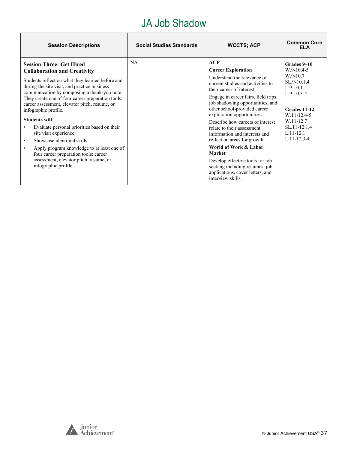#### JA Job Shadow

| <b>Session Descriptions</b>                                                                                                                                                                                                                                                                                                                                                                                                                                                                                                                                                                                                                                                             | <b>Social Studies Standards</b> | <b>WCCTS; ACP</b>                                                                                                                                                                                                                                                                                                                                                                                                                                                                                                                                                                      | <b>Common Core</b><br><b>ELA</b>                                                                                                                                                       |
|-----------------------------------------------------------------------------------------------------------------------------------------------------------------------------------------------------------------------------------------------------------------------------------------------------------------------------------------------------------------------------------------------------------------------------------------------------------------------------------------------------------------------------------------------------------------------------------------------------------------------------------------------------------------------------------------|---------------------------------|----------------------------------------------------------------------------------------------------------------------------------------------------------------------------------------------------------------------------------------------------------------------------------------------------------------------------------------------------------------------------------------------------------------------------------------------------------------------------------------------------------------------------------------------------------------------------------------|----------------------------------------------------------------------------------------------------------------------------------------------------------------------------------------|
| <b>Session Three: Get Hired-</b><br><b>Collaboration and Creativity</b><br>Students reflect on what they learned before and<br>during the site visit, and practice business<br>communication by composing a thank-you note.<br>They create one of four career preparation tools:<br>career assessment, elevator pitch, resume, or<br>infographic profile.<br><b>Students will:</b><br>Evaluate personal priorities based on their<br>$\bullet$<br>site visit experience<br>Showcase identified skills<br>$\bullet$<br>Apply program knowledge to at least one of<br>$\bullet$<br>four career preparation tools: career<br>assessment, elevator pitch, resume, or<br>infographic profile | NA                              | ACP<br><b>Career Exploration</b><br>Understand the relevance of<br>current studies and activities to<br>their career of interest.<br>Engage in career fairs, field trips,<br>job shadowing opportunities, and<br>other school-provided career<br>exploration opportunities.<br>Describe how careers of interest<br>relate to their assessment<br>information and interests and<br>reflect on areas for growth.<br>World of Work & Labor<br><b>Market</b><br>Develop effective tools for job<br>seeking including resumes, job<br>applications, cover letters, and<br>interview skills. | Grades 9-10<br>$W.9-10.4-5$<br>W.9-10.7<br>SL.9-10.1,4<br>$L.9-10.1$<br>$L.9-10.3-4$<br>Grades 11-12<br>W.11-12.4-5<br>W.11-12.7<br>SL.11-12.1,4<br>$L.11 - 12.1$<br>$L.11 - 12.3 - 4$ |



٦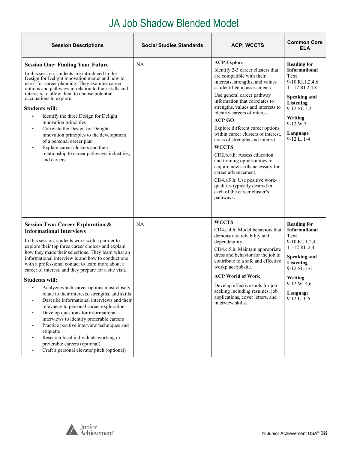# JA Job Shadow Blended Model

<span id="page-37-0"></span>

| <b>Session Descriptions</b>                                                                                                                                                                                                                                                                                                                                                                                                                                                                                                                                                                                                                                                                                                                                                                                                                                                                                                                 | <b>Social Studies Standards</b> | <b>ACP; WCCTS</b>                                                                                                                                                                                                                                                                                                                                                                                                                                                                                                                                                                                                                                                                           | <b>Common Core</b><br>ELA                                                                                                                                                                                |
|---------------------------------------------------------------------------------------------------------------------------------------------------------------------------------------------------------------------------------------------------------------------------------------------------------------------------------------------------------------------------------------------------------------------------------------------------------------------------------------------------------------------------------------------------------------------------------------------------------------------------------------------------------------------------------------------------------------------------------------------------------------------------------------------------------------------------------------------------------------------------------------------------------------------------------------------|---------------------------------|---------------------------------------------------------------------------------------------------------------------------------------------------------------------------------------------------------------------------------------------------------------------------------------------------------------------------------------------------------------------------------------------------------------------------------------------------------------------------------------------------------------------------------------------------------------------------------------------------------------------------------------------------------------------------------------------|----------------------------------------------------------------------------------------------------------------------------------------------------------------------------------------------------------|
| <b>Session One: Finding Your Future</b><br>In this session, students are introduced to the<br>Design for Delight innovation model and how to<br>use it for career planning. They examine career<br>options and pathways in relation to their skills and<br>interests, to allow them to choose potential<br>occupations to explore.<br><b>Students will:</b><br>Identify the three Design for Delight<br>٠<br>innovation principles<br>Correlate the Design for Delight<br>٠<br>innovation principles to the development<br>of a personal career plan<br>Explain career clusters and their<br>relationship to career pathways, industries,<br>and careers                                                                                                                                                                                                                                                                                    | NA                              | <b>ACP Explore</b><br>Identify 2-3 career clusters that<br>are compatible with their<br>interests, strengths, and values<br>as identified in assessments.<br>Use general career pathway<br>information that correlates to<br>strengths, values and interests to<br>identify careers of interest.<br><b>ACP GO</b><br>Explore different career options<br>within career clusters of interest.<br>areas of strengths and interest.<br><b>WCCTS</b><br>CD2.b.8.h: Assess education<br>and training opportunities to<br>acquire new skills necessary for<br>career advancement.<br>CD4.a.9.h: Use positive work-<br>qualities typically desired in<br>each of the career cluster's<br>pathways. | <b>Reading for</b><br>Informational<br><b>Text</b><br>9-10 RI.1,2,4,6<br>11-12 RI 2,4,8<br><b>Speaking and</b><br>Listening<br>9-12 SL.1,2<br>Writing<br>9-12 W.7<br>Language<br>$9-12$ L. $1-4$         |
| <b>Session Two: Career Exploration &amp;</b><br><b>Informational Interviews</b><br>In this session, students work with a partner to<br>explore their top three career choices and explain<br>how they made their selections. They learn what an<br>informational interview is and how to conduct one<br>with a professional contact to learn more about a<br>career of interest, and they prepare for a site visit.<br><b>Students will:</b><br>Analyze which career options most closely<br>relate to their interests, strengths, and skills<br>Describe informational interviews and their<br>relevancy to personal career exploration<br>Develop questions for informational<br>$\blacksquare$<br>interviews to identify preferable careers<br>Practice positive interview techniques and<br>٠<br>etiquette<br>Research local individuals working in<br>٠<br>preferable careers (optional)<br>Craft a personal elevator pitch (optional) | NA                              | <b>WCCTS</b><br>CD4.c.4.h: Model behaviors that<br>demonstrate reliability and<br>dependability.<br>CD4.c.5.h: Maintain appropriate<br>dress and behavior for the job to<br>contribute to a safe and effective<br>workplace/jobsite.<br><b>ACP World of Work</b><br>Develop effective tools for job<br>seeking including resumes, job<br>applications, cover letters, and<br>interview skills.                                                                                                                                                                                                                                                                                              | <b>Reading for</b><br><b>Informational</b><br>Text<br>9-10 RI. 1,2,4<br>11-12 RI. 2,4<br><b>Speaking and</b><br>Listening<br>$9-12$ SL $.1-6$<br>Writing<br>$9-12 W. 4.6$<br>Language<br>$9-12$ L. $1-6$ |

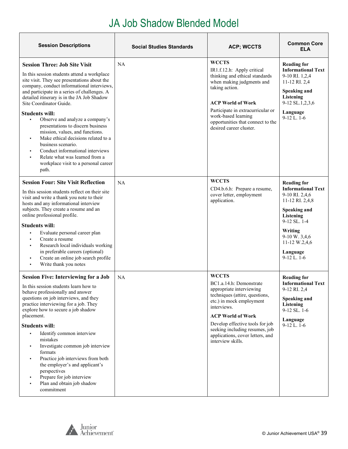# JA Job Shadow Blended Model

| <b>Session Descriptions</b>                                                                                                                                                                                                                                                                                                                                                                                                                                                                                                                                                                                                        | <b>Social Studies Standards</b> | <b>ACP; WCCTS</b>                                                                                                                                                                                                                                                                                          | <b>Common Core</b><br><b>ELA</b>                                                                                                                                                                                     |
|------------------------------------------------------------------------------------------------------------------------------------------------------------------------------------------------------------------------------------------------------------------------------------------------------------------------------------------------------------------------------------------------------------------------------------------------------------------------------------------------------------------------------------------------------------------------------------------------------------------------------------|---------------------------------|------------------------------------------------------------------------------------------------------------------------------------------------------------------------------------------------------------------------------------------------------------------------------------------------------------|----------------------------------------------------------------------------------------------------------------------------------------------------------------------------------------------------------------------|
| <b>Session Three: Job Site Visit</b><br>In this session students attend a workplace<br>site visit. They see presentations about the<br>company, conduct informational interviews,<br>and participate in a series of challenges. A<br>detailed itinerary is in the JA Job Shadow<br>Site Coordinator Guide.<br><b>Students will:</b><br>Observe and analyze a company's<br>presentations to discern business<br>mission, values, and functions.<br>Make ethical decisions related to a<br>business scenario.<br>Conduct informational interviews<br>Relate what was learned from a<br>workplace visit to a personal career<br>path. | NA                              | <b>WCCTS</b><br>IR1.f.12.h: Apply critical<br>thinking and ethical standards<br>when making judgments and<br>taking action.<br><b>ACP World of Work</b><br>Participate in extracurricular or<br>work-based learning<br>opportunities that connect to the<br>desired career cluster.                        | <b>Reading for</b><br><b>Informational Text</b><br>9-10 RI. 1,2,4<br>11-12 RI. 2,4<br>Speaking and<br><b>Listening</b><br>9-12 SL.1,2,3,6<br>Language<br>$9-12$ L. 1-6                                               |
| <b>Session Four: Site Visit Reflection</b><br>In this session students reflect on their site<br>visit and write a thank you note to their<br>hosts and any informational interview<br>subjects. They create a resume and an<br>online professional profile.<br><b>Students will:</b><br>Evaluate personal career plan<br>Create a resume<br>Research local individuals working<br>in preferable careers (optional)<br>Create an online job search profile<br>$\blacksquare$<br>Write thank you notes                                                                                                                               | NA                              | <b>WCCTS</b><br>CD4.b.6.h: Prepare a resume,<br>cover letter, employment<br>application.                                                                                                                                                                                                                   | <b>Reading for</b><br><b>Informational Text</b><br>9-10 RI. 2,4,6<br>11-12 RI. 2,4,8<br><b>Speaking and</b><br>Listening<br>9-12 SL, 1-4<br>Writing<br>9-10 W. 3,4,6<br>11-12 W.2,4,6<br>Language<br>$9-12$ L. $1-6$ |
| <b>Session Five: Interviewing for a Job</b><br>In this session students learn how to<br>behave professionally and answer<br>questions on job interviews, and they<br>practice interviewing for a job. They<br>explore how to secure a job shadow<br>placement.<br><b>Students will:</b><br>Identify common interview<br>$\blacksquare$<br>mistakes<br>Investigate common job interview<br>formats<br>Practice job interviews from both<br>the employer's and applicant's<br>perspectives<br>Prepare for job interview<br>Plan and obtain job shadow<br>commitment                                                                  | NA                              | <b>WCCTS</b><br>BC1.a.14.h: Demonstrate<br>appropriate interviewing<br>techniques (attire, questions,<br>etc.) in mock employment<br>interviews.<br><b>ACP World of Work</b><br>Develop effective tools for job<br>seeking including resumes, job<br>applications, cover letters, and<br>interview skills. | <b>Reading for</b><br><b>Informational Text</b><br>9-12 RI. 2,4<br>Speaking and<br><b>Listening</b><br>9-12 SL. 1-6<br>Language<br>$9-12$ L. $1-6$                                                                   |

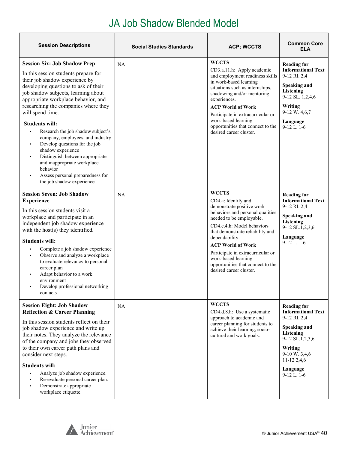#### JA Job Shadow Blended Model

| <b>Session Descriptions</b>                                                                                                                                                                                                                                                                                                                                                                                                                                                                                                                                                                                                        | <b>Social Studies Standards</b> | <b>ACP; WCCTS</b>                                                                                                                                                                                                                                                                                                                                                            | <b>Common Core</b><br>ELA                                                                                                                                                                       |
|------------------------------------------------------------------------------------------------------------------------------------------------------------------------------------------------------------------------------------------------------------------------------------------------------------------------------------------------------------------------------------------------------------------------------------------------------------------------------------------------------------------------------------------------------------------------------------------------------------------------------------|---------------------------------|------------------------------------------------------------------------------------------------------------------------------------------------------------------------------------------------------------------------------------------------------------------------------------------------------------------------------------------------------------------------------|-------------------------------------------------------------------------------------------------------------------------------------------------------------------------------------------------|
| <b>Session Six: Job Shadow Prep</b><br>In this session students prepare for<br>their job shadow experience by<br>developing questions to ask of their<br>job shadow subjects, learning about<br>appropriate workplace behavior, and<br>researching the companies where they<br>will spend time.<br><b>Students will:</b><br>Research the job shadow subject's<br>$\blacksquare$<br>company, employees, and industry<br>Develop questions for the job<br>shadow experience<br>Distinguish between appropriate<br>٠<br>and inappropriate workplace<br>behavior<br>Assess personal preparedness for<br>٠<br>the job shadow experience | NA                              | <b>WCCTS</b><br>CD3.a.11.h: Apply academic<br>and employment readiness skills<br>in work-based learning<br>situations such as internships,<br>shadowing and/or mentoring<br>experiences.<br><b>ACP World of Work</b><br>Participate in extracurricular or<br>work-based learning<br>opportunities that connect to the<br>desired career cluster.                             | <b>Reading for</b><br><b>Informational Text</b><br>9-12 RI. 2,4<br>Speaking and<br>Listening<br>9-12 SL. 1,2,4,6<br>Writing<br>9-12 W. 4,6,7<br>Language<br>$9-12$ L. $1-6$                     |
| <b>Session Seven: Job Shadow</b><br><b>Experience</b><br>In this session students visit a<br>workplace and participate in an<br>independent job shadow experience<br>with the host(s) they identified.<br><b>Students will:</b><br>Complete a job shadow experience<br>Observe and analyze a workplace<br>$\blacksquare$<br>to evaluate relevancy to personal<br>career plan<br>Adapt behavior to a work<br>environment<br>Develop professional networking<br>$\blacksquare$<br>contacts                                                                                                                                           | NA                              | <b>WCCTS</b><br>CD4.a: Identify and<br>demonstrate positive work<br>behaviors and personal qualities<br>needed to be employable.<br>CD4.c.4.h: Model behaviors<br>that demonstrate reliability and<br>dependability.<br><b>ACP World of Work</b><br>Participate in extracurricular or<br>work-based learning<br>opportunities that connect to the<br>desired career cluster. | <b>Reading for</b><br><b>Informational Text</b><br>9-12 RI. 2,4<br><b>Speaking and</b><br>Listening<br>9-12 SL.1,2,3,6<br>Language<br>$9-12$ L. $1-6$                                           |
| <b>Session Eight: Job Shadow</b><br><b>Reflection &amp; Career Planning</b><br>In this session students reflect on their<br>job shadow experience and write up<br>their notes. They analyze the relevance<br>of the company and jobs they observed<br>to their own career path plans and<br>consider next steps.<br><b>Students will:</b><br>Analyze job shadow experience.<br>$\blacksquare$<br>Re-evaluate personal career plan.<br>Demonstrate appropriate<br>workplace etiquette.                                                                                                                                              | NA                              | <b>WCCTS</b><br>CD4.d.8.h: Use a systematic<br>approach to academic and<br>career planning for students to<br>achieve their learning, socio-<br>cultural and work goals.                                                                                                                                                                                                     | <b>Reading for</b><br><b>Informational Text</b><br>9-12 RI. 2,4<br><b>Speaking and</b><br>Listening<br>9-12 SL.1,2,3,6<br>Writing<br>9-10 W. 3,4,6<br>$11-122,4,6$<br>Language<br>$9-12$ L. 1-6 |

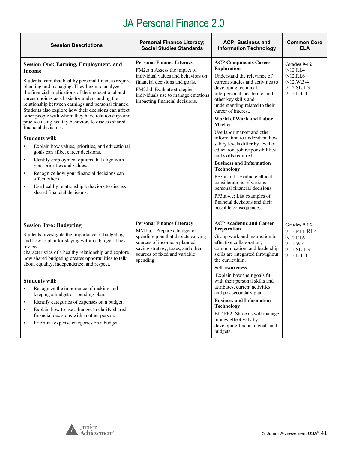<span id="page-40-0"></span>

| <b>Session Descriptions</b>                                                                                                                                                                                                                                                                                                                                                                                                                                                                                                                                                                                                                                                                                                                                                                                                                                                                                         | <b>Personal Finance Literacy;</b><br><b>Social Studies Standards</b>                                                                                                                                                                            | ACP; Business and<br><b>Information Technology</b>                                                                                                                                                                                                                                                                                                                                                                                                                                                                                                                                                                                                                                                                         | <b>Common Core</b><br>ELA                                                             |
|---------------------------------------------------------------------------------------------------------------------------------------------------------------------------------------------------------------------------------------------------------------------------------------------------------------------------------------------------------------------------------------------------------------------------------------------------------------------------------------------------------------------------------------------------------------------------------------------------------------------------------------------------------------------------------------------------------------------------------------------------------------------------------------------------------------------------------------------------------------------------------------------------------------------|-------------------------------------------------------------------------------------------------------------------------------------------------------------------------------------------------------------------------------------------------|----------------------------------------------------------------------------------------------------------------------------------------------------------------------------------------------------------------------------------------------------------------------------------------------------------------------------------------------------------------------------------------------------------------------------------------------------------------------------------------------------------------------------------------------------------------------------------------------------------------------------------------------------------------------------------------------------------------------------|---------------------------------------------------------------------------------------|
| <b>Session One: Earning, Employment, and</b><br>Income<br>Students learn that healthy personal finances require<br>planning and managing. They begin to analyze<br>the financial implications of their educational and<br>career choices as a basis for understanding the<br>relationship between earnings and personal finance.<br>Students also explore how their decisions can affect<br>other people with whom they have relationships and<br>practice using healthy behaviors to discuss shared<br>financial decisions.<br><b>Students will:</b><br>Explain how values, priorities, and educational<br>goals can affect career decisions.<br>Identify employment options that align with<br>$\bullet$<br>your priorities and values.<br>Recognize how your financial decisions can<br>$\bullet$<br>affect others.<br>Use healthy relationship behaviors to discuss<br>$\bullet$<br>shared financial decisions. | <b>Personal Finance Literacy</b><br>FM2.a.h Assess the impact of<br>individual values and behaviors on<br>financial decisions and goals.<br>FM2.b.h Evaluate strategies<br>individuals use to manage emotions<br>impacting financial decisions. | <b>ACP Components Career</b><br><b>Exploration</b><br>Understand the relevance of<br>current studies and activities to<br>developing technical,<br>interpersonal, academic, and<br>other key skills and<br>understanding related to their<br>career of interest.<br>World of Work and Labor<br><b>Market</b><br>Use labor market and other<br>information to understand how<br>salary levels differ by level of<br>education, job responsibilities<br>and skills required.<br><b>Business and Information</b><br><b>Technology</b><br>PF3.a.16.h: Evaluate ethical<br>considerations of various<br>personal financial decisions.<br>PF3.a.4.e: List examples of<br>financial decisions and their<br>possible consequences. | Grades 9-12<br>9-12 RI.4<br>9-12.RI.6<br>9-12.W.3-4<br>$9-12.SL.1-3$<br>$9-12.L.1-4$  |
| <b>Session Two: Budgeting</b><br>Students investigate the importance of budgeting<br>and how to plan for staying within a budget. They<br>review<br>characteristics of a healthy relationship and explore<br>how shared budgeting creates opportunities to talk<br>about equality, independence, and respect.<br><b>Students will:</b><br>Recognize the importance of making and<br>keeping a budget or spending plan.<br>Identify categories of expenses on a budget.<br>$\bullet$<br>Explain how to use a budget to clarify shared<br>$\bullet$<br>financial decisions with another person.<br>Prioritize expense categories on a budget.<br>٠                                                                                                                                                                                                                                                                    | <b>Personal Finance Literacy</b><br>MM1.a.h Prepare a budget or<br>spending plan that depicts varying<br>sources of income, a planned<br>saving strategy, taxes, and other<br>sources of fixed and variable<br>spending.                        | <b>ACP Academic and Career</b><br>Preparation<br>Group work and instruction in<br>effective collaboration,<br>communication, and leadership<br>skills are integrated throughout<br>the curriculum.<br><b>Self-awareness</b><br>Explain how their goals fit<br>with their personal skills and<br>attributes, current activities,<br>and postsecondary plan.<br><b>Business and Information</b><br>Technology<br>BIT.PF2: Students will manage<br>money effectively by<br>developing financial goals and<br>budgets.                                                                                                                                                                                                         | Grades 9-12<br>9-12 RI.1 RI 4<br>9-12.RI.6<br>9-12.W.4<br>9-12.SL.1-3<br>$9-12.L.1-4$ |

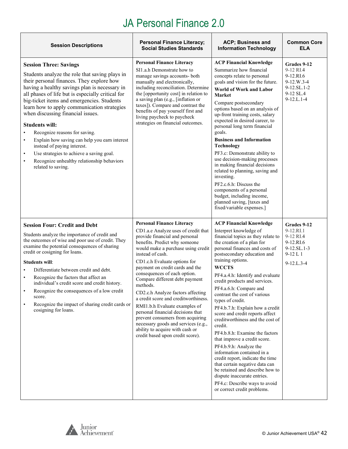| <b>Session Descriptions</b>                                                                                                                                                                                                                                                                                                                                                                                                                                                                                                                                                                                                                                                        | <b>Personal Finance Literacy;</b><br><b>Social Studies Standards</b>                                                                                                                                                                                                                                                                                                                                                                                                                                                                                                                                                                                       | <b>ACP; Business and</b><br><b>Information Technology</b>                                                                                                                                                                                                                                                                                                                                                                                                                                                                                                                                                                                                                                                                                                                                                                                    | <b>Common Core</b><br>ELA                                                                         |
|------------------------------------------------------------------------------------------------------------------------------------------------------------------------------------------------------------------------------------------------------------------------------------------------------------------------------------------------------------------------------------------------------------------------------------------------------------------------------------------------------------------------------------------------------------------------------------------------------------------------------------------------------------------------------------|------------------------------------------------------------------------------------------------------------------------------------------------------------------------------------------------------------------------------------------------------------------------------------------------------------------------------------------------------------------------------------------------------------------------------------------------------------------------------------------------------------------------------------------------------------------------------------------------------------------------------------------------------------|----------------------------------------------------------------------------------------------------------------------------------------------------------------------------------------------------------------------------------------------------------------------------------------------------------------------------------------------------------------------------------------------------------------------------------------------------------------------------------------------------------------------------------------------------------------------------------------------------------------------------------------------------------------------------------------------------------------------------------------------------------------------------------------------------------------------------------------------|---------------------------------------------------------------------------------------------------|
| <b>Session Three: Savings</b><br>Students analyze the role that saving plays in<br>their personal finances. They explore how<br>having a healthy savings plan is necessary in<br>all phases of life but is especially critical for<br>big-ticket items and emergencies. Students<br>learn how to apply communication strategies<br>when discussing financial issues.<br><b>Students will:</b><br>Recognize reasons for saving.<br>$\bullet$<br>Explain how saving can help you earn interest<br>$\bullet$<br>instead of paying interest.<br>Use strategies to achieve a saving goal.<br>$\bullet$<br>Recognize unhealthy relationship behaviors<br>$\bullet$<br>related to saving. | <b>Personal Finance Literacy</b><br>SI1.a.h Demonstrate how to<br>manage savings accounts- both<br>manually and electronically,<br>including reconciliation. Determine<br>the [opportunity cost] in relation to<br>a saving plan (e.g., [inflation or<br>taxes]). Compare and contrast the<br>benefits of pay yourself first and<br>living paycheck to paycheck<br>strategies on financial outcomes.                                                                                                                                                                                                                                                       | <b>ACP Financial Knowledge</b><br>Summarize how financial<br>concepts relate to personal<br>goals and vision for the future.<br>World of Work and Labor<br><b>Market</b><br>Compare postsecondary<br>options based on an analysis of<br>up-front training costs, salary<br>expected in desired career, to<br>personal long term financial<br>goals.<br><b>Business and Information</b><br><b>Technology</b><br>PF3.c: Demonstrate ability to<br>use decision-making processes<br>in making financial decisions<br>related to planning, saving and<br>investing.<br>PF2.c.6.h: Discuss the<br>components of a personal<br>budget, including income,<br>planned saving, [taxes and<br>fixed/variable expenses.]                                                                                                                                | Grades 9-12<br>9-12 RI.4<br>9-12.RI.6<br>$9-12.W.3-4$<br>9-12.SL.1-2<br>9-12 SL.4<br>$9-12.L.1-4$ |
| <b>Session Four: Credit and Debt</b><br>Students analyze the importance of credit and<br>the outcomes of wise and poor use of credit. They<br>examine the potential consequences of sharing<br>credit or cosigning for loans.<br><b>Students will:</b><br>Differentiate between credit and debt.<br>$\bullet$<br>Recognize the factors that affect an<br>$\bullet$<br>individual's credit score and credit history.<br>Recognize the consequences of a low credit<br>score.<br>Recognize the impact of sharing credit cards or<br>$\bullet$<br>cosigning for loans.                                                                                                                | <b>Personal Finance Literacy</b><br>CD1.a.e Analyze uses of credit that<br>provide financial and personal<br>benefits. Predict why someone<br>would make a purchase using credit<br>instead of cash.<br>CD1.c.h Evaluate options for<br>payment on credit cards and the<br>consequences of each option.<br>Compare different debt payment<br>methods.<br>CD2.c.h Analyze factors affecting<br>a credit score and creditworthiness.<br>RMI1.b.h Evaluate examples of<br>personal financial decisions that<br>prevent consumers from acquiring<br>necessary goods and services (e.g.,<br>ability to acquire with cash or<br>credit based upon credit score). | <b>ACP Financial Knowledge</b><br>Interpret knowledge of<br>financial topics as they relate to<br>the creation of a plan for<br>personal finances and costs of<br>postsecondary education and<br>training options.<br><b>WCCTS</b><br>PF4.a.4.h: Identify and evaluate<br>credit products and services.<br>PF4.a.6.h: Compare and<br>contrast the cost of various<br>types of credit.<br>PF4.b.7.h: Explain how a credit<br>score and credit reports affect<br>creditworthiness and the cost of<br>credit.<br>PF4.b.8.h: Examine the factors<br>that improve a credit score.<br>PF4.b.9.h: Analyze the<br>information contained in a<br>credit report, indicate the time<br>that certain negative data can<br>be retained and describe how to<br>dispute inaccurate entries.<br>PF4.c: Describe ways to avoid<br>or correct credit problems. | Grades 9-12<br>9-12.RI.1<br>9-12 RI.4<br>9-12.RI.6<br>9-12.SL.1-3<br>$9-12 L1$<br>$9 - 12$ .L.3-4 |

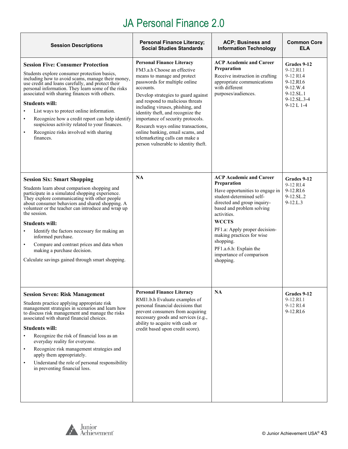| <b>Session Descriptions</b>                                                                                                                                                                                                                                                                                                                                                                                                                                                                                                                                                     | <b>Personal Finance Literacy;</b><br><b>Social Studies Standards</b>                                                                                                                                                                                                                                                                                                                                                                                                                      | ACP; Business and<br><b>Information Technology</b>                                                                                                                                                                                                                                                                                                    | <b>Common Core</b><br><b>ELA</b>                                                                                |
|---------------------------------------------------------------------------------------------------------------------------------------------------------------------------------------------------------------------------------------------------------------------------------------------------------------------------------------------------------------------------------------------------------------------------------------------------------------------------------------------------------------------------------------------------------------------------------|-------------------------------------------------------------------------------------------------------------------------------------------------------------------------------------------------------------------------------------------------------------------------------------------------------------------------------------------------------------------------------------------------------------------------------------------------------------------------------------------|-------------------------------------------------------------------------------------------------------------------------------------------------------------------------------------------------------------------------------------------------------------------------------------------------------------------------------------------------------|-----------------------------------------------------------------------------------------------------------------|
| <b>Session Five: Consumer Protection</b><br>Students explore consumer protection basics,<br>including how to avoid scams, manage their money,<br>use credit and loans carefully, and protect their<br>personal information. They learn some of the risks<br>associated with sharing finances with others.<br><b>Students will:</b><br>List ways to protect online information.<br>$\bullet$<br>Recognize how a credit report can help identify<br>$\bullet$<br>suspicious activity related to your finances.<br>Recognize risks involved with sharing<br>$\bullet$<br>finances. | <b>Personal Finance Literacy</b><br>FM3.a.h Choose an effective<br>means to manage and protect<br>passwords for multiple online<br>accounts.<br>Develop strategies to guard against<br>and respond to malicious threats<br>including viruses, phishing, and<br>identity theft, and recognize the<br>importance of security protocols.<br>Research ways online transactions,<br>online banking, email scams, and<br>telemarketing calls can make a<br>person vulnerable to identity theft. | <b>ACP Academic and Career</b><br>Preparation<br>Receive instruction in crafting<br>appropriate communications<br>with different<br>purposes/audiences.                                                                                                                                                                                               | Grades 9-12<br>9-12.RL1<br>9-12 RI.4<br>9-12.RI.6<br>$9-12.W.4$<br>9-12.SL.1<br>$9-12.SL.3-4$<br>$9-12$ L $1-4$ |
| <b>Session Six: Smart Shopping</b><br>Students learn about comparison shopping and<br>participate in a simulated shopping experience.<br>They explore communicating with other people<br>about consumer behaviors and shared shopping. A<br>volunteer or the teacher can introduce and wrap up<br>the session.<br><b>Students will:</b><br>Identify the factors necessary for making an<br>$\bullet$<br>informed purchase.<br>Compare and contrast prices and data when<br>$\bullet$<br>making a purchase decision.<br>Calculate savings gained through smart shopping.         | NA                                                                                                                                                                                                                                                                                                                                                                                                                                                                                        | <b>ACP Academic and Career</b><br>Preparation<br>Have opportunities to engage in<br>student-determined self-<br>directed and group inquiry-<br>based and problem solving<br>activities.<br><b>WCCTS</b><br>PF1.a: Apply proper decision-<br>making practices for wise<br>shopping.<br>PF1.a.6.h: Explain the<br>importance of comparison<br>shopping. | Grades 9-12<br>9-12 RI.4<br>9-12.RI.6<br>9-12.SL.2<br>$9 - 12$ .L.3                                             |
| <b>Session Seven: Risk Management</b><br>Students practice applying appropriate risk<br>management strategies in scenarios and learn how<br>to discuss risk management and manage the risks<br>associated with shared financial choices.<br><b>Students will:</b><br>Recognize the risk of financial loss as an<br>$\bullet$<br>everyday reality for everyone.<br>Recognize risk management strategies and<br>$\bullet$<br>apply them appropriately.<br>Understand the role of personal responsibility<br>$\bullet$<br>in preventing financial loss.                            | <b>Personal Finance Literacy</b><br>RMI1.b.h Evaluate examples of<br>personal financial decisions that<br>prevent consumers from acquiring<br>necessary goods and services (e.g.,<br>ability to acquire with cash or<br>credit based upon credit score).                                                                                                                                                                                                                                  | NA                                                                                                                                                                                                                                                                                                                                                    | Grades 9-12<br>9-12.RI.1<br>9-12 RI.4<br>9-12.RI.6                                                              |



 $\overline{\mathbb{L}}$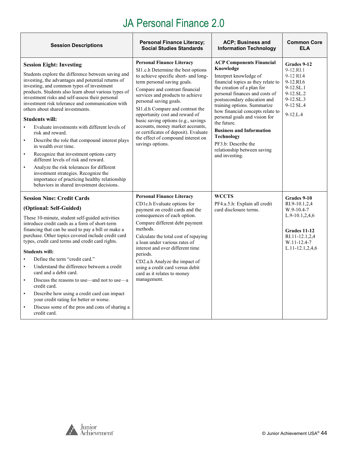| <b>Session Descriptions</b>                                                                                                                                                                                                                                                                                                                                                                                                                                                                                                                                                                                                                                                                                                                                                                                                                                                                   | <b>Personal Finance Literacy;</b><br><b>Social Studies Standards</b>                                                                                                                                                                                                                                                                                                                                                                                                                              | <b>ACP; Business and</b><br><b>Information Technology</b>                                                                                                                                                                                                                                                                                                                                                                                                      | <b>Common Core</b><br><b>ELA</b>                                                                                                               |
|-----------------------------------------------------------------------------------------------------------------------------------------------------------------------------------------------------------------------------------------------------------------------------------------------------------------------------------------------------------------------------------------------------------------------------------------------------------------------------------------------------------------------------------------------------------------------------------------------------------------------------------------------------------------------------------------------------------------------------------------------------------------------------------------------------------------------------------------------------------------------------------------------|---------------------------------------------------------------------------------------------------------------------------------------------------------------------------------------------------------------------------------------------------------------------------------------------------------------------------------------------------------------------------------------------------------------------------------------------------------------------------------------------------|----------------------------------------------------------------------------------------------------------------------------------------------------------------------------------------------------------------------------------------------------------------------------------------------------------------------------------------------------------------------------------------------------------------------------------------------------------------|------------------------------------------------------------------------------------------------------------------------------------------------|
| <b>Session Eight: Investing</b><br>Students explore the difference between saving and<br>investing, the advantages and potential returns of<br>investing, and common types of investment<br>products. Students also learn about various types of<br>investment risks and self-assess their personal<br>investment risk tolerance and communication with<br>others about shared investments.<br><b>Students will:</b><br>Evaluate investments with different levels of<br>$\bullet$<br>risk and reward.<br>Describe the role that compound interest plays<br>$\bullet$<br>in wealth over time.<br>Recognize that investment options carry<br>$\bullet$<br>different levels of risk and reward.<br>Analyze the risk tolerances for different<br>$\bullet$<br>investment strategies. Recognize the<br>importance of practicing healthy relationship<br>behaviors in shared investment decisions. | <b>Personal Finance Literacy</b><br>SI1.c.h Determine the best options<br>to achieve specific short- and long-<br>term personal saving goals.<br>Compare and contrast financial<br>services and products to achieve<br>personal saving goals.<br>SI1.d.h Compare and contrast the<br>opportunity cost and reward of<br>basic saving options (e.g., savings<br>accounts, money market accounts,<br>or certificates of deposit). Evaluate<br>the effect of compound interest on<br>savings options. | <b>ACP Components Financial</b><br>Knowledge<br>Interpret knowledge of<br>financial topics as they relate to<br>the creation of a plan for<br>personal finances and costs of<br>postsecondary education and<br>training options. Summarize<br>how financial concepts relate to<br>personal goals and vision for<br>the future.<br><b>Business and Information</b><br><b>Technology</b><br>PF3.b: Describe the<br>relationship between saving<br>and investing. | Grades 9-12<br>9-12.RL1<br>9-12 RI.4<br>9-12.RI.6<br>$9-12.SL.1$<br>9-12.SL.2<br>$9-12.SL.3$<br>9-12 SL.4<br>$9 - 12$ .L.4                     |
| <b>Session Nine: Credit Cards</b><br>(Optional: Self-Guided)<br>These 10-minute, student self-guided activities<br>introduce credit cards as a form of short-term<br>financing that can be used to pay a bill or make a<br>purchase. Other topics covered include credit card<br>types, credit card terms and credit card rights.<br><b>Students will:</b><br>Define the term "credit card."<br>$\bullet$<br>Understand the difference between a credit<br>$\bullet$<br>card and a debit card.<br>Discuss the reasons to use—and not to use—a<br>$\bullet$<br>credit card.<br>Describe how using a credit card can impact<br>$\bullet$<br>your credit rating for better or worse.<br>Discuss some of the pros and cons of sharing a<br>$\bullet$<br>credit card.                                                                                                                              | <b>Personal Finance Literacy</b><br>CD1c.h Evaluate options for<br>payment on credit cards and the<br>consequences of each option.<br>Compare different debt payment<br>methods.<br>Calculate the total cost of repaying<br>a loan under various rates of<br>interest and over different time<br>periods.<br>CD2.a.h Analyze the impact of<br>using a credit card versus debit<br>card as it relates to money<br>management.                                                                      | <b>WCCTS</b><br>PF4.a.5.h: Explain all credit<br>card disclosure terms.                                                                                                                                                                                                                                                                                                                                                                                        | Grades 9-10<br>RI.9-10.1,2,4<br>$W.9-10.4-7$<br>$L.9-10.1, 2, 4, 6$<br>Grades 11-12<br>RI.11-12.1,2,4<br>W.11-12.4-7<br>$L.11 - 12.1, 2, 4, 6$ |

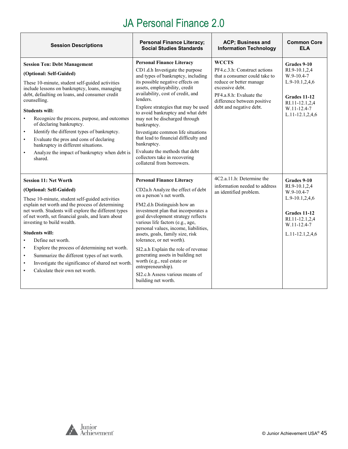| <b>Session Descriptions</b>                                                                                                                                                                                                                                                                                                                                                                                                                                                                                                                                                                               | <b>Personal Finance Literacy;</b><br><b>Social Studies Standards</b>                                                                                                                                                                                                                                                                                                                                                                                                                                                                                       | <b>ACP</b> ; Business and<br><b>Information Technology</b>                                                                                                                                                       | <b>Common Core</b><br><b>ELA</b>                                                                                                          |
|-----------------------------------------------------------------------------------------------------------------------------------------------------------------------------------------------------------------------------------------------------------------------------------------------------------------------------------------------------------------------------------------------------------------------------------------------------------------------------------------------------------------------------------------------------------------------------------------------------------|------------------------------------------------------------------------------------------------------------------------------------------------------------------------------------------------------------------------------------------------------------------------------------------------------------------------------------------------------------------------------------------------------------------------------------------------------------------------------------------------------------------------------------------------------------|------------------------------------------------------------------------------------------------------------------------------------------------------------------------------------------------------------------|-------------------------------------------------------------------------------------------------------------------------------------------|
| <b>Session Ten: Debt Management</b><br>(Optional: Self-Guided)<br>These 10-minute, student self-guided activities<br>include lessons on bankruptcy, loans, managing<br>debt, defaulting on loans, and consumer credit<br>counselling.<br><b>Students will:</b><br>Recognize the process, purpose, and outcomes<br>$\bullet$<br>of declaring bankruptcy.<br>Identify the different types of bankruptcy.<br>$\bullet$<br>Evaluate the pros and cons of declaring<br>$\bullet$<br>bankruptcy in different situations.<br>Analyze the impact of bankruptcy when debt is<br>$\bullet$<br>shared.               | <b>Personal Finance Literacy</b><br>CD1.d.h Investigate the purpose<br>and types of bankruptcy, including<br>its possible negative effects on<br>assets, employability, credit<br>availability, cost of credit, and<br>lenders.<br>Explore strategies that may be used<br>to avoid bankruptcy and what debt<br>may not be discharged through<br>bankruptcy.<br>Investigate common life situations<br>that lead to financial difficulty and<br>bankruptcy.<br>Evaluate the methods that debt<br>collectors take in recovering<br>collateral from borrowers. | <b>WCCTS</b><br>PF4.c.3.h: Construct actions<br>that a consumer could take to<br>reduce or better manage<br>excessive debt.<br>PF4.a.8.h: Evaluate the<br>difference between positive<br>debt and negative debt. | Grades 9-10<br>RI.9-10.1.2.4<br>$W.9-10.4-7$<br>$L.9-10.1, 2, 4, 6$<br>Grades 11-12<br>RI.11-12.1,2,4<br>W.11-12.4-7<br>L.11-12.1,2,4,6   |
| <b>Session 11: Net Worth</b><br>(Optional: Self-Guided)<br>These 10-minute, student self-guided activities<br>explain net worth and the process of determining<br>net worth. Students will explore the different types<br>of net worth, set financial goals, and learn about<br>investing to build wealth.<br>Students will:<br>Define net worth.<br>$\bullet$<br>Explore the process of determining net worth.<br>$\bullet$<br>Summarize the different types of net worth.<br>$\bullet$<br>Investigate the significance of shared net worth.<br>$\bullet$<br>Calculate their own net worth.<br>$\bullet$ | <b>Personal Finance Literacy</b><br>CD2a.h Analyze the effect of debt<br>on a person's net worth.<br>FM2.d.h Distinguish how an<br>investment plan that incorporates a<br>goal development strategy reflects<br>various life factors (e.g., age,<br>personal values, income, liabilities,<br>assets, goals, family size, risk<br>tolerance, or net worth).<br>SI2.a.h Explain the role of revenue<br>generating assets in building net<br>worth (e.g., real estate or<br>entrepreneurship).<br>SI2.c.h Assess various means of<br>building net worth.      | 4C <sub>2</sub> .a.11.h: Determine the<br>information needed to address<br>an identified problem.                                                                                                                | Grades 9-10<br>RI.9-10.1,2,4<br>$W.9-10.4-7$<br>L.9-10.1,2,4,6<br>Grades 11-12<br>RI.11-12.1,2,4<br>W.11-12.4-7<br>$L.11 - 12.1, 2, 4, 6$ |

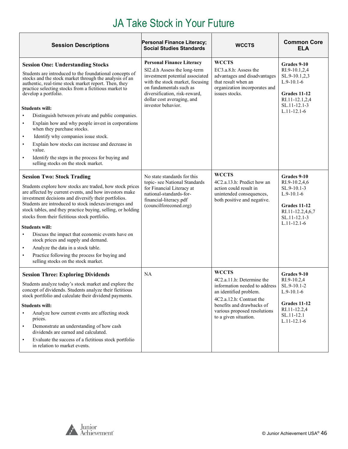<span id="page-45-0"></span>

| <b>Session Descriptions</b>                                                                                                                                                                                                                                                                                                                                                                                                                                                                                                                                                                                                                                                                      | Personal Finance Literacy;<br><b>Social Studies Standards</b>                                                                                                                                                                                          | <b>WCCTS</b>                                                                                                                                                                                                           | <b>Common Core</b><br>ELA                                                                                                            |
|--------------------------------------------------------------------------------------------------------------------------------------------------------------------------------------------------------------------------------------------------------------------------------------------------------------------------------------------------------------------------------------------------------------------------------------------------------------------------------------------------------------------------------------------------------------------------------------------------------------------------------------------------------------------------------------------------|--------------------------------------------------------------------------------------------------------------------------------------------------------------------------------------------------------------------------------------------------------|------------------------------------------------------------------------------------------------------------------------------------------------------------------------------------------------------------------------|--------------------------------------------------------------------------------------------------------------------------------------|
| <b>Session One: Understanding Stocks</b><br>Students are introduced to the foundational concepts of<br>stocks and the stock market through the analysis of an<br>authentic, real-time stock market report. Then, they<br>practice selecting stocks from a fictitious market to<br>develop a portfolio.<br><b>Students will:</b><br>Distinguish between private and public companies.<br>Explain how and why people invest in corporations<br>$\bullet$<br>when they purchase stocks.<br>Identify why companies issue stock.<br>Explain how stocks can increase and decrease in<br>value.<br>Identify the steps in the process for buying and<br>$\bullet$<br>selling stocks on the stock market. | <b>Personal Finance Literacy</b><br>SI2.d.h Assess the long-term<br>investment potential associated<br>with the stock market, focusing<br>on fundamentals such as<br>diversification, risk-reward,<br>dollar cost averaging, and<br>investor behavior. | <b>WCCTS</b><br>EC3.a.8.h: Assess the<br>advantages and disadvantages<br>that result when an<br>organization incorporates and<br>issues stocks.                                                                        | Grades 9-10<br>RI.9-10.1,2,4<br>SL.9-10.1,2,3<br>$L.9-10.1-6$<br>Grades 11-12<br>RI.11-12.1,2,4<br>SL.11-12.1-3<br>$L.11 - 12.1 - 6$ |
| <b>Session Two: Stock Trading</b><br>Students explore how stocks are traded, how stock prices<br>are affected by current events, and how investors make<br>investment decisions and diversify their portfolios.<br>Students are introduced to stock indexes/averages and<br>stock tables, and they practice buying, selling, or holding<br>stocks from their fictitious stock portfolio.<br><b>Students will:</b><br>Discuss the impact that economic events have on<br>$\bullet$<br>stock prices and supply and demand.<br>Analyze the data in a stock table.<br>$\bullet$<br>Practice following the process for buying and<br>$\bullet$<br>selling stocks on the stock market.                 | No state standards for this<br>topic- see National Standards<br>for Financial Literacy at<br>national-standards-for-<br>financial-literacy.pdf<br>(councilforeconed.org)                                                                               | <b>WCCTS</b><br>4C2.a.13.h: Predict how an<br>action could result in<br>unintended consequences,<br>both positive and negative.                                                                                        | Grades 9-10<br>RI.9-10.2,4,6<br>SL.9-10.1-3<br>$L.9-10.1-6$<br>Grades 11-12<br>RI.11-12.2,4,6,7<br>SL.11-12.1-3<br>$L.11 - 12.1 - 6$ |
| <b>Session Three: Exploring Dividends</b><br>Students analyze today's stock market and explore the<br>concept of dividends. Students analyze their fictitious<br>stock portfolio and calculate their dividend payments.<br><b>Students will:</b><br>Analyze how current events are affecting stock<br>$\bullet$<br>prices.<br>Demonstrate an understanding of how cash<br>$\bullet$<br>dividends are earned and calculated.<br>Evaluate the success of a fictitious stock portfolio<br>$\bullet$<br>in relation to market events.                                                                                                                                                                | <b>NA</b>                                                                                                                                                                                                                                              | <b>WCCTS</b><br>4C2.a.11.h: Determine the<br>information needed to address<br>an identified problem.<br>4C2.a.12.h: Contrast the<br>benefits and drawbacks of<br>various proposed resolutions<br>to a given situation. | Grades 9-10<br>RI.9-10.2,4<br>SL.9-10.1-2<br>$L.9-10.1-6$<br><b>Grades 11-12</b><br>RI.11-12.2,4<br>SL.11-12.1<br>$L.11 - 12.1 - 6$  |

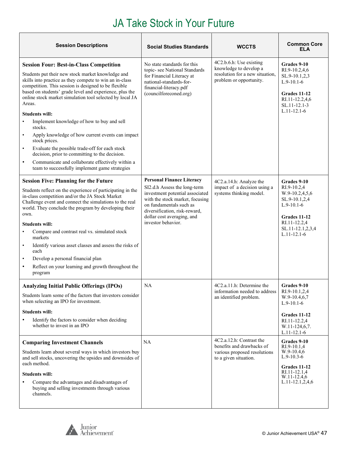| <b>Session Descriptions</b>                                                                                                                                                                                                                                                                                                                                                                                                                                                                                                                                                                                                                                                                                                                                     | <b>Social Studies Standards</b>                                                                                                                                                                                                                        | <b>WCCTS</b>                                                                                                    | <b>Common Core</b><br><b>ELA</b>                                                                                                                       |
|-----------------------------------------------------------------------------------------------------------------------------------------------------------------------------------------------------------------------------------------------------------------------------------------------------------------------------------------------------------------------------------------------------------------------------------------------------------------------------------------------------------------------------------------------------------------------------------------------------------------------------------------------------------------------------------------------------------------------------------------------------------------|--------------------------------------------------------------------------------------------------------------------------------------------------------------------------------------------------------------------------------------------------------|-----------------------------------------------------------------------------------------------------------------|--------------------------------------------------------------------------------------------------------------------------------------------------------|
| <b>Session Four: Best-in-Class Competition</b><br>Students put their new stock market knowledge and<br>skills into practice as they compete to win an in-class<br>competition. This session is designed to be flexible<br>based on students' grade level and experience, plus the<br>online stock market simulation tool selected by local JA<br>Areas.<br><b>Students will:</b><br>Implement knowledge of how to buy and sell<br>stocks.<br>Apply knowledge of how current events can impact<br>$\bullet$<br>stock prices.<br>Evaluate the possible trade-off for each stock<br>$\bullet$<br>decision, prior to committing to the decision.<br>Communicate and collaborate effectively within a<br>$\bullet$<br>team to successfully implement game strategies | No state standards for this<br>topic-see National Standards<br>for Financial Literacy at<br>national-standards-for-<br>financial-literacy.pdf<br>(councilforeconed.org)                                                                                | 4C2.b.6.h: Use existing<br>knowledge to develop a<br>resolution for a new situation,<br>problem or opportunity. | Grades 9-10<br>RI.9-10.2,4,6<br>SL.9-10.1,2,3<br>$L.9-10.1-6$<br><b>Grades 11-12</b><br>RI.11-12.2,4,6<br>SL.11-12.1-3<br>$L.11 - 12.1 - 6$            |
| <b>Session Five: Planning for the Future</b><br>Students reflect on the experience of participating in the<br>in-class competition and/or the JA Stock Market<br>Challenge event and connect the simulations to the real<br>world. They conclude the program by developing their<br>own.<br><b>Students will:</b><br>Compare and contrast real vs. simulated stock<br>$\bullet$<br>markets<br>Identify various asset classes and assess the risks of<br>$\bullet$<br>each<br>Develop a personal financial plan<br>$\bullet$<br>Reflect on your learning and growth throughout the<br>$\bullet$<br>program                                                                                                                                                       | <b>Personal Finance Literacy</b><br>SI2.d.h Assess the long-term<br>investment potential associated<br>with the stock market, focusing<br>on fundamentals such as<br>diversification, risk-reward,<br>dollar cost averaging, and<br>investor behavior. | 4C2.a.14.h: Analyze the<br>impact of a decision using a<br>systems thinking model.                              | Grades 9-10<br>RI.9-10.2,4<br>W.9-10.2,4,5,6<br>SL.9-10.1,2,4<br>$L.9-10.1-6$<br>Grades 11-12<br>RI.11-12.2,4<br>SL.11-12.1,2,3,4<br>$L.11 - 12.1 - 6$ |
| <b>Analyzing Initial Public Offerings (IPOs)</b><br>Students learn some of the factors that investors consider<br>when selecting an IPO for investment.<br><b>Students will:</b><br>Identify the factors to consider when deciding<br>whether to invest in an IPO                                                                                                                                                                                                                                                                                                                                                                                                                                                                                               | <b>NA</b>                                                                                                                                                                                                                                              | 4C2.a.11.h: Determine the<br>information needed to address<br>an identified problem.                            | Grades 9-10<br>RI.9-10.1,2,4<br>W.9-10.4,6,7<br>$L.9-10.1-6$<br>Grades 11-12<br>RI.11-12.2,4<br>W.11-124,6,7.<br>$L.11 - 12.1 - 6$                     |
| <b>Comparing Investment Channels</b><br>Students learn about several ways in which investors buy<br>and sell stocks, uncovering the upsides and downsides of<br>each method.<br><b>Students will:</b><br>Compare the advantages and disadvantages of<br>buying and selling investments through various<br>channels.                                                                                                                                                                                                                                                                                                                                                                                                                                             | <b>NA</b>                                                                                                                                                                                                                                              | 4C2.a.12.h: Contrast the<br>benefits and drawbacks of<br>various proposed resolutions<br>to a given situation.  | Grades 9-10<br>RI.9-10.1,4<br>W.9-10.4,6<br>$L.9-10.3-6$<br>Grades 11-12<br>RI.11-12.1,4<br>W.11-12.4,6<br>$L.11 - 12.1, 2, 4, 6$                      |



 $\mathbf{r}$ 

h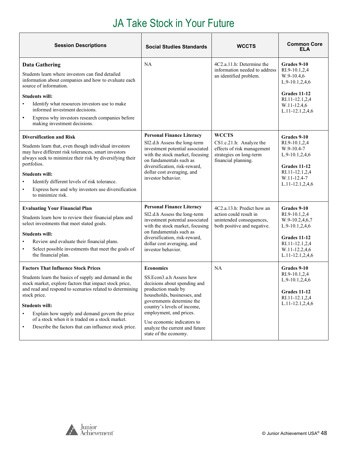| <b>Session Descriptions</b>                                                                                                                                                                                                                                                                                                                                                                                                                               | <b>Social Studies Standards</b>                                                                                                                                                                                                                                                                                  | <b>WCCTS</b>                                                                                                            | <b>Common Core</b><br><b>ELA</b>                                                                                                            |
|-----------------------------------------------------------------------------------------------------------------------------------------------------------------------------------------------------------------------------------------------------------------------------------------------------------------------------------------------------------------------------------------------------------------------------------------------------------|------------------------------------------------------------------------------------------------------------------------------------------------------------------------------------------------------------------------------------------------------------------------------------------------------------------|-------------------------------------------------------------------------------------------------------------------------|---------------------------------------------------------------------------------------------------------------------------------------------|
| <b>Data Gathering</b><br>Students learn where investors can find detailed<br>information about companies and how to evaluate each<br>source of information.<br><b>Students will:</b><br>Identify what resources investors use to make<br>informed investment decisions.<br>Express why investors research companies before<br>$\bullet$<br>making investment decisions.                                                                                   | NA                                                                                                                                                                                                                                                                                                               | 4C2.a.11.h: Determine the<br>information needed to address<br>an identified problem.                                    | Grades 9-10<br>RI.9-10.1,2,4<br>$W.9-10.4,6$<br>$L.9-10.1, 2, 4, 6$<br>Grades 11-12<br>RI.11-12.1,2,4<br>W.11-12.4,6<br>L.11-12.1,2,4,6     |
| <b>Diversification and Risk</b><br>Students learn that, even though individual investors<br>may have different risk tolerances, smart investors<br>always seek to minimize their risk by diversifying their<br>portfolios.<br><b>Students will:</b><br>Identify different levels of risk tolerance.<br>Express how and why investors use diversification<br>$\bullet$<br>to minimize risk.                                                                | <b>Personal Finance Literacy</b><br>SI2.d.h Assess the long-term<br>investment potential associated<br>with the stock market, focusing<br>on fundamentals such as<br>diversification, risk-reward,<br>dollar cost averaging, and<br>investor behavior.                                                           | <b>WCCTS</b><br>CS1.c.21.h: Analyze the<br>effects of risk management<br>strategies on long-term<br>financial planning. | Grades 9-10<br>RI.9-10.1,2,4<br>W.9-10.4-7<br>L.9-10.1,2,4,6<br>Grades 11-12<br>RI.11-12.1,2,4<br>W.11-12.4-7<br>L.11-12.1,2,4,6            |
| <b>Evaluating Your Financial Plan</b><br>Students learn how to review their financial plans and<br>select investments that meet stated goals.<br><b>Students will:</b><br>Review and evaluate their financial plans.<br>$\bullet$<br>Select possible investments that meet the goals of<br>$\bullet$<br>the financial plan.                                                                                                                               | <b>Personal Finance Literacy</b><br>SI2.d.h Assess the long-term<br>investment potential associated<br>with the stock market, focusing<br>on fundamentals such as<br>diversification, risk-reward,<br>dollar cost averaging, and<br>investor behavior.                                                           | 4C2.a.13.h: Predict how an<br>action could result in<br>unintended consequences,<br>both positive and negative.         | Grades 9-10<br>RI.9-10.1,2,4<br>W.9-10.2,4,6,7<br>$L.9-10.1, 2, 4, 6$<br>Grades 11-12<br>RI.11-12.1,2,4<br>W.11-12.2,4,6<br>L.11-12.1,2,4,6 |
| <b>Factors That Influence Stock Prices</b><br>Students learn the basics of supply and demand in the<br>stock market, explore factors that impact stock price,<br>and read and respond to scenarios related to determining<br>stock price.<br><b>Students will:</b><br>Explain how supply and demand govern the price<br>$\bullet$<br>of a stock when it is traded on a stock market.<br>Describe the factors that can influence stock price.<br>$\bullet$ | <b>Economics</b><br>SS.Econ3.a.h Assess how<br>decisions about spending and<br>production made by<br>households, businesses, and<br>governments determine the<br>country's levels of income,<br>employment, and prices.<br>Use economic indicators to<br>analyze the current and future<br>state of the economy. | NA                                                                                                                      | Grades 9-10<br>RI.9-10.1,2,4<br>$L.9-10.1, 2, 4, 6$<br>Grades 11-12<br>RI.11-12.1,2,4<br>L.11-12.1,2,4,6                                    |

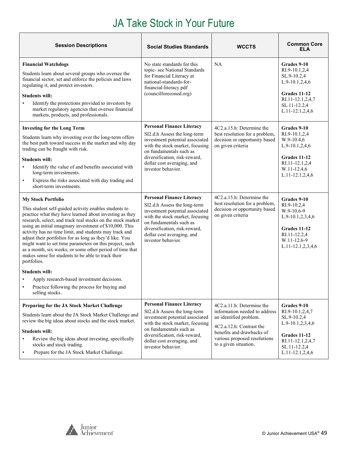| <b>Session Descriptions</b>                                                                                                                                                                                                                                                                                                                                                                                                                                                                                                                                                                                                                                                                                                         | <b>Social Studies Standards</b>                                                                                                                                                                                                                        | <b>WCCTS</b>                                                                                                                                                                                           | <b>Common Core</b><br>ELA                                                                                                                            |
|-------------------------------------------------------------------------------------------------------------------------------------------------------------------------------------------------------------------------------------------------------------------------------------------------------------------------------------------------------------------------------------------------------------------------------------------------------------------------------------------------------------------------------------------------------------------------------------------------------------------------------------------------------------------------------------------------------------------------------------|--------------------------------------------------------------------------------------------------------------------------------------------------------------------------------------------------------------------------------------------------------|--------------------------------------------------------------------------------------------------------------------------------------------------------------------------------------------------------|------------------------------------------------------------------------------------------------------------------------------------------------------|
| <b>Financial Watchdogs</b><br>Students learn about several groups who oversee the<br>financial sector, set and enforce the policies and laws<br>regulating it, and protect investors.<br><b>Students will:</b><br>Identify the protections provided to investors by<br>market regulatory agencies that oversee financial<br>markets, products, and professionals.                                                                                                                                                                                                                                                                                                                                                                   | No state standards for this<br>topic-see National Standards<br>for Financial Literacy at<br>national-standards-for-<br>financial-literacy.pdf<br>(councilforeconed.org)                                                                                | <b>NA</b>                                                                                                                                                                                              | Grades 9-10<br>RI.9-10.1,2,4<br>SL.9-10.2,4<br>$L.9-10.1, 2, 4, 6$<br>Grades 11-12<br>RI.11-12.1,2,4,7<br>SL.11-12.2,4<br>L.11-12.1,2,4,6            |
| <b>Investing for the Long Term</b><br>Students learn why investing over the long-term offers<br>the best path toward success in the market and why day<br>trading can be fraught with risk.<br>Students will:<br>Identify the value of and benefits associated with<br>long-term investments.<br>Express the risks associated with day trading and<br>short-term investments.                                                                                                                                                                                                                                                                                                                                                       | <b>Personal Finance Literacy</b><br>SI2.d.h Assess the long-term<br>investment potential associated<br>with the stock market, focusing<br>on fundamentals such as<br>diversification, risk-reward,<br>dollar cost averaging, and<br>investor behavior. | 4C2.a.15.h: Determine the<br>best resolution for a problem,<br>decision or opportunity based<br>on given criteria                                                                                      | Grades 9-10<br>RI.9-10.1,2,4<br>$W.9-10.4,6$<br>L.9-10.1,2,4,6<br><b>Grades 11-12</b><br>RI.11-12.1,2,4<br>W.11-12.4,6<br>L.11-12.1,2,4,6            |
| <b>My Stock Portfolio</b><br>This student self-guided activity enables students to<br>practice what they have learned about investing as they<br>research, select, and track real stocks on the stock market<br>using an initial imaginary investment of \$10,000. This<br>activity has no time limit, and students may track and<br>adjust their portfolios for as long as they'd like. You<br>might want to set time parameters on this project, such<br>as a month, six weeks, or some other period of time that<br>makes sense for students to be able to track their<br>portfolios.<br><b>Students will:</b><br>Apply research-based investment decisions.<br>Practice following the process for buying and<br>selling stocks. | <b>Personal Finance Literacy</b><br>SI2.d.h Assess the long-term<br>investment potential associated<br>with the stock market, focusing<br>on fundamentals such as<br>diversification, risk-reward,<br>dollar cost averaging, and<br>investor behavior. | 4C <sub>2</sub> .a.15.h: Determine the<br>best resolution for a problem,<br>decision or opportunity based<br>on given criteria                                                                         | Grades 9-10<br>RI.9-10.2,4<br>W.9-10.6-9<br>L.9-10.1,2,3,4,6<br>Grades 11-12<br>RI.11-12.2,4<br>W.11-12.6-9<br>L.11-12.1,2,3,4,6                     |
| Preparing for the JA Stock Market Challenge<br>Students learn about the JA Stock Market Challenge and<br>review the big ideas about stocks and the stock market.<br><b>Students will:</b><br>Review the big ideas about investing, specifically<br>stocks and stock trading.<br>Prepare for the JA Stock Market Challenge.                                                                                                                                                                                                                                                                                                                                                                                                          | <b>Personal Finance Literacy</b><br>SI2.d.h Assess the long-term<br>investment potential associated<br>with the stock market, focusing<br>on fundamentals such as<br>diversification, risk-reward,<br>dollar cost averaging, and<br>investor behavior. | 4C2.a.11.h: Determine the<br>information needed to address<br>an identified problem.<br>4C2.a.12.h: Contrast the<br>benefits and drawbacks of<br>various proposed resolutions<br>to a given situation. | Grades 9-10<br>RI.9-10.1,2,4,7<br>SL.9-10.2,4<br>L.9-10.1,2,3,4,6<br><b>Grades 11-12</b><br>RI.11-12.1,2,4,7<br>SL.11-12.2,4<br>$L.11-12.1, 2, 4, 6$ |

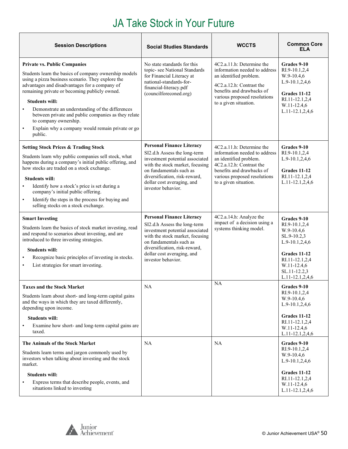| <b>Session Descriptions</b>                                                                                                                                                                                                                                                                                                                                                                                                                                                                 | <b>Social Studies Standards</b>                                                                                                                                                                                                                        | <b>WCCTS</b>                                                                                                                                                                                           | <b>Common Core</b><br><b>ELA</b>                                                                                                                                |
|---------------------------------------------------------------------------------------------------------------------------------------------------------------------------------------------------------------------------------------------------------------------------------------------------------------------------------------------------------------------------------------------------------------------------------------------------------------------------------------------|--------------------------------------------------------------------------------------------------------------------------------------------------------------------------------------------------------------------------------------------------------|--------------------------------------------------------------------------------------------------------------------------------------------------------------------------------------------------------|-----------------------------------------------------------------------------------------------------------------------------------------------------------------|
| <b>Private vs. Public Companies</b><br>Students learn the basics of company ownership models<br>using a pizza business scenario. They explore the<br>advantages and disadvantages for a company of<br>remaining private or becoming publicly owned.<br><b>Students will:</b><br>Demonstrate an understanding of the differences<br>between private and public companies as they relate<br>to company ownership.<br>Explain why a company would remain private or go<br>$\bullet$<br>public. | No state standards for this<br>topic- see National Standards<br>for Financial Literacy at<br>national-standards-for-<br>financial-literacy.pdf<br>(councilforeconed.org)                                                                               | 4C2.a.11.h: Determine the<br>information needed to address<br>an identified problem.<br>4C2.a.12.h: Contrast the<br>benefits and drawbacks of<br>various proposed resolutions<br>to a given situation. | Grades 9-10<br>RI.9-10.1,2,4<br>W.9-10.4,6<br>$L.9-10.1, 2, 4, 6$<br>Grades 11-12<br>RI.11-12.1,2,4<br>W.11-12.4,6<br>L.11-12.1,2,4,6                           |
| <b>Setting Stock Prices &amp; Trading Stock</b><br>Students learn why public companies sell stock, what<br>happens during a company's initial public offering, and<br>how stocks are traded on a stock exchange.<br><b>Students will:</b><br>Identify how a stock's price is set during a<br>$\bullet$<br>company's initial public offering.<br>Identify the steps in the process for buying and<br>$\bullet$<br>selling stocks on a stock exchange.                                        | <b>Personal Finance Literacy</b><br>SI2.d.h Assess the long-term<br>investment potential associated<br>with the stock market, focusing<br>on fundamentals such as<br>diversification, risk-reward,<br>dollar cost averaging, and<br>investor behavior. | 4C2.a.11.h: Determine the<br>information needed to address<br>an identified problem.<br>4C2.a.12.h: Contrast the<br>benefits and drawbacks of<br>various proposed resolutions<br>to a given situation. | Grades 9-10<br>RI.9-10.1,2,4<br>L.9-10.1,2,4,6<br><b>Grades 11-12</b><br>RI.11-12.1,2,4<br>L.11-12.1,2,4,6                                                      |
| <b>Smart Investing</b><br>Students learn the basics of stock market investing, read<br>and respond to scenarios about investing, and are<br>introduced to three investing strategies.<br><b>Students will:</b><br>Recognize basic principles of investing in stocks.<br>$\bullet$<br>List strategies for smart investing.<br>$\bullet$                                                                                                                                                      | <b>Personal Finance Literacy</b><br>SI2.d.h Assess the long-term<br>investment potential associated<br>with the stock market, focusing<br>on fundamentals such as<br>diversification, risk-reward,<br>dollar cost averaging, and<br>investor behavior. | 4C2.a.14.h: Analyze the<br>impact of a decision using a<br>systems thinking model.                                                                                                                     | Grades 9-10<br>RI.9-10.1,2,4<br>W.9-10.4,6<br>SL.9-10.2,3<br>L.9-10.1,2,4,6<br>Grades 11-12<br>RI.11-12.1,2,4<br>W.11-12.4,6<br>SL.11-12.2,3<br>L.11-12.1,2,4,6 |
| <b>Taxes and the Stock Market</b><br>Students learn about short- and long-term capital gains<br>and the ways in which they are taxed differently,<br>depending upon income.<br><b>Students will:</b><br>Examine how short- and long-term capital gains are<br>$\bullet$<br>taxed.                                                                                                                                                                                                           | NA                                                                                                                                                                                                                                                     | <b>NA</b>                                                                                                                                                                                              | Grades 9-10<br>RI.9-10.1,2,4<br>$W.9-10.4,6$<br>$L.9-10.1, 2, 4, 6$<br>Grades 11-12<br>RI.11-12.1,2,4<br>W.11-12.4,6<br>$L.11-12.1, 2, 4, 6$                    |
| The Animals of the Stock Market<br>Students learn terms and jargon commonly used by<br>investors when talking about investing and the stock<br>market.<br><b>Students will:</b><br>Express terms that describe people, events, and<br>situations linked to investing                                                                                                                                                                                                                        | NA                                                                                                                                                                                                                                                     | <b>NA</b>                                                                                                                                                                                              | Grades 9-10<br>RI.9-10.1,2,4<br>$W.9-10.4,6$<br>$L.9-10.1, 2, 4, 6$<br><b>Grades 11-12</b><br>RI.11-12.1,2,4<br>W.11-12.4,6<br>L.11-12.1,2,4,6                  |

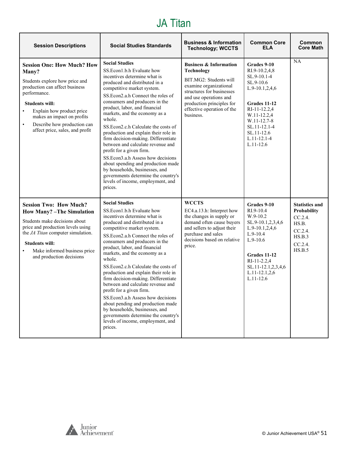#### JA Titan

<span id="page-50-0"></span>

| <b>Session Descriptions</b>                                                                                                                                                                                                                                                                                    | <b>Social Studies Standards</b>                                                                                                                                                                                                                                                                                                                                                                                                                                                                                                                                                                                                                                                                 | <b>Business &amp; Information</b><br><b>Technology; WCCTS</b>                                                                                                                                                                             | <b>Common Core</b><br>ELA                                                                                                                                                                                           | Common<br><b>Core Math</b>                                                                         |
|----------------------------------------------------------------------------------------------------------------------------------------------------------------------------------------------------------------------------------------------------------------------------------------------------------------|-------------------------------------------------------------------------------------------------------------------------------------------------------------------------------------------------------------------------------------------------------------------------------------------------------------------------------------------------------------------------------------------------------------------------------------------------------------------------------------------------------------------------------------------------------------------------------------------------------------------------------------------------------------------------------------------------|-------------------------------------------------------------------------------------------------------------------------------------------------------------------------------------------------------------------------------------------|---------------------------------------------------------------------------------------------------------------------------------------------------------------------------------------------------------------------|----------------------------------------------------------------------------------------------------|
| <b>Session One: How Much? How</b><br>Many?<br>Students explore how price and<br>production can affect business<br>performance.<br><b>Students will:</b><br>Explain how product price<br>$\bullet$<br>makes an impact on profits<br>Describe how production can<br>$\bullet$<br>affect price, sales, and profit | <b>Social Studies</b><br>SS.Econ1.b.h Evaluate how<br>incentives determine what is<br>produced and distributed in a<br>competitive market system.<br>SS.Econ2.a.h Connect the roles of<br>consumers and producers in the<br>product, labor, and financial<br>markets, and the economy as a<br>whole.<br>SS.Econ2.c.h Calculate the costs of<br>production and explain their role in<br>firm decision-making. Differentiate<br>between and calculate revenue and<br>profit for a given firm.<br>SS.Econ3.a.h Assess how decisions<br>about spending and production made<br>by households, businesses, and<br>governments determine the country's<br>levels of income, employment, and<br>prices. | <b>Business &amp; Information</b><br><b>Technology</b><br>BIT.MG2: Students will<br>examine organizational<br>structures for businesses<br>and use operations and<br>production principles for<br>effective operation of the<br>business. | Grades 9-10<br>RI.9-10.2,4,8<br>SL.9-10.1-4<br>SL.9-10.6<br>L.9-10.1,2,4,6<br><b>Grades 11-12</b><br>RI-11-12.2,4<br>W.11-12.2,4<br>W.11-12.7-8<br>SL.11-12.1-4<br>SL.11-12.6<br>$L.11 - 12.1 - 4$<br>$L.11 - 12.6$ | NA                                                                                                 |
| <b>Session Two: How Much?</b><br><b>How Many?</b> -The Simulation<br>Students make decisions about<br>price and production levels using<br>the JA Titan computer simulation.<br><b>Students will:</b><br>Make informed business price<br>$\bullet$<br>and production decisions                                 | <b>Social Studies</b><br>SS.Econ1.b.h Evaluate how<br>incentives determine what is<br>produced and distributed in a<br>competitive market system.<br>SS.Econ2.a.h Connect the roles of<br>consumers and producers in the<br>product, labor, and financial<br>markets, and the economy as a<br>whole.<br>SS.Econ2.c.h Calculate the costs of<br>production and explain their role in<br>firm decision-making. Differentiate<br>between and calculate revenue and<br>profit for a given firm.<br>SS.Econ3.a.h Assess how decisions<br>about pending and production made<br>by households, businesses, and<br>governments determine the country's<br>levels of income, employment, and<br>prices.  | <b>WCCTS</b><br>EC4.a.13.h: Interpret how<br>the changes in supply or<br>demand often cause buyers<br>and sellers to adjust their<br>purchase and sales<br>decisions based on relative<br>price.                                          | Grades 9-10<br>RI.9-10.4<br>W.9-10.2<br>SL.9-10.1,2,3,4,6<br>$L.9-10.1, 2, 4, 6$<br>$L.9-10.4$<br>$L.9-10.6$<br>Grades 11-12<br>RI-11-2.2,4<br>SL.11-12.1,2,3,4,6<br>L.11-12.1,2,6<br>$L.11 - 12.6$                 | <b>Statistics and</b><br>Probability<br>CC.2.4.<br>HS.B.<br>CC.2.4.<br>HS.B.3<br>CC.2.4.<br>HS.B.5 |

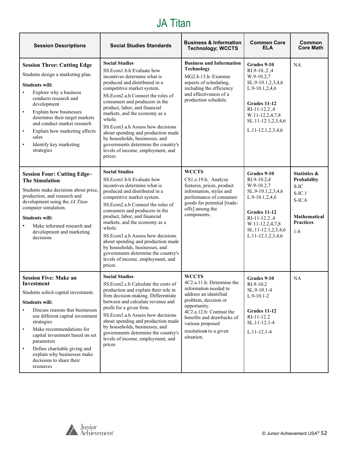#### JA Titan

| <b>Session Descriptions</b>                                                                                                                                                                                                                                                                                                                                                                                     | <b>Social Studies Standards</b>                                                                                                                                                                                                                                                                                                                                                                                                                                                                          | <b>Business &amp; Information</b><br><b>Technology; WCCTS</b>                                                                                                                                                                                            | <b>Common Core</b><br><b>ELA</b>                                                                                                                                                      | Common<br><b>Core Math</b>                                                                                                     |
|-----------------------------------------------------------------------------------------------------------------------------------------------------------------------------------------------------------------------------------------------------------------------------------------------------------------------------------------------------------------------------------------------------------------|----------------------------------------------------------------------------------------------------------------------------------------------------------------------------------------------------------------------------------------------------------------------------------------------------------------------------------------------------------------------------------------------------------------------------------------------------------------------------------------------------------|----------------------------------------------------------------------------------------------------------------------------------------------------------------------------------------------------------------------------------------------------------|---------------------------------------------------------------------------------------------------------------------------------------------------------------------------------------|--------------------------------------------------------------------------------------------------------------------------------|
| <b>Session Three: Cutting Edge</b><br>Students design a marketing plan.<br><b>Students will:</b><br>Explore why a business<br>conducts research and<br>development<br>Explain how businesses<br>$\bullet$<br>determine their target markets<br>and conduct market research<br>Explain how marketing affects<br>$\bullet$<br>sales<br>Identify key marketing<br>strategies                                       | <b>Social Studies</b><br>SS.Econ1.b.h Evaluate how<br>incentives determine what is<br>produced and distributed in a<br>competitive market system.<br>SS.Econ2.a.h Connect the roles of<br>consumers and producers in the<br>product, labor, and financial<br>markets, and the economy as a<br>whole.<br>SS.Econ3.a.h Assess how decisions<br>about spending and production made<br>by households, businesses, and<br>governments determine the country's<br>levels of income, employment, and<br>prices. | <b>Business and Information</b><br><b>Technology</b><br>MG2.b.13.h: Examine<br>aspects of scheduling,<br>including the efficiency<br>and effectiveness of a<br>production schedule.                                                                      | Grades 9-10<br>RI.9-102,4<br>$W.9-10.2,7$<br>SL.9-10.1,2,3,4,6<br>$L.9-10.1,2,4,6$<br>Grades 11-12<br>RI-11-12.2,4<br>W.11-12.2,4,7,8<br>SL.11-12.1,2,3,4,6<br>L.11-12.1,2,3,4,6      | NA                                                                                                                             |
| <b>Session Four: Cutting Edge-</b><br><b>The Simulation</b><br>Students make decisions about price,<br>production, and research and<br>development using the JA Titan<br>computer simulation.<br><b>Students will:</b><br>Make informed research and<br>development and marketing<br>decisions                                                                                                                  | <b>Social Studies</b><br>SS.Econ1.b.h Evaluate how<br>incentives determine what is<br>produced and distributed in a<br>competitive market system.<br>SS. Econ2.a.h Connect the roles of<br>consumers and producers in the<br>product, labor, and financial<br>markets, and the economy as a<br>whole.<br>SS.Econ3.a.h Assess how decisions<br>about spending and production made<br>by households, businesses, and<br>governments determine the country's<br>levels of income, employment, and<br>prices | <b>WCCTS</b><br>CS1.e.19.h: Analyze<br>features, prices, product<br>information, styles and<br>performance of consumer<br>goods for potential [trade-<br>offs] among the<br>components.                                                                  | Grades 9-10<br>RI.9-10.2,4<br>$W.9-10.2,7$<br>SL.9-10.1,2,3,4,6<br>L.9-10.1,2,4,6<br>Grades 11-12<br>RI-11-12.2,4<br>W.11-12.2,4,7,8<br>SL.11-12.1,2,3,4,6<br>$L.11-12.1, 2, 3, 4, 6$ | <b>Statistics &amp;</b><br><b>Probability</b><br>$S-IC$<br>$S-IC.1$<br>$S-IC.6$<br>Mathematical<br><b>Practices</b><br>$1 - 8$ |
| <b>Session Five: Make an</b><br>Investment<br>Students solicit capital investment.<br><b>Students will:</b><br>Discuss reasons that businesses<br>use different capital investment<br>strategies<br>Make recommendations for<br>$\bullet$<br>capital investment based on set<br>parameters<br>Define charitable giving and<br>$\bullet$<br>explain why businesses make<br>decisions to share their<br>resources | <b>Social Studies</b><br>SS.Econ2.c.h Calculate the costs of<br>production and explain their role in<br>firm decision-making. Differentiate<br>between and calculate revenue and<br>profit for a given firm.<br>SS.Econ3.a.h Assess how decisions<br>about spending and production made<br>by households, businesses, and<br>governments determine the country's<br>levels of income, employment, and<br>prices                                                                                          | <b>WCCTS</b><br>4C2.a.11.h: Determine the<br>information needed to<br>address an identified<br>problem, decision or<br>opportunity.<br>4C2.a.12.h: Contrast the<br>benefits and drawbacks of<br>various proposed<br>resolutions to a given<br>situation. | Grades 9-10<br>$R1.9-10.2$<br>SL.9-10.1-4<br>$L.9-10.1-2$<br>Grades 11-12<br>RI-11-12.2<br>SL.11-12.1-4<br>$L.11 - 12.1 - 4$                                                          | NA                                                                                                                             |

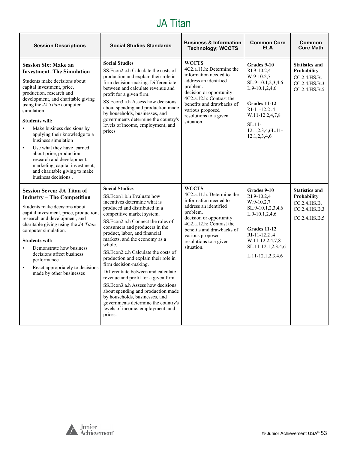#### JA Titan

| <b>Session Descriptions</b>                                                                                                                                                                                                                                                                                                                                                                                                                                                                                                                                 | <b>Social Studies Standards</b>                                                                                                                                                                                                                                                                                                                                                                                                                                                                                                                                                                                                                                                                   | <b>Business &amp; Information</b><br><b>Technology; WCCTS</b>                                                                                                                                                                                                         | <b>Common Core</b><br><b>ELA</b>                                                                                                                                                               | Common<br><b>Core Math</b>                                                                    |
|-------------------------------------------------------------------------------------------------------------------------------------------------------------------------------------------------------------------------------------------------------------------------------------------------------------------------------------------------------------------------------------------------------------------------------------------------------------------------------------------------------------------------------------------------------------|---------------------------------------------------------------------------------------------------------------------------------------------------------------------------------------------------------------------------------------------------------------------------------------------------------------------------------------------------------------------------------------------------------------------------------------------------------------------------------------------------------------------------------------------------------------------------------------------------------------------------------------------------------------------------------------------------|-----------------------------------------------------------------------------------------------------------------------------------------------------------------------------------------------------------------------------------------------------------------------|------------------------------------------------------------------------------------------------------------------------------------------------------------------------------------------------|-----------------------------------------------------------------------------------------------|
| <b>Session Six: Make an</b><br><b>Investment-The Simulation</b><br>Students make decisions about<br>capital investment, price,<br>production, research and<br>development, and charitable giving<br>using the JA Titan computer<br>simulation.<br><b>Students will:</b><br>Make business decisions by<br>applying their knowledge to a<br>business simulation<br>Use what they have learned<br>$\bullet$<br>about price, production,<br>research and development,<br>marketing, capital investment,<br>and charitable giving to make<br>business decisions. | <b>Social Studies</b><br>SS. Econ 2.c.h Calculate the costs of<br>production and explain their role in<br>firm decision-making. Differentiate<br>between and calculate revenue and<br>profit for a given firm.<br>SS.Econ3.a.h Assess how decisions<br>about spending and production made<br>by households, businesses, and<br>governments determine the country's<br>levels of income, employment, and<br>prices                                                                                                                                                                                                                                                                                 | <b>WCCTS</b><br>4C <sub>2</sub> .a.11.h: Determine the<br>information needed to<br>address an identified<br>problem.<br>decision or opportunity.<br>4C2.a.12.h: Contrast the<br>benefits and drawbacks of<br>various proposed<br>resolutions to a given<br>situation. | Grades 9-10<br>RI.9-10.2,4<br>$W.9-10.2,7$<br>SL.9-10.1,2,3,4,6<br>L.9-10.1,2,4,6<br>Grades 11-12<br>RI-11-12.2,4<br>W.11-12.2,4,7,8<br>$SL.11$ -<br>12.1,2,3,4,6L.11-<br>12.1,2,3,4,6         | <b>Statistics and</b><br>Probability<br>CC.2.4.HS.B.<br>CC.2.4.HS.B.3<br>CC.2.4.HS.B.5        |
| <b>Session Seven: JA Titan of</b><br><b>Industry - The Competition</b><br>Students make decisions about<br>capital investment, price, production,<br>research and development, and<br>charitable giving using the JA Titan<br>computer simulation.<br><b>Students will:</b><br>Demonstrate how business<br>decisions affect business<br>performance<br>React appropriately to decisions<br>$\bullet$<br>made by other businesses                                                                                                                            | <b>Social Studies</b><br>SS.Econ1.b.h Evaluate how<br>incentives determine what is<br>produced and distributed in a<br>competitive market system.<br>SS. Econ2.a.h Connect the roles of<br>consumers and producers in the<br>product, labor, and financial<br>markets, and the economy as a<br>whole.<br>SS. Econ2.c.h Calculate the costs of<br>production and explain their role in<br>firm decision-making.<br>Differentiate between and calculate<br>revenue and profit for a given firm.<br>SS.Econ3.a.h Assess how decisions<br>about spending and production made<br>by households, businesses, and<br>governments determine the country's<br>levels of income, employment, and<br>prices. | <b>WCCTS</b><br>4C2.a.11.h: Determine the<br>information needed to<br>address an identified<br>problem.<br>decision or opportunity.<br>4C2.a.12.h: Contrast the<br>benefits and drawbacks of<br>various proposed<br>resolutions to a given<br>situation.              | Grades 9-10<br>$RI.9-10.2,4$<br>$W.9-10.2,7$<br>SL.9-10.1,2,3,4,6<br>$L.9-10.1, 2, 4, 6$<br>Grades 11-12<br>RI-11-12.2,4<br>W.11-12.2,4,7,8<br>SL.11-12.1,2,3,4,6<br>$L.11 - 12.1, 2, 3, 4, 6$ | <b>Statistics and</b><br><b>Probability</b><br>CC.2.4.HS.B.<br>CC.2.4.HS.B.3<br>CC.2.4.HS.B.5 |

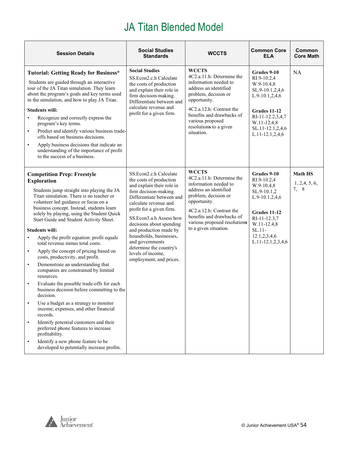<span id="page-53-0"></span>

| <b>Session Details</b>                                                                                                                                                                                                                                                                                                                                                                                                                                                                                                                                                                                                                                                                                                                                                                                                                                                                                                                                                                                                                                                                        | <b>Social Studies</b><br><b>Standards</b>                                                                                                                                                                                                                                                                                                                                                           | <b>WCCTS</b>                                                                                                                                                                                                                                             | <b>Common Core</b><br><b>ELA</b>                                                                                                                                                  | Common<br><b>Core Math</b>               |
|-----------------------------------------------------------------------------------------------------------------------------------------------------------------------------------------------------------------------------------------------------------------------------------------------------------------------------------------------------------------------------------------------------------------------------------------------------------------------------------------------------------------------------------------------------------------------------------------------------------------------------------------------------------------------------------------------------------------------------------------------------------------------------------------------------------------------------------------------------------------------------------------------------------------------------------------------------------------------------------------------------------------------------------------------------------------------------------------------|-----------------------------------------------------------------------------------------------------------------------------------------------------------------------------------------------------------------------------------------------------------------------------------------------------------------------------------------------------------------------------------------------------|----------------------------------------------------------------------------------------------------------------------------------------------------------------------------------------------------------------------------------------------------------|-----------------------------------------------------------------------------------------------------------------------------------------------------------------------------------|------------------------------------------|
| <b>Tutorial: Getting Ready for Business*</b><br>Students are guided through an interactive<br>tour of the JA Titan simulation. They learn<br>about the program's goals and key terms used<br>in the simulation, and how to play JA Titan.<br><b>Students will:</b><br>Recognize and correctly express the<br>$\bullet$<br>program's key terms.<br>Predict and identify various business trade-<br>$\bullet$<br>offs based on business decisions.<br>Apply business decisions that indicate an<br>$\bullet$<br>understanding of the importance of profit<br>to the success of a business.                                                                                                                                                                                                                                                                                                                                                                                                                                                                                                      | <b>Social Studies</b><br>SS.Econ2.c.h Calculate<br>the costs of production<br>and explain their role in<br>firm decision-making.<br>Differentiate between and<br>calculate revenue and<br>profit for a given firm.                                                                                                                                                                                  | <b>WCCTS</b><br>4C2.a.11.h: Determine the<br>information needed to<br>address an identified<br>problem, decision or<br>opportunity.<br>4C2.a.12.h: Contrast the<br>benefits and drawbacks of<br>various proposed<br>resolutions to a given<br>situation. | Grades 9-10<br>RI.9-10.2.4<br>W.9-10.4,8<br>SL.9-10.1,2,4,6<br>L.9-10.1,2,4,6<br>Grades 11-12<br>RI-11-12.2,3,4,7<br>W.11-12.4,8<br>SL.11-12.1,2,4,6<br>L.11-12.1,2,4,6           | <b>NA</b>                                |
| <b>Competition Prep: Freestyle</b><br><b>Exploration</b><br>Students jump straight into playing the JA<br>Titan simulation. There is no teacher or<br>volunteer led guidance or focus on a<br>business concept. Instead, students learn<br>solely by playing, using the Student Quick<br>Start Guide and Student Activity Sheet.<br><b>Students will:</b><br>Apply the profit equation: profit equals<br>$\bullet$<br>total revenue minus total costs.<br>Apply the concept of pricing based on<br>$\bullet$<br>costs, productivity, and profit.<br>Demonstrate an understanding that<br>$\bullet$<br>companies are constrained by limited<br>resources.<br>$\bullet$<br>Evaluate the possible trade-offs for each<br>business decision before committing to the<br>decision.<br>Use a budget as a strategy to monitor<br>income, expenses, and other financial<br>records.<br>Identify potential customers and their<br>$\bullet$<br>preferred phone features to increase<br>profitability.<br>Identify a new phone feature to be<br>$\bullet$<br>developed to potentially increase profits. | SS.Econ2.c.h Calculate<br>the costs of production<br>and explain their role in<br>firm decision-making.<br>Differentiate between and<br>calculate revenue and<br>profit for a given firm.<br>SS.Econ3.a.h Assess how<br>decisions about spending<br>and production made by<br>households, businesses,<br>and governments<br>determine the country's<br>levels of income,<br>employment, and prices. | <b>WCCTS</b><br>4C2.a.11.h: Determine the<br>information needed to<br>address an identified<br>problem, decision or<br>opportunity.<br>4C2.a.12.h: Contrast the<br>benefits and drawbacks of<br>various proposed resolutions<br>to a given situation.    | Grades 9-10<br>RI.9-10.2,4<br>$W.9-10.4,8$<br>SL.9-10.1,2<br>L.9-10.1,2,4,6<br>Grades 11-12<br>RI-11-12.3,7<br>W.11-12.4,8<br>$SL.11-$<br>12.1,2,3,4,6<br>$L.11-12.1, 2, 3, 4, 6$ | <b>Math HS</b><br>1, 2, 4, 5, 6,<br>7, 8 |

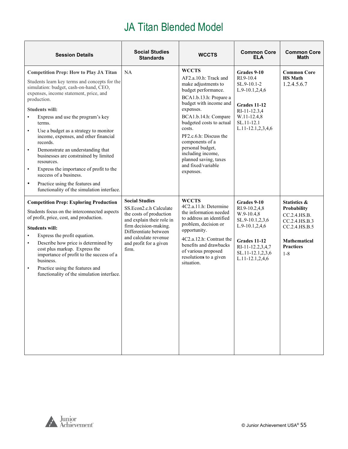| <b>Session Details</b>                                                                                                                                                                                                                                                                                                                                                                                                                                                                                                                                                                                                                                                        | <b>Social Studies</b><br><b>Standards</b>                                                                                                                                                                             | <b>WCCTS</b>                                                                                                                                                                                                                                                                                                                                                         | <b>Common Core</b><br><b>ELA</b>                                                                                                                                | <b>Common Core</b><br>Math                                                                                                                     |
|-------------------------------------------------------------------------------------------------------------------------------------------------------------------------------------------------------------------------------------------------------------------------------------------------------------------------------------------------------------------------------------------------------------------------------------------------------------------------------------------------------------------------------------------------------------------------------------------------------------------------------------------------------------------------------|-----------------------------------------------------------------------------------------------------------------------------------------------------------------------------------------------------------------------|----------------------------------------------------------------------------------------------------------------------------------------------------------------------------------------------------------------------------------------------------------------------------------------------------------------------------------------------------------------------|-----------------------------------------------------------------------------------------------------------------------------------------------------------------|------------------------------------------------------------------------------------------------------------------------------------------------|
| <b>Competition Prep: How to Play JA Titan</b><br>Students learn key terms and concepts for the<br>simulation: budget, cash-on-hand, CEO,<br>expenses, income statement, price, and<br>production.<br><b>Students will:</b><br>Express and use the program's key<br>terms.<br>Use a budget as a strategy to monitor<br>$\bullet$<br>income, expenses, and other financial<br>records.<br>Demonstrate an understanding that<br>$\bullet$<br>businesses are constrained by limited<br>resources.<br>Express the importance of profit to the<br>$\bullet$<br>success of a business.<br>Practice using the features and<br>$\bullet$<br>functionality of the simulation interface. | NA                                                                                                                                                                                                                    | <b>WCCTS</b><br>AF2.a.10.h: Track and<br>make adjustments to<br>budget performance.<br>BCA1.b.13.h: Prepare a<br>budget with income and<br>expenses.<br>BCA1.b.14.h: Compare<br>budgeted costs to actual<br>costs.<br>PF2.c.6.h: Discuss the<br>components of a<br>personal budget,<br>including income,<br>planned saving, taxes<br>and fixed/variable<br>expenses. | Grades 9-10<br>RI.9-10.4<br>SL.9-10.1-2<br>L.9-10.1,2,4,6<br>Grades 11-12<br>RI-11-12.3,4<br>W.11-12.4,8<br>SL.11-12.1<br>L.11-12.1,2,3,4,6                     | <b>Common Core</b><br><b>HS</b> Math<br>1.2.4.5.6.7                                                                                            |
| <b>Competition Prep: Exploring Production</b><br>Students focus on the interconnected aspects<br>of profit, price, cost, and production.<br><b>Students will:</b><br>Express the profit equation.<br>Describe how price is determined by<br>$\bullet$<br>cost plus markup. Express the<br>importance of profit to the success of a<br>business.<br>Practice using the features and<br>$\bullet$<br>functionality of the simulation interface.                                                                                                                                                                                                                                 | <b>Social Studies</b><br>SS.Econ2.c.h Calculate<br>the costs of production<br>and explain their role in<br>firm decision-making.<br>Differentiate between<br>and calculate revenue<br>and profit for a given<br>firm. | <b>WCCTS</b><br>4C2.a.11.h: Determine<br>the information needed<br>to address an identified<br>problem, decision or<br>opportunity.<br>4C2.a.12.h: Contrast the<br>benefits and drawbacks<br>of various proposed<br>resolutions to a given<br>situation.                                                                                                             | Grades 9-10<br>RI.9-10.2,4,8<br>W.9-10.4,8<br>SL.9-10.1,2,3,6<br>L.9-10.1,2,4,6<br>Grades 11-12<br>RI-11-12.2,3,4,7<br>SL.11-12.1,2,3,6<br>$L.11-12.1, 2, 4, 6$ | <b>Statistics &amp;</b><br>Probability<br>CC.2.4.HS.B.<br>CC.2.4.HS.B.3<br>CC.2.4.HS.B.5<br><b>Mathematical</b><br><b>Practices</b><br>$1 - 8$ |

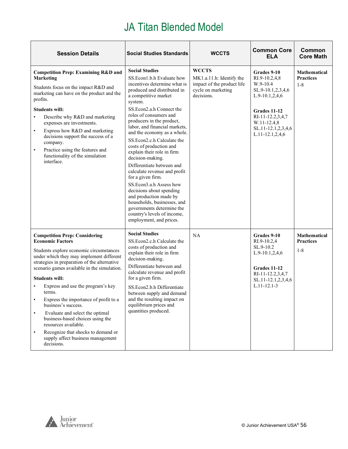| <b>Session Details</b>                                                                                                                                                                                                                                                                                                                                                                                                                                                                                                                                                                                          | <b>Social Studies Standards</b>                                                                                                                                                                                                                                                                                                                                                                                                                                                                                                                                                                                                                                                                              | <b>WCCTS</b>                                                                                               | <b>Common Core</b><br><b>ELA</b>                                                                                                                                              | Common<br><b>Core Math</b>                         |
|-----------------------------------------------------------------------------------------------------------------------------------------------------------------------------------------------------------------------------------------------------------------------------------------------------------------------------------------------------------------------------------------------------------------------------------------------------------------------------------------------------------------------------------------------------------------------------------------------------------------|--------------------------------------------------------------------------------------------------------------------------------------------------------------------------------------------------------------------------------------------------------------------------------------------------------------------------------------------------------------------------------------------------------------------------------------------------------------------------------------------------------------------------------------------------------------------------------------------------------------------------------------------------------------------------------------------------------------|------------------------------------------------------------------------------------------------------------|-------------------------------------------------------------------------------------------------------------------------------------------------------------------------------|----------------------------------------------------|
| <b>Competition Prep: Examining R&amp;D and</b><br><b>Marketing</b><br>Students focus on the impact R&D and<br>marketing can have on the product and the<br>profits.<br><b>Students will:</b><br>Describe why R&D and marketing<br>expenses are investments.<br>Express how R&D and marketing<br>$\bullet$<br>decisions support the success of a<br>company.<br>Practice using the features and<br>$\bullet$<br>functionality of the simulation<br>interface.                                                                                                                                                    | <b>Social Studies</b><br>SS. Econ1.b.h Evaluate how<br>incentives determine what is<br>produced and distributed in<br>a competitive market<br>system.<br>SS.Econ2.a.h Connect the<br>roles of consumers and<br>producers in the product,<br>labor, and financial markets,<br>and the economy as a whole.<br>SS.Econ2.c.h Calculate the<br>costs of production and<br>explain their role in firm<br>decision-making.<br>Differentiate between and<br>calculate revenue and profit<br>for a given firm.<br>SS.Econ3.a.h Assess how<br>decisions about spending<br>and production made by<br>households, businesses, and<br>governments determine the<br>country's levels of income,<br>employment, and prices. | <b>WCCTS</b><br>MK1.a.11.h: Identify the<br>impact of the product life<br>cycle on marketing<br>decisions. | Grades 9-10<br>RI.9-10.2,4,8<br>W.9-10.4<br>SL.9-10.1,2,3,4,6<br>$L.9-10.1,2,4,6$<br>Grades 11-12<br>RI-11-12.2,3,4,7<br>W.11-12.4,8<br>SL.11-12.1,2,3,4,6<br>L.11-12.1,2,4,6 | <b>Mathematical</b><br><b>Practices</b><br>$1 - 8$ |
| <b>Competition Prep: Considering</b><br><b>Economic Factors</b><br>Students explore economic circumstances<br>under which they may implement different<br>strategies in preparation of the alternative<br>scenario games available in the simulation.<br><b>Students will:</b><br>Express and use the program's key<br>terms.<br>Express the importance of profit to a<br>business's success.<br>Evaluate and select the optimal<br>$\bullet$<br>business-based choices using the<br>resources available.<br>Recognize that shocks to demand or<br>$\bullet$<br>supply affect business management<br>decisions. | <b>Social Studies</b><br>SS.Econ2.c.h Calculate the<br>costs of production and<br>explain their role in firm<br>decision-making.<br>Differentiate between and<br>calculate revenue and profit<br>for a given firm.<br>SS. Econ2.b.h Differentiate<br>between supply and demand<br>and the resulting impact on<br>equilibrium prices and<br>quantities produced.                                                                                                                                                                                                                                                                                                                                              | NA                                                                                                         | Grades 9-10<br>RI.9-10.2,4<br>SL.9-10.2<br>$L.9-10.1,2,4,6$<br>Grades 11-12<br>RI-11-12.2,3,4,7<br>SL.11-12.1,2,3,4,6<br>$L.11 - 12.1 - 3$                                    | <b>Mathematical</b><br><b>Practices</b><br>$1 - 8$ |

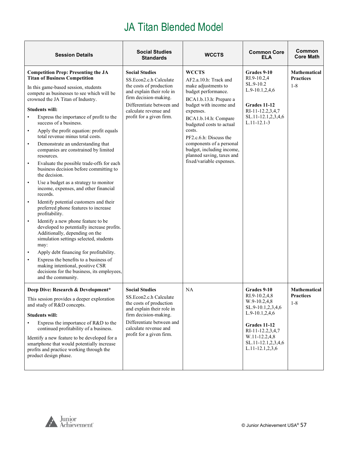| <b>Session Details</b>                                                                                                                                                                                                                                                                                                                                                                                                                                                                                                                                                                                                                                                                                                                                                                                                                                                                                                                                                                                                                                                                                                                                                                                                                                          | <b>Social Studies</b><br><b>Standards</b>                                                                                                                                                                          | <b>WCCTS</b>                                                                                                                                                                                                                                                                                                                                                   | <b>Common Core</b><br>ELA                                                                                                                                                                | Common<br><b>Core Math</b>                         |
|-----------------------------------------------------------------------------------------------------------------------------------------------------------------------------------------------------------------------------------------------------------------------------------------------------------------------------------------------------------------------------------------------------------------------------------------------------------------------------------------------------------------------------------------------------------------------------------------------------------------------------------------------------------------------------------------------------------------------------------------------------------------------------------------------------------------------------------------------------------------------------------------------------------------------------------------------------------------------------------------------------------------------------------------------------------------------------------------------------------------------------------------------------------------------------------------------------------------------------------------------------------------|--------------------------------------------------------------------------------------------------------------------------------------------------------------------------------------------------------------------|----------------------------------------------------------------------------------------------------------------------------------------------------------------------------------------------------------------------------------------------------------------------------------------------------------------------------------------------------------------|------------------------------------------------------------------------------------------------------------------------------------------------------------------------------------------|----------------------------------------------------|
| <b>Competition Prep: Presenting the JA</b><br><b>Titan of Business Competition</b><br>In this game-based session, students<br>compete as businesses to see which will be<br>crowned the JA Titan of Industry.<br><b>Students will:</b><br>Express the importance of profit to the<br>success of a business.<br>Apply the profit equation: profit equals<br>$\bullet$<br>total revenue minus total costs.<br>Demonstrate an understanding that<br>$\bullet$<br>companies are constrained by limited<br>resources.<br>Evaluate the possible trade-offs for each<br>$\bullet$<br>business decision before committing to<br>the decision.<br>Use a budget as a strategy to monitor<br>$\bullet$<br>income, expenses, and other financial<br>records.<br>Identify potential customers and their<br>$\bullet$<br>preferred phone features to increase<br>profitability.<br>Identify a new phone feature to be<br>$\bullet$<br>developed to potentially increase profits.<br>Additionally, depending on the<br>simulation settings selected, students<br>may:<br>Apply debt financing for profitability.<br>Express the benefits to a business of<br>$\bullet$<br>making intentional, positive CSR<br>decisions for the business, its employees,<br>and the community. | <b>Social Studies</b><br>SS.Econ2.c.h Calculate<br>the costs of production<br>and explain their role in<br>firm decision-making.<br>Differentiate between and<br>calculate revenue and<br>profit for a given firm. | <b>WCCTS</b><br>AF2.a.10.h: Track and<br>make adjustments to<br>budget performance.<br>BCA1.b.13.h: Prepare a<br>budget with income and<br>expenses.<br>BCA1.b.14.h: Compare<br>budgeted costs to actual<br>costs.<br>PF2.c.6.h: Discuss the<br>components of a personal<br>budget, including income,<br>planned saving, taxes and<br>fixed/variable expenses. | Grades 9-10<br>RI.9-10.2,4<br>SL.9-10.2<br>$L.9-10.1, 2, 4, 6$<br>Grades 11-12<br>RI-11-12.2,3,4,7<br>SL.11-12.1,2,3,4,6<br>$L.11 - 12.1 - 3$                                            | <b>Mathematical</b><br><b>Practices</b><br>$1 - 8$ |
| Deep Dive: Research & Development*<br>This session provides a deeper exploration<br>and study of R&D concepts.<br><b>Students will:</b><br>Express the importance of R&D to the<br>continued profitability of a business.<br>Identify a new feature to be developed for a<br>smartphone that would potentially increase<br>profits and practice working through the<br>product design phase.                                                                                                                                                                                                                                                                                                                                                                                                                                                                                                                                                                                                                                                                                                                                                                                                                                                                    | <b>Social Studies</b><br>SS.Econ2.c.h Calculate<br>the costs of production<br>and explain their role in<br>firm decision-making.<br>Differentiate between and<br>calculate revenue and<br>profit for a given firm. | <b>NA</b>                                                                                                                                                                                                                                                                                                                                                      | Grades 9-10<br>RI.9-10.2,4,8<br>W.9-10.2,4,8<br>SL.9-10.1,2,3,4,6<br>L.9-10.1,2,4,6<br><b>Grades 11-12</b><br>RI-11-12.2,3,4,7<br>W.11-12.2,4,8<br>SL.11-12.1,2,3,4,6<br>L.11-12.1,2,3,6 | <b>Mathematical</b><br>Practices<br>$1 - 8$        |

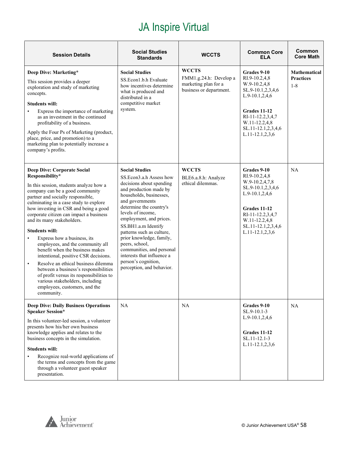| <b>Session Details</b>                                                                                                                                                                                                                                                                                                                                                                                                                                                                                                                                                                                                                                                                                                                              | <b>Social Studies</b><br><b>Standards</b>                                                                                                                                                                                                                                                                                                                                                                                                         | <b>WCCTS</b>                                                                              | <b>Common Core</b><br><b>ELA</b>                                                                                                                                                              | Common<br><b>Core Math</b>                         |
|-----------------------------------------------------------------------------------------------------------------------------------------------------------------------------------------------------------------------------------------------------------------------------------------------------------------------------------------------------------------------------------------------------------------------------------------------------------------------------------------------------------------------------------------------------------------------------------------------------------------------------------------------------------------------------------------------------------------------------------------------------|---------------------------------------------------------------------------------------------------------------------------------------------------------------------------------------------------------------------------------------------------------------------------------------------------------------------------------------------------------------------------------------------------------------------------------------------------|-------------------------------------------------------------------------------------------|-----------------------------------------------------------------------------------------------------------------------------------------------------------------------------------------------|----------------------------------------------------|
| Deep Dive: Marketing*<br>This session provides a deeper<br>exploration and study of marketing<br>concepts.<br>Students will:<br>Express the importance of marketing<br>as an investment in the continued<br>profitability of a business.<br>Apply the Four Ps of Marketing (product,<br>place, price, and promotion) to a<br>marketing plan to potentially increase a<br>company's profits.                                                                                                                                                                                                                                                                                                                                                         | <b>Social Studies</b><br>SS.Econ1.b.h Evaluate<br>how incentives determine<br>what is produced and<br>distributed in a<br>competitive market<br>system.                                                                                                                                                                                                                                                                                           | <b>WCCTS</b><br>FMM1.g.24.h: Develop a<br>marketing plan for a<br>business or department. | Grades 9-10<br>RI.9-10.2,4,8<br>W.9-10.2,4,8<br>SL.9-10.1,2,3,4,6<br>$L.9-10.1, 2, 4, 6$<br>Grades 11-12<br>RI-11-12.2,3,4,7<br>W.11-12.2,4,8<br>SL.11-12.1,2,3,4,6<br>$L.11-12.1, 2, 3, 6$   | <b>Mathematical</b><br><b>Practices</b><br>$1 - 8$ |
| <b>Deep Dive: Corporate Social</b><br>Responsibility*<br>In this session, students analyze how a<br>company can be a good community<br>partner and socially responsible,<br>culminating in a case study to explore<br>how investing in CSR and being a good<br>corporate citizen can impact a business<br>and its many stakeholders.<br><b>Students will:</b><br>Express how a business, its<br>$\bullet$<br>employees, and the community all<br>benefit when the business makes<br>intentional, positive CSR decisions.<br>Resolve an ethical business dilemma<br>$\bullet$<br>between a business's responsibilities<br>of profit versus its responsibilities to<br>various stakeholders, including<br>employees, customers, and the<br>community. | <b>Social Studies</b><br>SS. Econ3.a.h Assess how<br>decisions about spending<br>and production made by<br>households, businesses,<br>and governments<br>determine the country's<br>levels of income,<br>employment, and prices.<br>SS.BH1.a.m Identify<br>patterns such as culture,<br>prior knowledge, family,<br>peers, school,<br>communities, and personal<br>interests that influence a<br>person's cognition,<br>perception, and behavior. | <b>WCCTS</b><br>BLE6.a.8.h: Analyze<br>ethical dilemmas.                                  | Grades 9-10<br>RI.9-10.2,4,8<br>W.9-10.2,4,7,8<br>SL.9-10.1,2,3,4,6<br>$L.9-10.1, 2, 4, 6$<br>Grades 11-12<br>RI-11-12.2,3,4,7<br>W.11-12.2,4,8<br>SL.11-12.1,2,3,4,6<br>$L.11-12.1, 2, 3, 6$ | NA                                                 |
| <b>Deep Dive: Daily Business Operations</b><br><b>Speaker Session*</b><br>In this volunteer-led session, a volunteer<br>presents how his/her own business<br>knowledge applies and relates to the<br>business concepts in the simulation.<br><b>Students will:</b><br>Recognize real-world applications of<br>the terms and concepts from the game<br>through a volunteer guest speaker<br>presentation.                                                                                                                                                                                                                                                                                                                                            | <b>NA</b>                                                                                                                                                                                                                                                                                                                                                                                                                                         | <b>NA</b>                                                                                 | Grades 9-10<br>$SL.9-10.1-3$<br>$L.9-10.1, 2, 4, 6$<br>Grades 11-12<br>SL.11-12.1-3<br>$L.11-12.1, 2, 3, 6$                                                                                   | <b>NA</b>                                          |

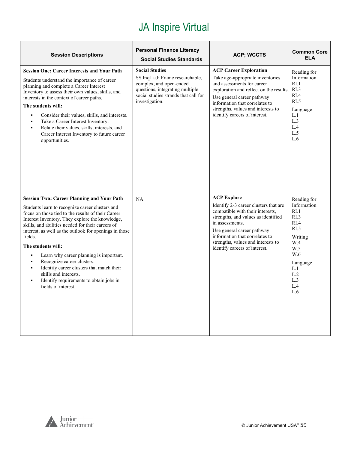| <b>Session Descriptions</b>                                                                                                                                                                                                                                                                                                                                                                                                                                                                                                                                                                                        | <b>Personal Finance Literacy</b><br><b>Social Studies Standards</b>                                                                                                              | <b>ACP; WCCTS</b>                                                                                                                                                                                                                                                                                | <b>Common Core</b><br><b>ELA</b>                                                                                                                                  |
|--------------------------------------------------------------------------------------------------------------------------------------------------------------------------------------------------------------------------------------------------------------------------------------------------------------------------------------------------------------------------------------------------------------------------------------------------------------------------------------------------------------------------------------------------------------------------------------------------------------------|----------------------------------------------------------------------------------------------------------------------------------------------------------------------------------|--------------------------------------------------------------------------------------------------------------------------------------------------------------------------------------------------------------------------------------------------------------------------------------------------|-------------------------------------------------------------------------------------------------------------------------------------------------------------------|
| <b>Session One: Career Interests and Your Path</b><br>Students understand the importance of career<br>planning and complete a Career Interest<br>Inventory to assess their own values, skills, and<br>interests in the context of career paths.<br>The students will:<br>Consider their values, skills, and interests.<br>$\blacksquare$<br>Take a Career Interest Inventory.<br>$\blacksquare$<br>Relate their values, skills, interests, and<br>$\blacksquare$<br>Career Interest Inventory to future career<br>opportunities.                                                                                   | <b>Social Studies</b><br>SS.Inq1.a.h Frame researchable,<br>complex, and open-ended<br>questions, integrating multiple<br>social studies strands that call for<br>investigation. | <b>ACP Career Exploration</b><br>Take age-appropriate inventories<br>and assessments for career<br>exploration and reflect on the results.<br>Use general career pathway<br>information that correlates to<br>strengths, values and interests to<br>identify careers of interest.                | Reading for<br>Information<br>R <sub>L</sub> 1<br>RI.3<br>RI.4<br>R <sub>L</sub><br>Language<br>L.1<br>L.3<br>L.4<br>L.5<br>L.6                                   |
| <b>Session Two: Career Planning and Your Path</b><br>Students learn to recognize career clusters and<br>focus on those tied to the results of their Career<br>Interest Inventory. They explore the knowledge,<br>skills, and abilities needed for their careers of<br>interest, as well as the outlook for openings in those<br>fields.<br>The students will:<br>Learn why career planning is important.<br>Recognize career clusters.<br>$\blacksquare$<br>Identify career clusters that match their<br>skills and interests.<br>Identify requirements to obtain jobs in<br>$\blacksquare$<br>fields of interest. | NA                                                                                                                                                                               | <b>ACP Explore</b><br>Identify 2-3 career clusters that are<br>compatible with their interests,<br>strengths, and values as identified<br>in assessments.<br>Use general career pathway<br>information that correlates to<br>strengths, values and interests to<br>identify careers of interest. | Reading for<br>Information<br>R <sub>L</sub> 1<br>R <sub>L</sub> 3<br>RI.4<br>RI.5<br>Writing<br>W.4<br>W.5<br>W.6<br>Language<br>L.1<br>L.2<br>L.3<br>L.4<br>L.6 |

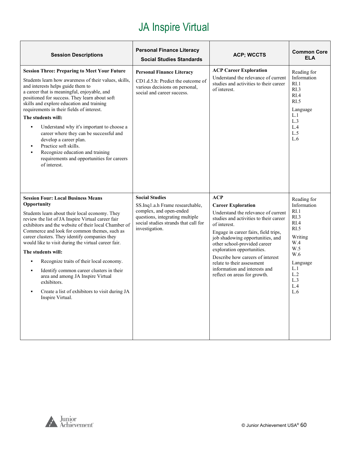| <b>Session Descriptions</b>                                                                                                                                                                                                                                                                                                                                                                                                                                                                                                                                                                                                           | <b>Personal Finance Literacy</b><br><b>Social Studies Standards</b>                                                                                                              | <b>ACP; WCCTS</b>                                                                                                                                                                                                                                                                                                                                                                                                     | <b>Common Core</b><br><b>ELA</b>                                                                                                                      |
|---------------------------------------------------------------------------------------------------------------------------------------------------------------------------------------------------------------------------------------------------------------------------------------------------------------------------------------------------------------------------------------------------------------------------------------------------------------------------------------------------------------------------------------------------------------------------------------------------------------------------------------|----------------------------------------------------------------------------------------------------------------------------------------------------------------------------------|-----------------------------------------------------------------------------------------------------------------------------------------------------------------------------------------------------------------------------------------------------------------------------------------------------------------------------------------------------------------------------------------------------------------------|-------------------------------------------------------------------------------------------------------------------------------------------------------|
| <b>Session Three: Preparing to Meet Your Future</b><br>Students learn how awareness of their values, skills,<br>and interests helps guide them to<br>a career that is meaningful, enjoyable, and<br>positioned for success. They learn about soft<br>skills and explore education and training<br>requirements in their fields of interest.<br>The students will:<br>Understand why it's important to choose a<br>٠<br>career where they can be successful and<br>develop a career plan.<br>Practice soft skills.<br>$\blacksquare$<br>Recognize education and training<br>requirements and opportunities for careers<br>of interest. | <b>Personal Finance Literacy</b><br>CD1.d.5.h: Predict the outcome of<br>various decisions on personal,<br>social and career success.                                            | <b>ACP Career Exploration</b><br>Understand the relevance of current<br>studies and activities to their career<br>of interest.                                                                                                                                                                                                                                                                                        | Reading for<br>Information<br>RL1<br>R <sub>L</sub> 3<br>RIA<br>RI.5<br>Language<br>L.1<br>L.3<br>L.4<br>L.5<br>L.6                                   |
| <b>Session Four: Local Business Means</b><br>Opportunity<br>Students learn about their local economy. They<br>review the list of JA Inspire Virtual career fair<br>exhibitors and the website of their local Chamber of<br>Commerce and look for common themes, such as<br>career clusters. They identify companies they<br>would like to visit during the virtual career fair.<br>The students will:<br>Recognize traits of their local economy.<br>Identify common career clusters in their<br>area and among JA Inspire Virtual<br>exhibitors.<br>Create a list of exhibitors to visit during JA<br>Inspire Virtual.               | <b>Social Studies</b><br>SS.Inq1.a.h Frame researchable,<br>complex, and open-ended<br>questions, integrating multiple<br>social studies strands that call for<br>investigation. | <b>ACP</b><br><b>Career Exploration</b><br>Understand the relevance of current<br>studies and activities to their career<br>of interest.<br>Engage in career fairs, field trips,<br>job shadowing opportunities, and<br>other school-provided career<br>exploration opportunities.<br>Describe how careers of interest<br>relate to their assessment<br>information and interests and<br>reflect on areas for growth. | Reading for<br>Information<br>RI.1<br>RI.3<br>R <sub>I.4</sub><br>RI.5<br>Writing<br>W.4<br>W.5<br>W.6<br>Language<br>L.1<br>L.2<br>L.3<br>L.4<br>L.6 |